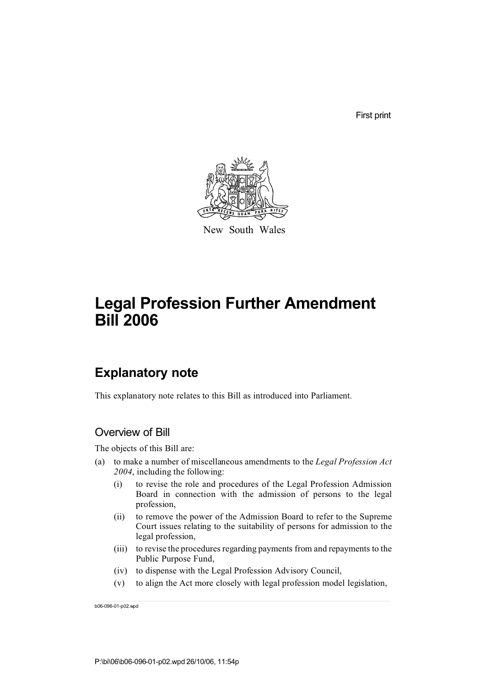First print



New South Wales

# **Legal Profession Further Amendment Bill 2006**

# **Explanatory note**

This explanatory note relates to this Bill as introduced into Parliament.

## Overview of Bill

The objects of this Bill are:

- (a) to make a number of miscellaneous amendments to the *Legal Profession Act 2004*, including the following:
	- (i) to revise the role and procedures of the Legal Profession Admission Board in connection with the admission of persons to the legal profession,
	- (ii) to remove the power of the Admission Board to refer to the Supreme Court issues relating to the suitability of persons for admission to the legal profession,
	- (iii) to revise the procedures regarding payments from and repayments to the Public Purpose Fund,
	- (iv) to dispense with the Legal Profession Advisory Council,
	- (v) to align the Act more closely with legal profession model legislation,

b06-096-01-p02.wpd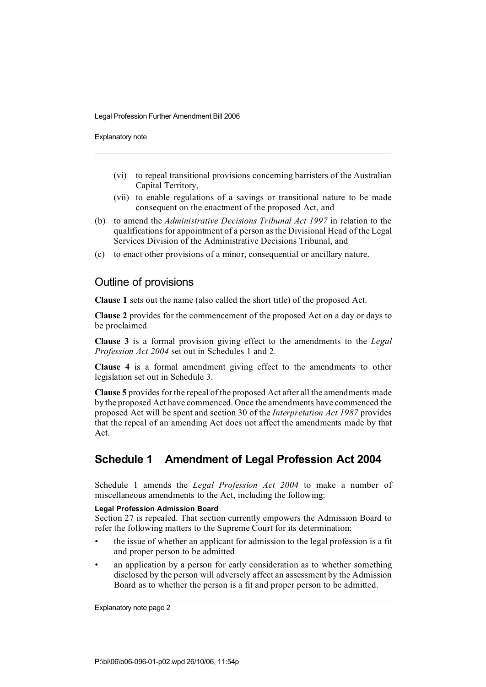Explanatory note

- (vi) to repeal transitional provisions concerning barristers of the Australian Capital Territory,
- (vii) to enable regulations of a savings or transitional nature to be made consequent on the enactment of the proposed Act, and
- (b) to amend the *Administrative Decisions Tribunal Act 1997* in relation to the qualifications for appointment of a person as the Divisional Head of the Legal Services Division of the Administrative Decisions Tribunal, and
- (c) to enact other provisions of a minor, consequential or ancillary nature.

## Outline of provisions

**Clause 1** sets out the name (also called the short title) of the proposed Act.

**Clause 2** provides for the commencement of the proposed Act on a day or days to be proclaimed.

**Clause 3** is a formal provision giving effect to the amendments to the *Legal Profession Act 2004* set out in Schedules 1 and 2.

**Clause 4** is a formal amendment giving effect to the amendments to other legislation set out in Schedule 3.

**Clause 5** provides for the repeal of the proposed Act after all the amendments made by the proposed Act have commenced. Once the amendments have commenced the proposed Act will be spent and section 30 of the *Interpretation Act 1987* provides that the repeal of an amending Act does not affect the amendments made by that Act.

## **Schedule 1 Amendment of Legal Profession Act 2004**

Schedule 1 amends the *Legal Profession Act 2004* to make a number of miscellaneous amendments to the Act, including the following:

### **Legal Profession Admission Board**

Section 27 is repealed. That section currently empowers the Admission Board to refer the following matters to the Supreme Court for its determination:

- the issue of whether an applicant for admission to the legal profession is a fit and proper person to be admitted
- an application by a person for early consideration as to whether something disclosed by the person will adversely affect an assessment by the Admission Board as to whether the person is a fit and proper person to be admitted.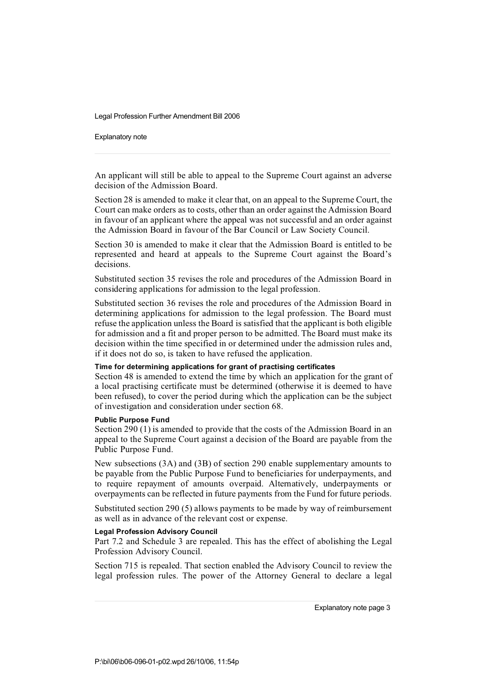Explanatory note

An applicant will still be able to appeal to the Supreme Court against an adverse decision of the Admission Board.

Section 28 is amended to make it clear that, on an appeal to the Supreme Court, the Court can make orders as to costs, other than an order against the Admission Board in favour of an applicant where the appeal was not successful and an order against the Admission Board in favour of the Bar Council or Law Society Council.

Section 30 is amended to make it clear that the Admission Board is entitled to be represented and heard at appeals to the Supreme Court against the Board's decisions.

Substituted section 35 revises the role and procedures of the Admission Board in considering applications for admission to the legal profession.

Substituted section 36 revises the role and procedures of the Admission Board in determining applications for admission to the legal profession. The Board must refuse the application unless the Board is satisfied that the applicant is both eligible for admission and a fit and proper person to be admitted. The Board must make its decision within the time specified in or determined under the admission rules and, if it does not do so, is taken to have refused the application.

## **Time for determining applications for grant of practising certificates**

Section 48 is amended to extend the time by which an application for the grant of a local practising certificate must be determined (otherwise it is deemed to have been refused), to cover the period during which the application can be the subject of investigation and consideration under section 68.

#### **Public Purpose Fund**

Section 290 (1) is amended to provide that the costs of the Admission Board in an appeal to the Supreme Court against a decision of the Board are payable from the Public Purpose Fund.

New subsections (3A) and (3B) of section 290 enable supplementary amounts to be payable from the Public Purpose Fund to beneficiaries for underpayments, and to require repayment of amounts overpaid. Alternatively, underpayments or overpayments can be reflected in future payments from the Fund for future periods.

Substituted section 290 (5) allows payments to be made by way of reimbursement as well as in advance of the relevant cost or expense.

#### **Legal Profession Advisory Council**

Part 7.2 and Schedule 3 are repealed. This has the effect of abolishing the Legal Profession Advisory Council.

Section 715 is repealed. That section enabled the Advisory Council to review the legal profession rules. The power of the Attorney General to declare a legal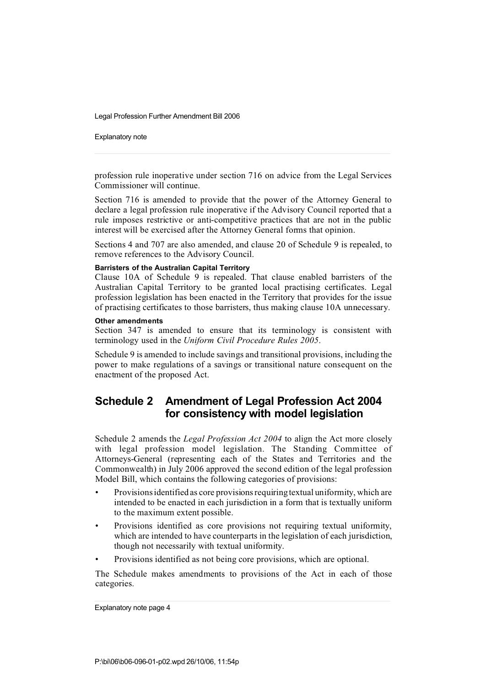Explanatory note

profession rule inoperative under section 716 on advice from the Legal Services Commissioner will continue.

Section 716 is amended to provide that the power of the Attorney General to declare a legal profession rule inoperative if the Advisory Council reported that a rule imposes restrictive or anti-competitive practices that are not in the public interest will be exercised after the Attorney General forms that opinion.

Sections 4 and 707 are also amended, and clause 20 of Schedule 9 is repealed, to remove references to the Advisory Council.

### **Barristers of the Australian Capital Territory**

Clause 10A of Schedule 9 is repealed. That clause enabled barristers of the Australian Capital Territory to be granted local practising certificates. Legal profession legislation has been enacted in the Territory that provides for the issue of practising certificates to those barristers, thus making clause 10A unnecessary.

#### **Other amendments**

Section 347 is amended to ensure that its terminology is consistent with terminology used in the *Uniform Civil Procedure Rules 2005*.

Schedule 9 is amended to include savings and transitional provisions, including the power to make regulations of a savings or transitional nature consequent on the enactment of the proposed Act.

## **Schedule 2 Amendment of Legal Profession Act 2004 for consistency with model legislation**

Schedule 2 amends the *Legal Profession Act 2004* to align the Act more closely with legal profession model legislation. The Standing Committee of Attorneys-General (representing each of the States and Territories and the Commonwealth) in July 2006 approved the second edition of the legal profession Model Bill, which contains the following categories of provisions:

- Provisions identified as core provisions requiring textual uniformity, which are intended to be enacted in each jurisdiction in a form that is textually uniform to the maximum extent possible.
- Provisions identified as core provisions not requiring textual uniformity, which are intended to have counterparts in the legislation of each jurisdiction, though not necessarily with textual uniformity.
- Provisions identified as not being core provisions, which are optional.

The Schedule makes amendments to provisions of the Act in each of those categories.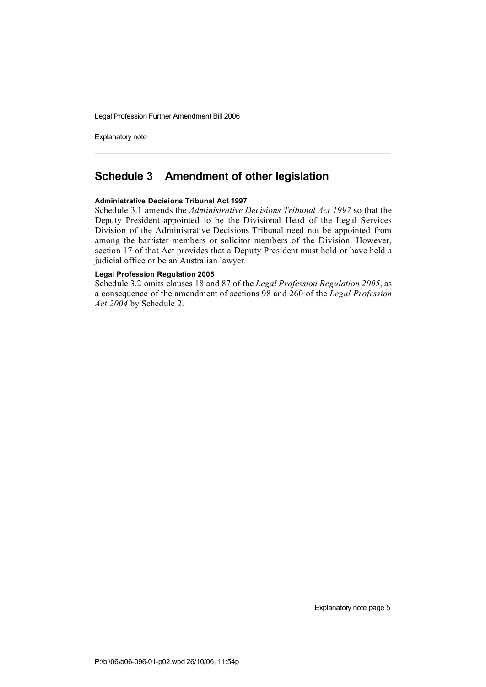Explanatory note

## **Schedule 3 Amendment of other legislation**

## **Administrative Decisions Tribunal Act 1997**

Schedule 3.1 amends the *Administrative Decisions Tribunal Act 1997* so that the Deputy President appointed to be the Divisional Head of the Legal Services Division of the Administrative Decisions Tribunal need not be appointed from among the barrister members or solicitor members of the Division. However, section 17 of that Act provides that a Deputy President must hold or have held a judicial office or be an Australian lawyer.

## **Legal Profession Regulation 2005**

Schedule 3.2 omits clauses 18 and 87 of the *Legal Profession Regulation 2005*, as a consequence of the amendment of sections 98 and 260 of the *Legal Profession Act 2004* by Schedule 2.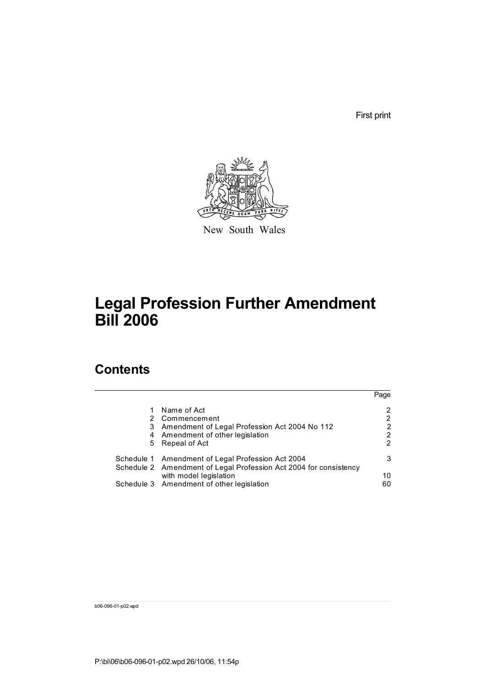First print



New South Wales

# **Legal Profession Further Amendment Bill 2006**

# **Contents**

|   |                                                                                                                        | Page |
|---|------------------------------------------------------------------------------------------------------------------------|------|
|   | Name of Act                                                                                                            | 2    |
|   | 2 Commencement                                                                                                         | 2    |
| 3 | Amendment of Legal Profession Act 2004 No 112                                                                          | 2    |
|   | 4 Amendment of other legislation                                                                                       | 2    |
|   | 5 Repeal of Act                                                                                                        | 2    |
|   | Schedule 1 Amendment of Legal Profession Act 2004<br>Schedule 2 Amendment of Legal Profession Act 2004 for consistency | 3    |
|   | with model legislation                                                                                                 | 10   |
|   | Schedule 3 Amendment of other legislation                                                                              | 60   |

b06-096-01-p02.wpd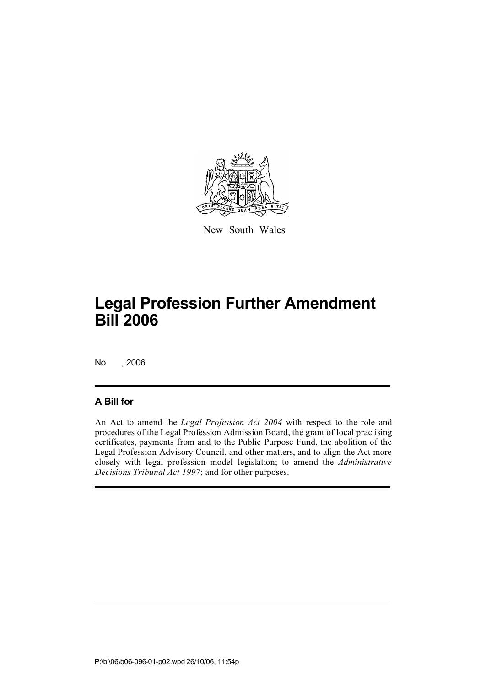

New South Wales

No , 2006

## **A Bill for**

An Act to amend the *Legal Profession Act 2004* with respect to the role and procedures of the Legal Profession Admission Board, the grant of local practising certificates, payments from and to the Public Purpose Fund, the abolition of the Legal Profession Advisory Council, and other matters, and to align the Act more closely with legal profession model legislation; to amend the *Administrative Decisions Tribunal Act 1997*; and for other purposes.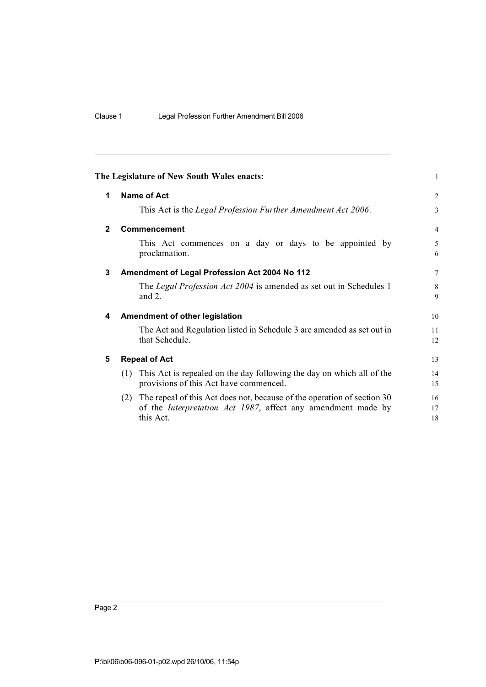|              | The Legislature of New South Wales enacts:                                                                                                                          | $\mathbf{1}$   |
|--------------|---------------------------------------------------------------------------------------------------------------------------------------------------------------------|----------------|
| 1            | <b>Name of Act</b>                                                                                                                                                  | $\overline{2}$ |
|              | This Act is the Legal Profession Further Amendment Act 2006.                                                                                                        | 3              |
| $\mathbf{2}$ | Commencement                                                                                                                                                        | 4              |
|              | This Act commences on a day or days to be appointed by<br>proclamation.                                                                                             | 5<br>6         |
| 3            | Amendment of Legal Profession Act 2004 No 112                                                                                                                       | 7              |
|              | The Legal Profession Act 2004 is amended as set out in Schedules 1<br>and $2$ .                                                                                     | 8<br>9         |
| 4            | <b>Amendment of other legislation</b>                                                                                                                               | 10             |
|              | The Act and Regulation listed in Schedule 3 are amended as set out in<br>that Schedule.                                                                             | 11<br>12       |
| 5            | <b>Repeal of Act</b>                                                                                                                                                | 13             |
|              | (1) This Act is repealed on the day following the day on which all of the<br>provisions of this Act have commenced.                                                 | 14<br>15       |
|              | The repeal of this Act does not, because of the operation of section 30<br>(2)<br>of the <i>Interpretation Act 1987</i> , affect any amendment made by<br>this Act. | 16<br>17<br>18 |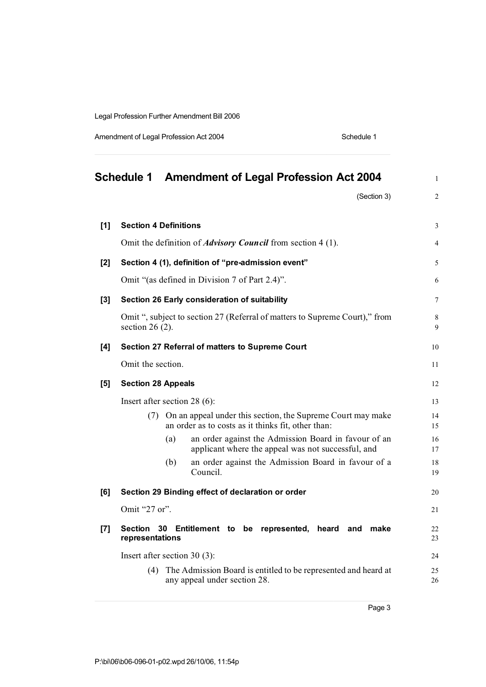Amendment of Legal Profession Act 2004 Schedule 1

|       | <b>Schedule 1</b><br><b>Amendment of Legal Profession Act 2004</b>                                                    | $\mathbf{1}$   |
|-------|-----------------------------------------------------------------------------------------------------------------------|----------------|
|       | (Section 3)                                                                                                           | $\overline{2}$ |
| [1]   | <b>Section 4 Definitions</b>                                                                                          | 3              |
|       | Omit the definition of <i>Advisory Council</i> from section 4 (1).                                                    | $\overline{4}$ |
| $[2]$ | Section 4 (1), definition of "pre-admission event"                                                                    | 5              |
|       | Omit "(as defined in Division 7 of Part 2.4)".                                                                        | 6              |
| $[3]$ | Section 26 Early consideration of suitability                                                                         | 7              |
|       | Omit ", subject to section 27 (Referral of matters to Supreme Court)," from<br>section 26 $(2)$ .                     | 8<br>9         |
| [4]   | Section 27 Referral of matters to Supreme Court                                                                       | 10             |
|       | Omit the section.                                                                                                     | 11             |
| [5]   | <b>Section 28 Appeals</b>                                                                                             | 12             |
|       | Insert after section 28 $(6)$ :                                                                                       | 13             |
|       | (7) On an appeal under this section, the Supreme Court may make<br>an order as to costs as it thinks fit, other than: | 14<br>15       |
|       | an order against the Admission Board in favour of an<br>(a)<br>applicant where the appeal was not successful, and     | 16<br>17       |
|       | (b)<br>an order against the Admission Board in favour of a<br>Council.                                                | 18<br>19       |
| [6]   | Section 29 Binding effect of declaration or order                                                                     | 20             |
|       | Omit "27 or".                                                                                                         | 21             |
| $[7]$ | Section<br>30<br>Entitlement to be represented, heard and<br>make<br>representations                                  | 22<br>23       |
|       | Insert after section 30 $(3)$ :                                                                                       | 24             |
|       | The Admission Board is entitled to be represented and heard at<br>(4)<br>any appeal under section 28.                 | 25<br>26       |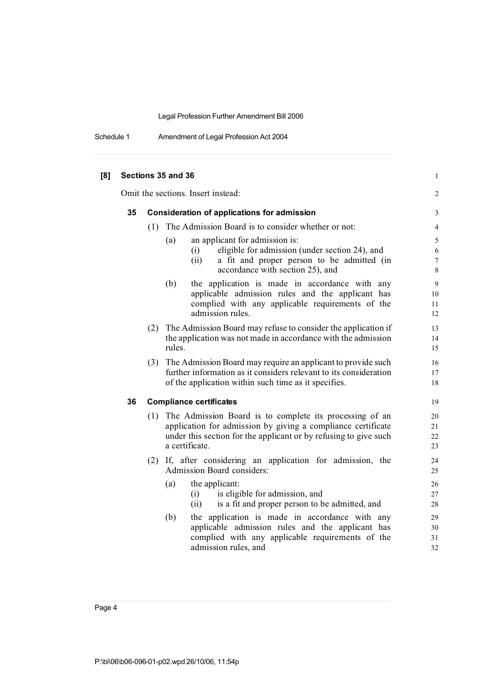Schedule 1 Amendment of Legal Profession Act 2004

| [8] |    |     | Sections 35 and 36                                                                                                                                                                                            | $\mathbf{1}$                    |
|-----|----|-----|---------------------------------------------------------------------------------------------------------------------------------------------------------------------------------------------------------------|---------------------------------|
|     |    |     | Omit the sections. Insert instead:                                                                                                                                                                            | 2                               |
|     | 35 |     | <b>Consideration of applications for admission</b>                                                                                                                                                            | 3                               |
|     |    | (1) | The Admission Board is to consider whether or not:                                                                                                                                                            | $\overline{4}$                  |
|     |    |     | an applicant for admission is:<br>(a)<br>eligible for admission (under section 24), and<br>(i)<br>a fit and proper person to be admitted (in<br>(ii)<br>accordance with section 25), and                      | 5<br>6<br>$\boldsymbol{7}$<br>8 |
|     |    |     | the application is made in accordance with any<br>(b)<br>applicable admission rules and the applicant has<br>complied with any applicable requirements of the<br>admission rules.                             | $\mathbf{9}$<br>10<br>11<br>12  |
|     |    |     | (2) The Admission Board may refuse to consider the application if<br>the application was not made in accordance with the admission<br>rules.                                                                  | 13<br>14<br>15                  |
|     |    | (3) | The Admission Board may require an applicant to provide such<br>further information as it considers relevant to its consideration<br>of the application within such time as it specifies.                     | 16<br>17<br>18                  |
|     | 36 |     | <b>Compliance certificates</b>                                                                                                                                                                                | 19                              |
|     |    | (1) | The Admission Board is to complete its processing of an<br>application for admission by giving a compliance certificate<br>under this section for the applicant or by refusing to give such<br>a certificate. | 20<br>21<br>22<br>23            |
|     |    |     | (2) If, after considering an application for admission, the<br>Admission Board considers:                                                                                                                     | 24<br>25                        |
|     |    |     | (a)<br>the applicant:<br>is eligible for admission, and<br>(i)<br>is a fit and proper person to be admitted, and<br>(ii)                                                                                      | 26<br>27<br>28                  |
|     |    |     | (b)<br>the application is made in accordance with any<br>applicable admission rules and the applicant has<br>complied with any applicable requirements of the<br>admission rules, and                         | 29<br>30<br>31<br>32            |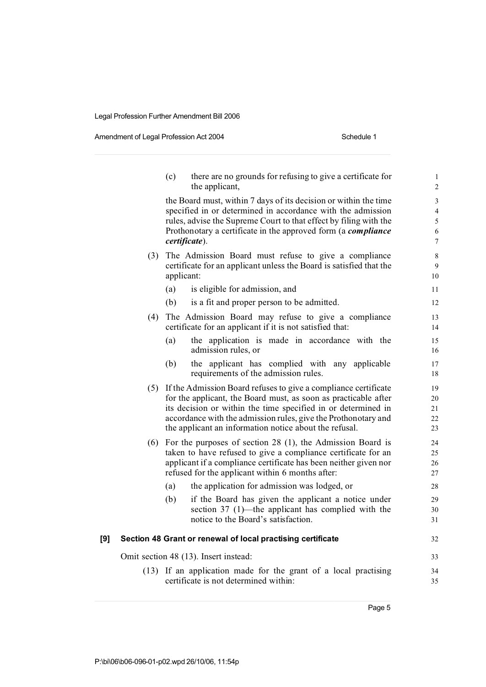Amendment of Legal Profession Act 2004 Schedule 1

|     |     | there are no grounds for refusing to give a certificate for<br>(c)<br>the applicant,                                                                                                                                                                                                                                            | $\mathbf{1}$<br>$\overline{2}$     |
|-----|-----|---------------------------------------------------------------------------------------------------------------------------------------------------------------------------------------------------------------------------------------------------------------------------------------------------------------------------------|------------------------------------|
|     |     | the Board must, within 7 days of its decision or within the time<br>specified in or determined in accordance with the admission<br>rules, advise the Supreme Court to that effect by filing with the<br>Prothonotary a certificate in the approved form (a compliance<br>certificate).                                          | 3<br>4<br>5<br>6<br>$\overline{7}$ |
|     | (3) | The Admission Board must refuse to give a compliance<br>certificate for an applicant unless the Board is satisfied that the<br>applicant:                                                                                                                                                                                       | $\,$ 8 $\,$<br>9<br>10             |
|     |     | (a)<br>is eligible for admission, and                                                                                                                                                                                                                                                                                           | 11                                 |
|     |     | (b)<br>is a fit and proper person to be admitted.                                                                                                                                                                                                                                                                               | 12                                 |
|     | (4) | The Admission Board may refuse to give a compliance<br>certificate for an applicant if it is not satisfied that:                                                                                                                                                                                                                | 13<br>14                           |
|     |     | the application is made in accordance with the<br>(a)<br>admission rules, or                                                                                                                                                                                                                                                    | 15<br>16                           |
|     |     | (b)<br>the applicant has complied with any applicable<br>requirements of the admission rules.                                                                                                                                                                                                                                   | 17<br>18                           |
|     | (5) | If the Admission Board refuses to give a compliance certificate<br>for the applicant, the Board must, as soon as practicable after<br>its decision or within the time specified in or determined in<br>accordance with the admission rules, give the Prothonotary and<br>the applicant an information notice about the refusal. | 19<br>20<br>21<br>22<br>23         |
|     | (6) | For the purposes of section $28$ (1), the Admission Board is<br>taken to have refused to give a compliance certificate for an<br>applicant if a compliance certificate has been neither given nor<br>refused for the applicant within 6 months after:                                                                           | 24<br>25<br>26<br>27               |
|     |     | (a)<br>the application for admission was lodged, or                                                                                                                                                                                                                                                                             | 28                                 |
|     |     | (b)<br>if the Board has given the applicant a notice under<br>section 37 $(1)$ —the applicant has complied with the<br>notice to the Board's satisfaction.                                                                                                                                                                      | 29<br>30<br>31                     |
| [9] |     | Section 48 Grant or renewal of local practising certificate                                                                                                                                                                                                                                                                     | 32                                 |
|     |     | Omit section 48 (13). Insert instead:                                                                                                                                                                                                                                                                                           | 33                                 |
|     |     | (13) If an application made for the grant of a local practising<br>certificate is not determined within:                                                                                                                                                                                                                        | 34<br>35                           |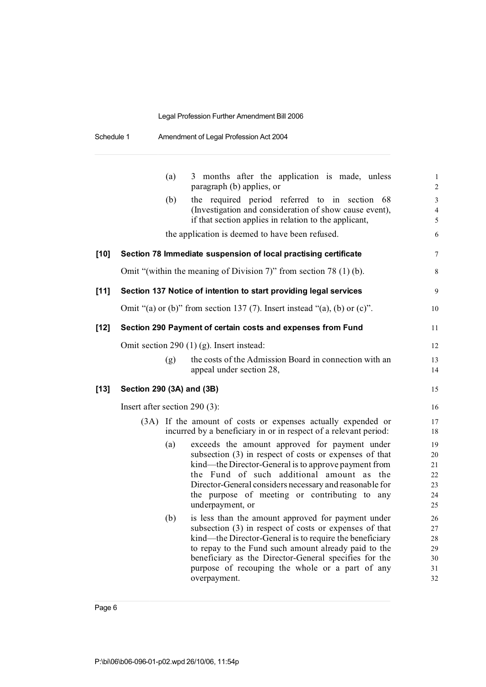| Schedule 1 | Amendment of Legal Profession Act 2004 |
|------------|----------------------------------------|
|------------|----------------------------------------|

|        |                               | (a) | 3 months after the application is made, unless<br>paragraph (b) applies, or                                                      | $\mathbf{1}$<br>$\sqrt{2}$ |
|--------|-------------------------------|-----|----------------------------------------------------------------------------------------------------------------------------------|----------------------------|
|        |                               | (b) | the required period referred to in section<br>68                                                                                 | 3                          |
|        |                               |     | (Investigation and consideration of show cause event),                                                                           | 4                          |
|        |                               |     | if that section applies in relation to the applicant,                                                                            | 5                          |
|        |                               |     | the application is deemed to have been refused.                                                                                  | 6                          |
| $[10]$ |                               |     | Section 78 Immediate suspension of local practising certificate                                                                  | $\tau$                     |
|        |                               |     | Omit "(within the meaning of Division 7)" from section 78 (1) (b).                                                               | 8                          |
| $[11]$ |                               |     | Section 137 Notice of intention to start providing legal services                                                                | 9                          |
|        |                               |     | Omit "(a) or (b)" from section 137 (7). Insert instead "(a), (b) or (c)".                                                        | 10                         |
| $[12]$ |                               |     | Section 290 Payment of certain costs and expenses from Fund                                                                      | 11                         |
|        |                               |     | Omit section 290 $(1)$ (g). Insert instead:                                                                                      | 12                         |
|        |                               | (g) | the costs of the Admission Board in connection with an                                                                           | 13                         |
|        |                               |     | appeal under section 28,                                                                                                         | 14                         |
| [13]   | Section 290 (3A) and (3B)     |     |                                                                                                                                  | 15                         |
|        | Insert after section 290 (3): |     |                                                                                                                                  | 16                         |
|        |                               |     | (3A) If the amount of costs or expenses actually expended or<br>incurred by a beneficiary in or in respect of a relevant period: | 17<br>18                   |
|        |                               | (a) | exceeds the amount approved for payment under                                                                                    | 19                         |
|        |                               |     | subsection (3) in respect of costs or expenses of that                                                                           | 20                         |
|        |                               |     | kind—the Director-General is to approve payment from                                                                             | 21                         |
|        |                               |     | the Fund of such additional amount as the                                                                                        | 22                         |
|        |                               |     | Director-General considers necessary and reasonable for<br>the purpose of meeting or contributing to any                         | 23<br>24                   |
|        |                               |     | underpayment, or                                                                                                                 | 25                         |
|        |                               | (b) | is less than the amount approved for payment under                                                                               | 26                         |
|        |                               |     | subsection (3) in respect of costs or expenses of that                                                                           | 27                         |
|        |                               |     | kind—the Director-General is to require the beneficiary                                                                          | 28                         |
|        |                               |     | to repay to the Fund such amount already paid to the                                                                             | 29                         |
|        |                               |     | beneficiary as the Director-General specifies for the                                                                            | 30                         |
|        |                               |     | purpose of recouping the whole or a part of any                                                                                  | 31                         |
|        |                               |     | overpayment.                                                                                                                     | 32                         |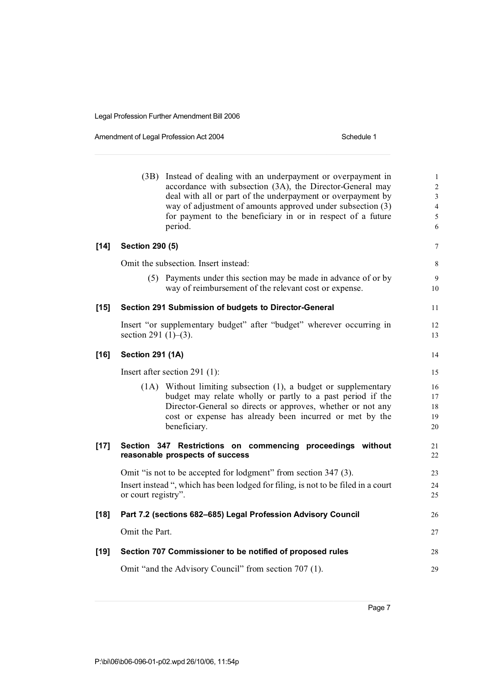Amendment of Legal Profession Act 2004 Schedule 1

|        |                             | (3B) Instead of dealing with an underpayment or overpayment in<br>accordance with subsection (3A), the Director-General may<br>deal with all or part of the underpayment or overpayment by<br>way of adjustment of amounts approved under subsection (3)<br>for payment to the beneficiary in or in respect of a future<br>period. | $\mathbf{1}$<br>$\overline{c}$<br>3<br>$\overline{\mathcal{L}}$<br>5<br>6 |
|--------|-----------------------------|------------------------------------------------------------------------------------------------------------------------------------------------------------------------------------------------------------------------------------------------------------------------------------------------------------------------------------|---------------------------------------------------------------------------|
| $[14]$ | <b>Section 290 (5)</b>      |                                                                                                                                                                                                                                                                                                                                    | $\overline{7}$                                                            |
|        |                             | Omit the subsection. Insert instead:                                                                                                                                                                                                                                                                                               | 8                                                                         |
|        |                             | (5) Payments under this section may be made in advance of or by<br>way of reimbursement of the relevant cost or expense.                                                                                                                                                                                                           | 9<br>10                                                                   |
| $[15]$ |                             | Section 291 Submission of budgets to Director-General                                                                                                                                                                                                                                                                              | 11                                                                        |
|        | section 291 $(1)$ – $(3)$ . | Insert "or supplementary budget" after "budget" wherever occurring in                                                                                                                                                                                                                                                              | 12<br>13                                                                  |
| $[16]$ | <b>Section 291 (1A)</b>     |                                                                                                                                                                                                                                                                                                                                    | 14                                                                        |
|        |                             | Insert after section 291 $(1)$ :                                                                                                                                                                                                                                                                                                   | 15                                                                        |
|        |                             | (1A) Without limiting subsection (1), a budget or supplementary<br>budget may relate wholly or partly to a past period if the<br>Director-General so directs or approves, whether or not any<br>cost or expense has already been incurred or met by the<br>beneficiary.                                                            | 16<br>17<br>18<br>19<br>20                                                |
| $[17]$ |                             | Section 347 Restrictions on commencing proceedings without<br>reasonable prospects of success                                                                                                                                                                                                                                      | 21<br>22                                                                  |
|        |                             | Omit "is not to be accepted for lodgment" from section 347 (3).                                                                                                                                                                                                                                                                    | 23                                                                        |
|        | or court registry".         | Insert instead ", which has been lodged for filing, is not to be filed in a court                                                                                                                                                                                                                                                  | 24<br>25                                                                  |
| $[18]$ |                             | Part 7.2 (sections 682-685) Legal Profession Advisory Council                                                                                                                                                                                                                                                                      | 26                                                                        |
|        | Omit the Part.              |                                                                                                                                                                                                                                                                                                                                    | 27                                                                        |
| [19]   |                             | Section 707 Commissioner to be notified of proposed rules                                                                                                                                                                                                                                                                          | 28                                                                        |
|        |                             | Omit "and the Advisory Council" from section 707 (1).                                                                                                                                                                                                                                                                              | 29                                                                        |
|        |                             |                                                                                                                                                                                                                                                                                                                                    |                                                                           |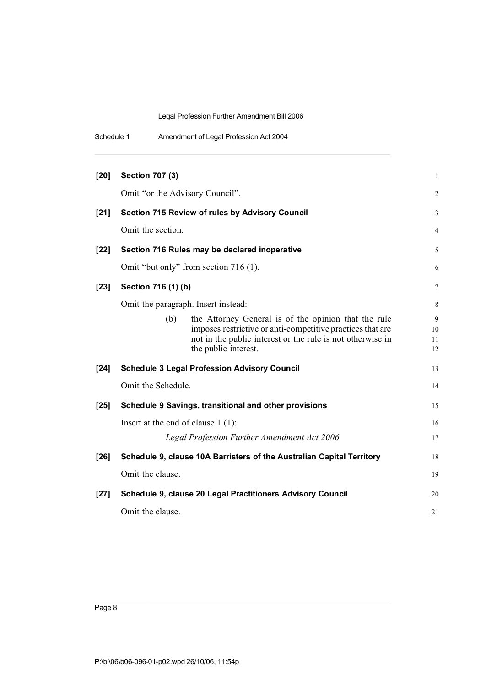| Schedule 1 | Amendment of Legal Profession Act 2004 |
|------------|----------------------------------------|
|            |                                        |

| [20]   | <b>Section 707 (3)</b>                                                                                                                                                                                          | $\mathbf{1}$        |
|--------|-----------------------------------------------------------------------------------------------------------------------------------------------------------------------------------------------------------------|---------------------|
|        | Omit "or the Advisory Council".                                                                                                                                                                                 | 2                   |
| $[21]$ | <b>Section 715 Review of rules by Advisory Council</b>                                                                                                                                                          | 3                   |
|        | Omit the section.                                                                                                                                                                                               | 4                   |
| $[22]$ | Section 716 Rules may be declared inoperative                                                                                                                                                                   | 5                   |
|        | Omit "but only" from section 716 (1).                                                                                                                                                                           | 6                   |
| $[23]$ | Section 716 (1) (b)                                                                                                                                                                                             | 7                   |
|        | Omit the paragraph. Insert instead:                                                                                                                                                                             | 8                   |
|        | the Attorney General is of the opinion that the rule<br>(b)<br>imposes restrictive or anti-competitive practices that are<br>not in the public interest or the rule is not otherwise in<br>the public interest. | 9<br>10<br>11<br>12 |
| $[24]$ | <b>Schedule 3 Legal Profession Advisory Council</b>                                                                                                                                                             | 13                  |
|        | Omit the Schedule.                                                                                                                                                                                              | 14                  |
| $[25]$ | Schedule 9 Savings, transitional and other provisions                                                                                                                                                           | 15                  |
|        | Insert at the end of clause $1(1)$ :                                                                                                                                                                            | 16                  |
|        | Legal Profession Further Amendment Act 2006                                                                                                                                                                     | 17                  |
| $[26]$ | Schedule 9, clause 10A Barristers of the Australian Capital Territory                                                                                                                                           | 18                  |
|        | Omit the clause.                                                                                                                                                                                                | 19                  |
| $[27]$ | Schedule 9, clause 20 Legal Practitioners Advisory Council                                                                                                                                                      | 20                  |
|        | Omit the clause.                                                                                                                                                                                                | 21                  |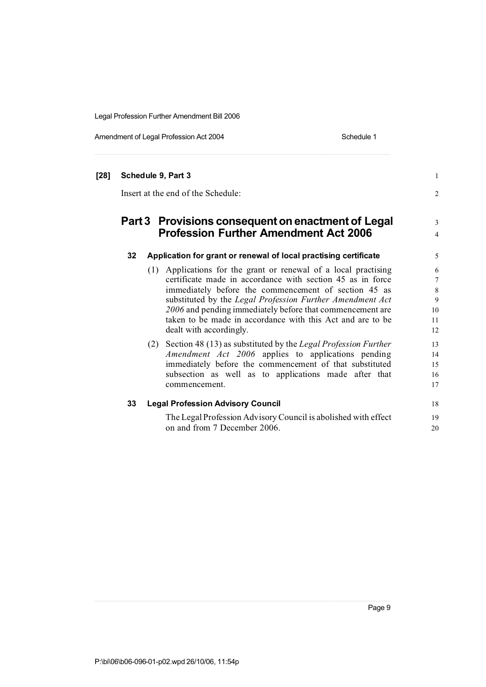Amendment of Legal Profession Act 2004 Schedule 1

| $[28]$ |    | Schedule 9, Part 3<br>Insert at the end of the Schedule:                                                                                                                                                                                                                                                                                                                                                 | 1<br>$\overline{2}$                             |
|--------|----|----------------------------------------------------------------------------------------------------------------------------------------------------------------------------------------------------------------------------------------------------------------------------------------------------------------------------------------------------------------------------------------------------------|-------------------------------------------------|
|        |    | Part 3 Provisions consequent on enactment of Legal<br><b>Profession Further Amendment Act 2006</b>                                                                                                                                                                                                                                                                                                       | 3<br>$\overline{4}$                             |
|        | 32 | Application for grant or renewal of local practising certificate                                                                                                                                                                                                                                                                                                                                         | 5                                               |
|        |    | (1) Applications for the grant or renewal of a local practising<br>certificate made in accordance with section 45 as in force<br>immediately before the commencement of section 45 as<br>substituted by the Legal Profession Further Amendment Act<br>2006 and pending immediately before that commencement are<br>taken to be made in accordance with this Act and are to be<br>dealt with accordingly. | 6<br>$\overline{7}$<br>8<br>9<br>10<br>11<br>12 |
|        |    | (2) Section 48 (13) as substituted by the Legal Profession Further<br>Amendment Act 2006 applies to applications pending<br>immediately before the commencement of that substituted<br>subsection as well as to applications made after that<br>commencement.                                                                                                                                            | 13<br>14<br>15<br>16<br>17                      |
|        | 33 | <b>Legal Profession Advisory Council</b>                                                                                                                                                                                                                                                                                                                                                                 | 18                                              |
|        |    | The Legal Profession Advisory Council is abolished with effect<br>on and from 7 December 2006.                                                                                                                                                                                                                                                                                                           | 19<br>20                                        |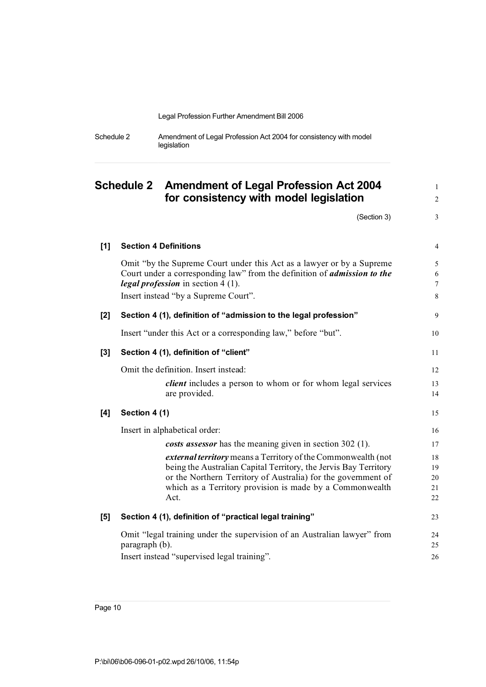| Schedule 2 | Amendment of Legal Profession Act 2004 for consistency with model |
|------------|-------------------------------------------------------------------|
|            | legislation                                                       |

# **Schedule 2 Amendment of Legal Profession Act 2004** <sup>1</sup> **for consistency with model legislation** <sup>2</sup>

 $(Section 3)$  3

| [1]   | <b>Section 4 Definitions</b>                                                                                                                                                                                                                                           | 4                          |
|-------|------------------------------------------------------------------------------------------------------------------------------------------------------------------------------------------------------------------------------------------------------------------------|----------------------------|
|       | Omit "by the Supreme Court under this Act as a lawyer or by a Supreme                                                                                                                                                                                                  | 5                          |
|       | Court under a corresponding law" from the definition of <i>admission to the</i><br><i>legal profession</i> in section 4 (1).                                                                                                                                           | 6<br>$\overline{7}$        |
|       | Insert instead "by a Supreme Court".                                                                                                                                                                                                                                   | 8                          |
| $[2]$ | Section 4 (1), definition of "admission to the legal profession"                                                                                                                                                                                                       | 9                          |
|       | Insert "under this Act or a corresponding law," before "but".                                                                                                                                                                                                          | 10                         |
| $[3]$ | Section 4 (1), definition of "client"                                                                                                                                                                                                                                  | 11                         |
|       | Omit the definition. Insert instead:                                                                                                                                                                                                                                   | 12                         |
|       | <i>client</i> includes a person to whom or for whom legal services<br>are provided.                                                                                                                                                                                    | 13<br>14                   |
| [4]   | Section 4 (1)                                                                                                                                                                                                                                                          | 15                         |
|       | Insert in alphabetical order:                                                                                                                                                                                                                                          | 16                         |
|       | costs assessor has the meaning given in section 302 (1).                                                                                                                                                                                                               | 17                         |
|       | external territory means a Territory of the Commonwealth (not<br>being the Australian Capital Territory, the Jervis Bay Territory<br>or the Northern Territory of Australia) for the government of<br>which as a Territory provision is made by a Commonwealth<br>Act. | 18<br>19<br>20<br>21<br>22 |
| [5]   | Section 4 (1), definition of "practical legal training"                                                                                                                                                                                                                | 23                         |
|       | Omit "legal training under the supervision of an Australian lawyer" from<br>paragraph (b).<br>Insert instead "supervised legal training".                                                                                                                              | 24<br>25<br>26             |
|       |                                                                                                                                                                                                                                                                        |                            |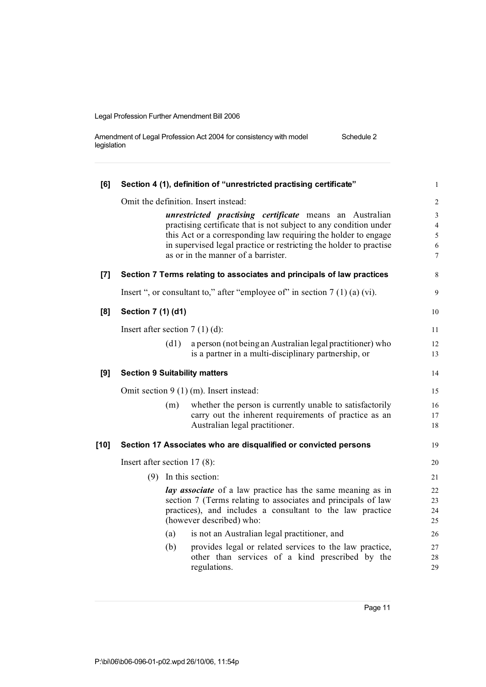| Amendment of Legal Profession Act 2004 for consistency with model | Schedule 2 |
|-------------------------------------------------------------------|------------|
| legislation                                                       |            |

| [6]    |                                                                                                           |      | Section 4 (1), definition of "unrestricted practising certificate"          | $\mathbf{1}$             |  |  |
|--------|-----------------------------------------------------------------------------------------------------------|------|-----------------------------------------------------------------------------|--------------------------|--|--|
|        |                                                                                                           |      | Omit the definition. Insert instead:                                        | $\overline{2}$           |  |  |
|        |                                                                                                           |      | unrestricted practising certificate means an Australian                     | $\mathfrak{Z}$           |  |  |
|        |                                                                                                           |      | practising certificate that is not subject to any condition under           | $\overline{4}$           |  |  |
|        |                                                                                                           |      | this Act or a corresponding law requiring the holder to engage              | $\sqrt{5}$<br>$\sqrt{6}$ |  |  |
|        | in supervised legal practice or restricting the holder to practise<br>as or in the manner of a barrister. |      |                                                                             |                          |  |  |
| $[7]$  |                                                                                                           |      | Section 7 Terms relating to associates and principals of law practices      | 8                        |  |  |
|        |                                                                                                           |      | Insert ", or consultant to," after "employee of" in section $7(1)(a)(vi)$ . | 9                        |  |  |
| [8]    | Section 7 (1) (d1)                                                                                        |      |                                                                             | 10                       |  |  |
|        | Insert after section $7(1)(d)$ :                                                                          |      |                                                                             | 11                       |  |  |
|        |                                                                                                           | (d1) | a person (not being an Australian legal practitioner) who                   | 12                       |  |  |
|        |                                                                                                           |      | is a partner in a multi-disciplinary partnership, or                        | 13                       |  |  |
| [9]    | <b>Section 9 Suitability matters</b>                                                                      |      |                                                                             | 14                       |  |  |
|        |                                                                                                           |      | Omit section $9(1)$ (m). Insert instead:                                    | 15                       |  |  |
|        |                                                                                                           | (m)  | whether the person is currently unable to satisfactorily                    | 16                       |  |  |
|        |                                                                                                           |      | carry out the inherent requirements of practice as an                       | 17                       |  |  |
|        |                                                                                                           |      | Australian legal practitioner.                                              | 18                       |  |  |
| $[10]$ |                                                                                                           |      | Section 17 Associates who are disqualified or convicted persons             | 19                       |  |  |
|        | Insert after section $17(8)$ :                                                                            |      |                                                                             | 20                       |  |  |
|        |                                                                                                           |      | $(9)$ In this section:                                                      | 21                       |  |  |
|        |                                                                                                           |      | lay associate of a law practice has the same meaning as in                  | 22                       |  |  |
|        |                                                                                                           |      | section 7 (Terms relating to associates and principals of law               | 23                       |  |  |
|        |                                                                                                           |      | practices), and includes a consultant to the law practice                   | 24                       |  |  |
|        |                                                                                                           |      | (however described) who:                                                    | 25                       |  |  |
|        |                                                                                                           | (a)  | is not an Australian legal practitioner, and                                | 26                       |  |  |
|        |                                                                                                           | (b)  | provides legal or related services to the law practice,                     | 27                       |  |  |
|        |                                                                                                           |      | other than services of a kind prescribed by the                             | 28                       |  |  |
|        |                                                                                                           |      | regulations.                                                                | 29                       |  |  |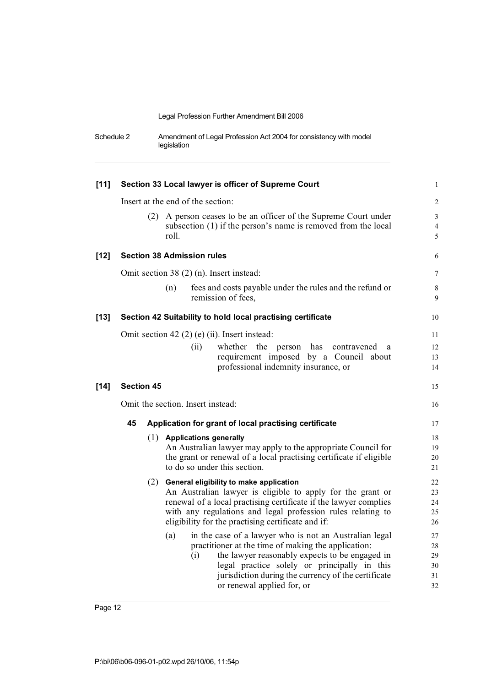| Schedule 2 | Amendment of Legal Profession Act 2004 for consistency with model |
|------------|-------------------------------------------------------------------|
|            | legislation                                                       |

| $[11]$ | Section 33 Local lawyer is officer of Supreme Court |  |                                                                                                                                           |                                       |  |
|--------|-----------------------------------------------------|--|-------------------------------------------------------------------------------------------------------------------------------------------|---------------------------------------|--|
|        |                                                     |  | Insert at the end of the section:                                                                                                         | $\sqrt{2}$                            |  |
|        |                                                     |  | (2) A person ceases to be an officer of the Supreme Court under<br>subsection (1) if the person's name is removed from the local<br>roll. | $\mathfrak{Z}$<br>$\overline{4}$<br>5 |  |
| $[12]$ |                                                     |  | <b>Section 38 Admission rules</b>                                                                                                         | 6                                     |  |
|        |                                                     |  | Omit section $38(2)$ (n). Insert instead:                                                                                                 | 7                                     |  |
|        |                                                     |  | fees and costs payable under the rules and the refund or<br>(n)<br>remission of fees,                                                     | $\,$ 8 $\,$<br>9                      |  |
| $[13]$ |                                                     |  | Section 42 Suitability to hold local practising certificate                                                                               | 10                                    |  |
|        |                                                     |  | Omit section 42 $(2)$ (e) (ii). Insert instead:                                                                                           | 11                                    |  |
|        |                                                     |  | (ii)<br>whether the person has<br>contravened<br>a                                                                                        | 12                                    |  |
|        |                                                     |  | requirement imposed by a Council about                                                                                                    | 13                                    |  |
|        |                                                     |  | professional indemnity insurance, or                                                                                                      | 14                                    |  |
| $[14]$ | <b>Section 45</b>                                   |  |                                                                                                                                           | 15                                    |  |
|        | Omit the section. Insert instead:                   |  |                                                                                                                                           |                                       |  |
|        | 45                                                  |  | Application for grant of local practising certificate                                                                                     | 17                                    |  |
|        |                                                     |  | (1) Applications generally                                                                                                                | 18                                    |  |
|        |                                                     |  | An Australian lawyer may apply to the appropriate Council for                                                                             | 19                                    |  |
|        |                                                     |  | the grant or renewal of a local practising certificate if eligible                                                                        | 20                                    |  |
|        |                                                     |  | to do so under this section.                                                                                                              | 21                                    |  |
|        |                                                     |  | (2) General eligibility to make application                                                                                               | 22                                    |  |
|        |                                                     |  | An Australian lawyer is eligible to apply for the grant or                                                                                | 23                                    |  |
|        |                                                     |  | renewal of a local practising certificate if the lawyer complies                                                                          | 24                                    |  |
|        |                                                     |  | with any regulations and legal profession rules relating to                                                                               | 25                                    |  |
|        |                                                     |  | eligibility for the practising certificate and if:                                                                                        | 26                                    |  |
|        |                                                     |  | in the case of a lawyer who is not an Australian legal<br>(a)                                                                             | 27                                    |  |
|        |                                                     |  | practitioner at the time of making the application:                                                                                       | 28                                    |  |
|        |                                                     |  | the lawyer reasonably expects to be engaged in<br>(i)                                                                                     | 29                                    |  |
|        |                                                     |  | legal practice solely or principally in this                                                                                              | 30                                    |  |
|        |                                                     |  | jurisdiction during the currency of the certificate                                                                                       | 31                                    |  |
|        |                                                     |  | or renewal applied for, or                                                                                                                | 32                                    |  |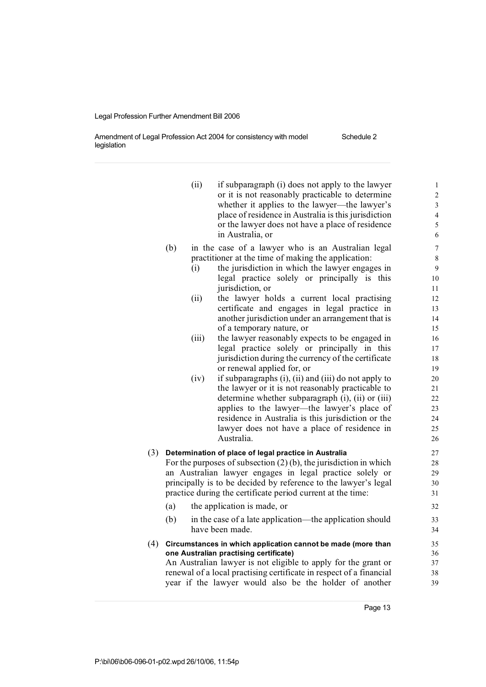Amendment of Legal Profession Act 2004 for consistency with model legislation

- (ii) if subparagraph (i) does not apply to the lawyer  $1$ or it is not reasonably practicable to determine 2 whether it applies to the lawyer—the lawyer's 3 place of residence in Australia is this jurisdiction 4 or the lawyer does not have a place of residence 5 in Australia, or 6
- (b) in the case of a lawyer who is an Australian legal 7 practitioner at the time of making the application: 8
	- (i) the jurisdiction in which the lawyer engages in 9 legal practice solely or principally is this 10 jurisdiction, or 11
	- (ii) the lawyer holds a current local practising 12 certificate and engages in legal practice in 13 another jurisdiction under an arrangement that is 14 of a temporary nature, or 15
	- (iii) the lawyer reasonably expects to be engaged in 16 legal practice solely or principally in this 17 jurisdiction during the currency of the certificate 18 or renewal applied for, or 19
	- $(iv)$  if subparagraphs  $(i)$ ,  $(ii)$  and  $(iii)$  do not apply to 20 the lawyer or it is not reasonably practicable to 21 determine whether subparagraph  $(i)$ ,  $(ii)$  or  $(iii)$  22 applies to the lawyer—the lawyer's place of 23 residence in Australia is this jurisdiction or the 24 lawyer does not have a place of residence in 25 Australia. 26

### (3) **Determination of place of legal practice in Australia** 27

For the purposes of subsection  $(2)$  (b), the jurisdiction in which 28 an Australian lawyer engages in legal practice solely or 29 principally is to be decided by reference to the lawyer's legal 30 practice during the certificate period current at the time: 31

- (a) the application is made, or 32 (b) in the case of a late application—the application should 33 have been made. 34
- (4) **Circumstances in which application cannot be made (more than** 35 **one Australian practising certificate)** 36 An Australian lawyer is not eligible to apply for the grant or 37 renewal of a local practising certificate in respect of a financial 38 year if the lawyer would also be the holder of another 39

Page 13

## Schedule 2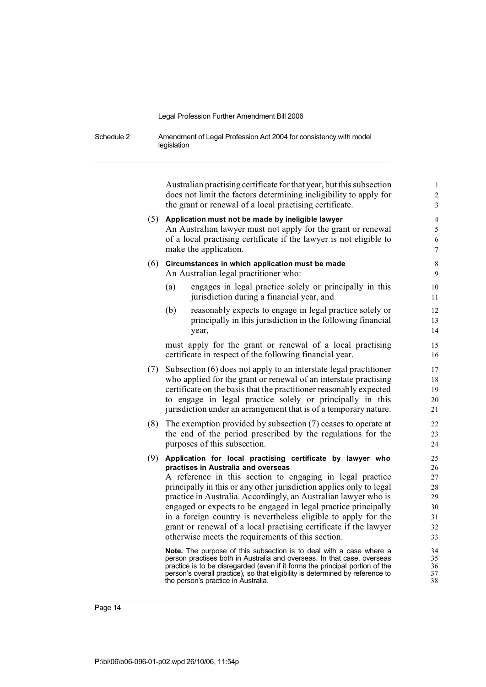Schedule 2 Amendment of Legal Profession Act 2004 for consistency with model legislation

> Australian practising certificate for that year, but this subsection 1 does not limit the factors determining ineligibility to apply for 2 the grant or renewal of a local practising certificate. 3

## (5) **Application must not be made by ineligible lawyer** 4 An Australian lawyer must not apply for the grant or renewal 5 of a local practising certificate if the lawyer is not eligible to 6 make the application. 7 (6) **Circumstances in which application must be made** 8 An Australian legal practitioner who: 9 (a) engages in legal practice solely or principally in this 10 jurisdiction during a financial year, and 11 (b) reasonably expects to engage in legal practice solely or 12 principally in this jurisdiction in the following financial 13 year, 14 must apply for the grant or renewal of a local practising 15 certificate in respect of the following financial year. 16 (7) Subsection (6) does not apply to an interstate legal practitioner 17 who applied for the grant or renewal of an interstate practising 18 certificate on the basis that the practitioner reasonably expected 19

to engage in legal practice solely or principally in this 20

- jurisdiction under an arrangement that is of a temporary nature. 21 (8) The exemption provided by subsection (7) ceases to operate at 22 the end of the period prescribed by the regulations for the 23 purposes of this subsection. 24
- (9) **Application for local practising certificate by lawyer who** 25 **practises in Australia and overseas** 26

A reference in this section to engaging in legal practice 27 principally in this or any other jurisdiction applies only to legal 28 practice in Australia. Accordingly, an Australian lawyer who is 29 engaged or expects to be engaged in legal practice principally 30 in a foreign country is nevertheless eligible to apply for the 31 grant or renewal of a local practising certificate if the lawyer 32 otherwise meets the requirements of this section. 33

**Note.** The purpose of this subsection is to deal with a case where a 34 person practises both in Australia and overseas. In that case, overseas 35 person practises both in Australia and overseas. In that case, overseas 35<br>practice is to be disregarded (even if it forms the principal portion of the 36 practice is to be disregarded (even if it forms the principal portion of the  $36$ <br>person's overall practice) so that eligibility is determined by reference to  $37$ person's overall practice), so that eligibility is determined by reference to 37 the person's practice in Australia. 38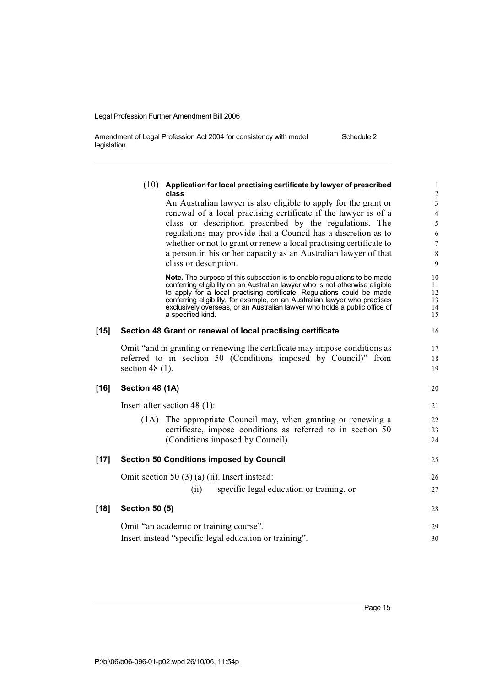| Amendment of Legal Profession Act 2004 for consistency with model | Schedule 2 |
|-------------------------------------------------------------------|------------|
| legislation                                                       |            |

|        |                       | $(10)$ Application for local practising certificate by lawyer of prescribed<br>class                                                                     | $\,1\,$<br>$\sqrt{2}$ |
|--------|-----------------------|----------------------------------------------------------------------------------------------------------------------------------------------------------|-----------------------|
|        |                       | An Australian lawyer is also eligible to apply for the grant or                                                                                          | $\mathfrak{Z}$        |
|        |                       | renewal of a local practising certificate if the lawyer is of a                                                                                          | $\overline{4}$        |
|        |                       | class or description prescribed by the regulations. The                                                                                                  | $\mathfrak s$         |
|        |                       | regulations may provide that a Council has a discretion as to                                                                                            | 6                     |
|        |                       | whether or not to grant or renew a local practising certificate to                                                                                       | $\tau$                |
|        |                       | a person in his or her capacity as an Australian lawyer of that                                                                                          | $\,$ 8 $\,$           |
|        |                       | class or description.                                                                                                                                    | $\overline{9}$        |
|        |                       | <b>Note.</b> The purpose of this subsection is to enable regulations to be made                                                                          | 10                    |
|        |                       | conferring eligibility on an Australian lawyer who is not otherwise eligible                                                                             | 11                    |
|        |                       | to apply for a local practising certificate. Regulations could be made                                                                                   | 12                    |
|        |                       | conferring eligibility, for example, on an Australian lawyer who practises<br>exclusively overseas, or an Australian lawyer who holds a public office of | 13<br>14              |
|        |                       | a specified kind.                                                                                                                                        | 15                    |
| $[15]$ |                       | Section 48 Grant or renewal of local practising certificate                                                                                              | 16                    |
|        |                       | Omit "and in granting or renewing the certificate may impose conditions as                                                                               | 17                    |
|        |                       | referred to in section 50 (Conditions imposed by Council)" from                                                                                          | 18                    |
|        | section 48 $(1)$ .    |                                                                                                                                                          | 19                    |
| [16]   | Section 48 (1A)       |                                                                                                                                                          | 20                    |
|        |                       | Insert after section 48 $(1)$ :                                                                                                                          | 21                    |
|        | (1A)                  | The appropriate Council may, when granting or renewing a                                                                                                 | 22                    |
|        |                       | certificate, impose conditions as referred to in section 50                                                                                              | 23                    |
|        |                       | (Conditions imposed by Council).                                                                                                                         | 24                    |
| [17]   |                       | <b>Section 50 Conditions imposed by Council</b>                                                                                                          | 25                    |
|        |                       | Omit section 50 $(3)$ (a) (ii). Insert instead:                                                                                                          | 26                    |
|        |                       | (ii)<br>specific legal education or training, or                                                                                                         | 27                    |
| [18]   | <b>Section 50 (5)</b> |                                                                                                                                                          | 28                    |
|        |                       | Omit "an academic or training course".                                                                                                                   | 29                    |
|        |                       |                                                                                                                                                          |                       |
|        |                       | Insert instead "specific legal education or training".                                                                                                   | 30                    |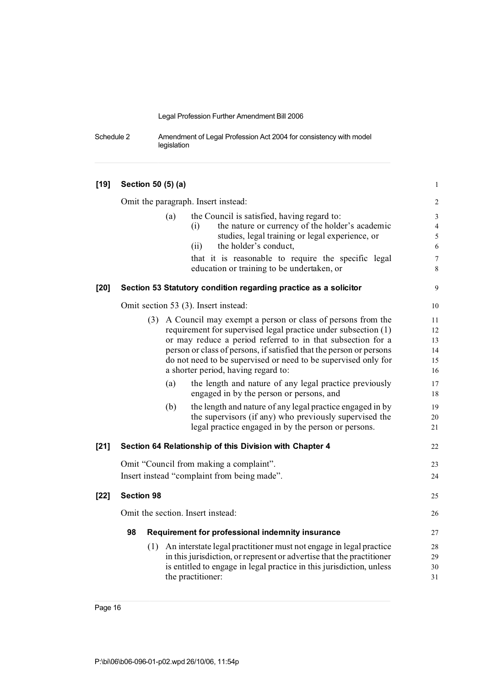Schedule 2 Amendment of Legal Profession Act 2004 for consistency with model legislation

| $[19]$ | Section 50 (5) (a)                                                                                                                                                                                                                                                                                                                                                                                                                                                                                                                                                                                                                                                                | $\mathbf{1}$                                                                 |
|--------|-----------------------------------------------------------------------------------------------------------------------------------------------------------------------------------------------------------------------------------------------------------------------------------------------------------------------------------------------------------------------------------------------------------------------------------------------------------------------------------------------------------------------------------------------------------------------------------------------------------------------------------------------------------------------------------|------------------------------------------------------------------------------|
|        | Omit the paragraph. Insert instead:                                                                                                                                                                                                                                                                                                                                                                                                                                                                                                                                                                                                                                               | $\sqrt{2}$                                                                   |
|        | the Council is satisfied, having regard to:<br>(a)<br>the nature or currency of the holder's academic<br>(i)<br>studies, legal training or legal experience, or<br>the holder's conduct,<br>(ii)<br>that it is reasonable to require the specific legal<br>education or training to be undertaken, or                                                                                                                                                                                                                                                                                                                                                                             | 3<br>$\overline{4}$<br>$\sqrt{5}$<br>$\sqrt{6}$<br>$\boldsymbol{7}$<br>$8\,$ |
| $[20]$ | Section 53 Statutory condition regarding practice as a solicitor                                                                                                                                                                                                                                                                                                                                                                                                                                                                                                                                                                                                                  | 9                                                                            |
|        | Omit section 53 (3). Insert instead:                                                                                                                                                                                                                                                                                                                                                                                                                                                                                                                                                                                                                                              | 10                                                                           |
|        | (3) A Council may exempt a person or class of persons from the<br>requirement for supervised legal practice under subsection (1)<br>or may reduce a period referred to in that subsection for a<br>person or class of persons, if satisfied that the person or persons<br>do not need to be supervised or need to be supervised only for<br>a shorter period, having regard to:<br>the length and nature of any legal practice previously<br>(a)<br>engaged in by the person or persons, and<br>(b)<br>the length and nature of any legal practice engaged in by<br>the supervisors (if any) who previously supervised the<br>legal practice engaged in by the person or persons. | 11<br>12<br>13<br>14<br>15<br>16<br>17<br>18<br>19<br>20<br>21               |
| $[21]$ | Section 64 Relationship of this Division with Chapter 4                                                                                                                                                                                                                                                                                                                                                                                                                                                                                                                                                                                                                           | 22                                                                           |
|        | Omit "Council from making a complaint".                                                                                                                                                                                                                                                                                                                                                                                                                                                                                                                                                                                                                                           | 23                                                                           |
|        | Insert instead "complaint from being made".                                                                                                                                                                                                                                                                                                                                                                                                                                                                                                                                                                                                                                       | 24                                                                           |
| $[22]$ | <b>Section 98</b>                                                                                                                                                                                                                                                                                                                                                                                                                                                                                                                                                                                                                                                                 | 25                                                                           |
|        | Omit the section. Insert instead:                                                                                                                                                                                                                                                                                                                                                                                                                                                                                                                                                                                                                                                 | 26                                                                           |
|        | 98<br>Requirement for professional indemnity insurance                                                                                                                                                                                                                                                                                                                                                                                                                                                                                                                                                                                                                            | 27                                                                           |
|        | (1) An interstate legal practitioner must not engage in legal practice<br>in this jurisdiction, or represent or advertise that the practitioner<br>is entitled to engage in legal practice in this jurisdiction, unless<br>the practitioner:                                                                                                                                                                                                                                                                                                                                                                                                                                      | 28<br>29<br>30<br>31                                                         |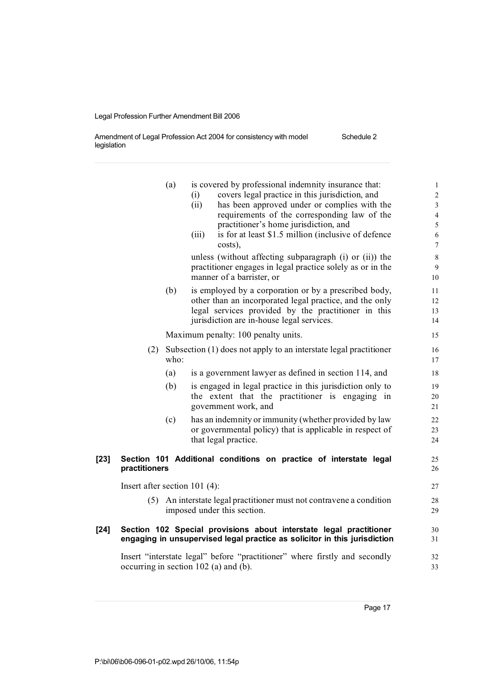Amendment of Legal Profession Act 2004 for consistency with model legislation Schedule 2

|        |                                       | (a)  |       | is covered by professional indemnity insurance that:                       | $\mathbf{1}$             |
|--------|---------------------------------------|------|-------|----------------------------------------------------------------------------|--------------------------|
|        |                                       |      | (i)   | covers legal practice in this jurisdiction, and                            | $\overline{c}$           |
|        |                                       |      | (ii)  | has been approved under or complies with the                               | $\overline{3}$           |
|        |                                       |      |       | requirements of the corresponding law of the                               | $\overline{\mathcal{L}}$ |
|        |                                       |      |       | practitioner's home jurisdiction, and                                      | 5                        |
|        |                                       |      | (iii) | is for at least \$1.5 million (inclusive of defence)                       | 6                        |
|        |                                       |      |       | costs),                                                                    | $\boldsymbol{7}$         |
|        |                                       |      |       | unless (without affecting subparagraph (i) or (ii)) the                    | $\,$ 8 $\,$              |
|        |                                       |      |       | practitioner engages in legal practice solely as or in the                 | 9                        |
|        |                                       |      |       | manner of a barrister, or                                                  | 10                       |
|        |                                       | (b)  |       | is employed by a corporation or by a prescribed body,                      | 11                       |
|        |                                       |      |       | other than an incorporated legal practice, and the only                    | 12                       |
|        |                                       |      |       | legal services provided by the practitioner in this                        | 13                       |
|        |                                       |      |       | jurisdiction are in-house legal services.                                  | 14                       |
|        |                                       |      |       | Maximum penalty: 100 penalty units.                                        | 15                       |
|        | (2)                                   |      |       | Subsection (1) does not apply to an interstate legal practitioner          | 16                       |
|        |                                       | who: |       |                                                                            | 17                       |
|        |                                       | (a)  |       | is a government lawyer as defined in section 114, and                      | 18                       |
|        |                                       | (b)  |       | is engaged in legal practice in this jurisdiction only to                  | 19                       |
|        |                                       |      |       | the extent that the practitioner is engaging in                            | 20                       |
|        |                                       |      |       | government work, and                                                       | 21                       |
|        |                                       | (c)  |       | has an indemnity or immunity (whether provided by law                      | 22                       |
|        |                                       |      |       | or governmental policy) that is applicable in respect of                   | 23                       |
|        |                                       |      |       | that legal practice.                                                       | 24                       |
| $[23]$ |                                       |      |       | Section 101 Additional conditions on practice of interstate legal          | 25                       |
|        | practitioners                         |      |       |                                                                            | 26                       |
|        | Insert after section $101(4)$ :       |      |       |                                                                            | 27                       |
|        | (5)                                   |      |       | An interstate legal practitioner must not contravene a condition           | 28                       |
|        |                                       |      |       | imposed under this section.                                                | 29                       |
| $[24]$ |                                       |      |       | Section 102 Special provisions about interstate legal practitioner         | 30                       |
|        |                                       |      |       | engaging in unsupervised legal practice as solicitor in this jurisdiction  | 31                       |
|        |                                       |      |       | Insert "interstate legal" before "practitioner" where firstly and secondly | 32                       |
|        | occurring in section 102 (a) and (b). |      |       |                                                                            | 33                       |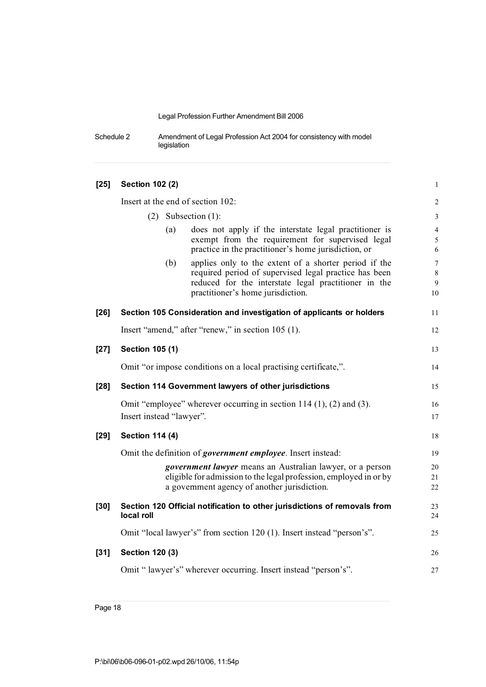Schedule 2 Amendment of Legal Profession Act 2004 for consistency with model legislation

| $[25]$ | <b>Section 102 (2)</b>   |     |                                                                                                                                                                                                             | $\mathbf{1}$                     |
|--------|--------------------------|-----|-------------------------------------------------------------------------------------------------------------------------------------------------------------------------------------------------------------|----------------------------------|
|        |                          |     | Insert at the end of section 102:                                                                                                                                                                           | $\sqrt{2}$                       |
|        | (2)                      |     | Subsection $(1)$ :                                                                                                                                                                                          | $\mathfrak{Z}$                   |
|        |                          | (a) | does not apply if the interstate legal practitioner is<br>exempt from the requirement for supervised legal<br>practice in the practitioner's home jurisdiction, or                                          | $\overline{4}$<br>5<br>6         |
|        |                          | (b) | applies only to the extent of a shorter period if the<br>required period of supervised legal practice has been<br>reduced for the interstate legal practitioner in the<br>practitioner's home jurisdiction. | $\tau$<br>$\,$ 8 $\,$<br>9<br>10 |
| $[26]$ |                          |     | Section 105 Consideration and investigation of applicants or holders                                                                                                                                        | 11                               |
|        |                          |     | Insert "amend," after "renew," in section 105 (1).                                                                                                                                                          | 12                               |
| $[27]$ | Section 105 (1)          |     |                                                                                                                                                                                                             | 13                               |
|        |                          |     | Omit "or impose conditions on a local practising certificate,".                                                                                                                                             | 14                               |
| $[28]$ |                          |     | Section 114 Government lawyers of other jurisdictions                                                                                                                                                       | 15                               |
|        | Insert instead "lawyer". |     | Omit "employee" wherever occurring in section $114$ (1), (2) and (3).                                                                                                                                       | 16<br>17                         |
| $[29]$ | <b>Section 114 (4)</b>   |     |                                                                                                                                                                                                             | 18                               |
|        |                          |     | Omit the definition of <i>government employee</i> . Insert instead:                                                                                                                                         | 19                               |
|        |                          |     | government lawyer means an Australian lawyer, or a person<br>eligible for admission to the legal profession, employed in or by<br>a government agency of another jurisdiction.                              | 20<br>21<br>22                   |
| $[30]$ | local roll               |     | Section 120 Official notification to other jurisdictions of removals from                                                                                                                                   | 23<br>24                         |
|        |                          |     | Omit "local lawyer's" from section 120 (1). Insert instead "person's".                                                                                                                                      | 25                               |
| $[31]$ | <b>Section 120 (3)</b>   |     |                                                                                                                                                                                                             | 26                               |
|        |                          |     | Omit "lawyer's" wherever occurring. Insert instead "person's".                                                                                                                                              | 27                               |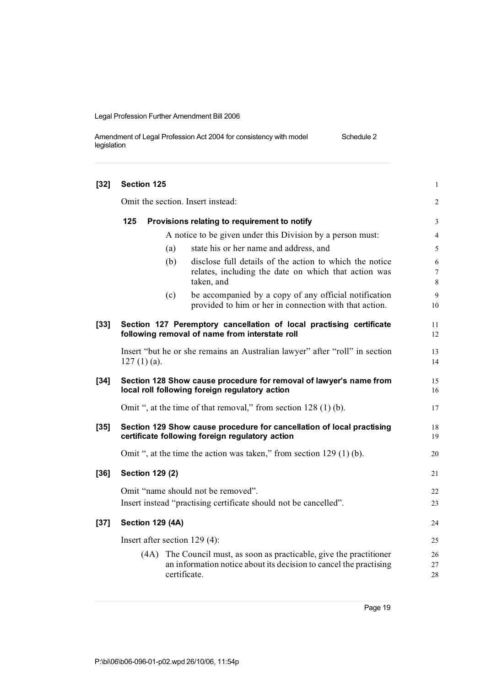| Amendment of Legal Profession Act 2004 for consistency with model | Schedule 2 |
|-------------------------------------------------------------------|------------|
| legislation                                                       |            |

| $[32]$ | <b>Section 125</b>                                  |                                               |                                                                                                                                                      | $\mathbf{1}$               |  |  |  |
|--------|-----------------------------------------------------|-----------------------------------------------|------------------------------------------------------------------------------------------------------------------------------------------------------|----------------------------|--|--|--|
|        |                                                     |                                               | Omit the section. Insert instead:                                                                                                                    | $\overline{c}$             |  |  |  |
|        | 125<br>Provisions relating to requirement to notify |                                               |                                                                                                                                                      |                            |  |  |  |
|        |                                                     |                                               | A notice to be given under this Division by a person must:                                                                                           | 4                          |  |  |  |
|        |                                                     | (a)<br>state his or her name and address, and |                                                                                                                                                      |                            |  |  |  |
|        |                                                     | (b)                                           | disclose full details of the action to which the notice<br>relates, including the date on which that action was<br>taken, and                        | 6<br>$\boldsymbol{7}$<br>8 |  |  |  |
|        |                                                     | (c)                                           | be accompanied by a copy of any official notification<br>provided to him or her in connection with that action.                                      | 9<br>10                    |  |  |  |
| $[33]$ |                                                     |                                               | Section 127 Peremptory cancellation of local practising certificate<br>following removal of name from interstate roll                                | 11<br>12                   |  |  |  |
|        | $127(1)(a)$ .                                       |                                               | Insert "but he or she remains an Australian lawyer" after "roll" in section                                                                          | 13<br>14                   |  |  |  |
| $[34]$ |                                                     |                                               | Section 128 Show cause procedure for removal of lawyer's name from<br>local roll following foreign regulatory action                                 | 15<br>16                   |  |  |  |
|        |                                                     |                                               | Omit ", at the time of that removal," from section 128 (1) (b).                                                                                      | 17                         |  |  |  |
| $[35]$ |                                                     |                                               | Section 129 Show cause procedure for cancellation of local practising<br>certificate following foreign regulatory action                             | 18<br>19                   |  |  |  |
|        |                                                     |                                               | Omit ", at the time the action was taken," from section $129(1)(b)$ .                                                                                | 20                         |  |  |  |
| $[36]$ | <b>Section 129 (2)</b>                              |                                               |                                                                                                                                                      | 21                         |  |  |  |
|        |                                                     |                                               | Omit "name should not be removed".<br>Insert instead "practising certificate should not be cancelled".                                               | 22<br>23                   |  |  |  |
| $[37]$ | <b>Section 129 (4A)</b>                             |                                               |                                                                                                                                                      | 24                         |  |  |  |
|        | Insert after section 129 (4):                       |                                               |                                                                                                                                                      | 25                         |  |  |  |
|        | (4A)                                                |                                               | The Council must, as soon as practicable, give the practitioner<br>an information notice about its decision to cancel the practising<br>certificate. | 26<br>27<br>28             |  |  |  |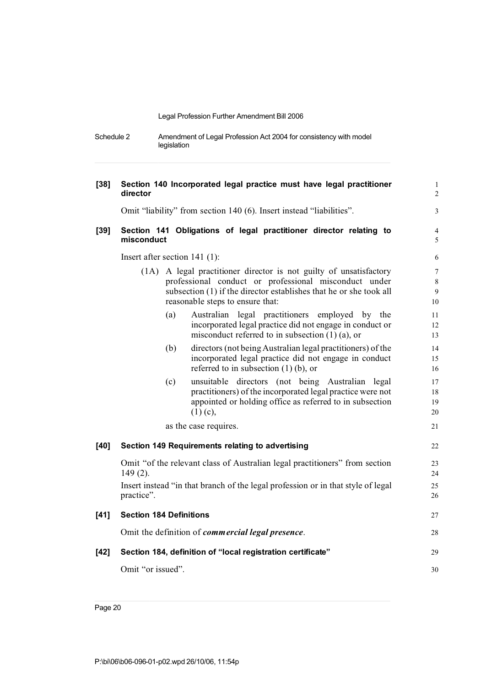Schedule 2 Amendment of Legal Profession Act 2004 for consistency with model legislation

| $[38]$ | Section 140 Incorporated legal practice must have legal practitioner<br>director                                                                                                                                                         | $\mathbf{1}$<br>$\overline{2}$           |
|--------|------------------------------------------------------------------------------------------------------------------------------------------------------------------------------------------------------------------------------------------|------------------------------------------|
|        | Omit "liability" from section 140 (6). Insert instead "liabilities".                                                                                                                                                                     | $\mathfrak{Z}$                           |
| $[39]$ | Section 141 Obligations of legal practitioner director relating to<br>misconduct                                                                                                                                                         | 4<br>5                                   |
|        | Insert after section $141$ (1):                                                                                                                                                                                                          | 6                                        |
|        | A legal practitioner director is not guilty of unsatisfactory<br>(1A)<br>professional conduct or professional misconduct under<br>subsection (1) if the director establishes that he or she took all<br>reasonable steps to ensure that: | $\overline{7}$<br>$\,$ 8 $\,$<br>9<br>10 |
|        | Australian legal practitioners employed by the<br>(a)<br>incorporated legal practice did not engage in conduct or<br>misconduct referred to in subsection $(1)$ (a), or                                                                  | 11<br>12<br>13                           |
|        | directors (not being Australian legal practitioners) of the<br>(b)<br>incorporated legal practice did not engage in conduct<br>referred to in subsection $(1)$ (b), or                                                                   | 14<br>15<br>16                           |
|        | (c)<br>unsuitable directors (not being Australian legal<br>practitioners) of the incorporated legal practice were not<br>appointed or holding office as referred to in subsection<br>$(1)$ (c),                                          | 17<br>18<br>19<br>20                     |
|        | as the case requires.                                                                                                                                                                                                                    | 21                                       |
| $[40]$ | Section 149 Requirements relating to advertising                                                                                                                                                                                         | 22                                       |
|        | Omit "of the relevant class of Australian legal practitioners" from section<br>$149(2)$ .<br>Insert instead "in that branch of the legal profession or in that style of legal<br>practice".                                              | 23<br>24<br>25<br>26                     |
| $[41]$ | <b>Section 184 Definitions</b>                                                                                                                                                                                                           | 27                                       |
|        | Omit the definition of <i>commercial legal presence</i> .                                                                                                                                                                                | 28                                       |
| $[42]$ | Section 184, definition of "local registration certificate"                                                                                                                                                                              | 29                                       |
|        | Omit "or issued".                                                                                                                                                                                                                        | 30                                       |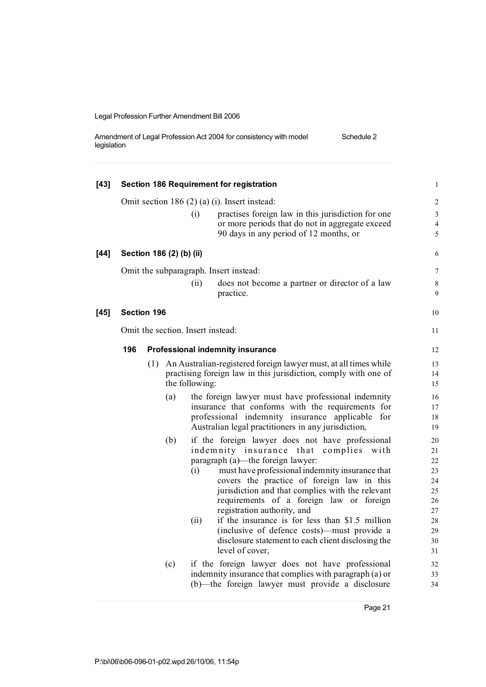Amendment of Legal Profession Act 2004 for consistency with model legislation Schedule 2

| $[43]$ |     |                          |                                   | Section 186 Requirement for registration                                                                                                                                                                                                                                                                                                                                                                                                                                                                                                         | $\mathbf{1}$                                                         |
|--------|-----|--------------------------|-----------------------------------|--------------------------------------------------------------------------------------------------------------------------------------------------------------------------------------------------------------------------------------------------------------------------------------------------------------------------------------------------------------------------------------------------------------------------------------------------------------------------------------------------------------------------------------------------|----------------------------------------------------------------------|
|        |     |                          | (i)                               | Omit section 186 $(2)$ $(a)$ $(i)$ . Insert instead:<br>practises foreign law in this jurisdiction for one<br>or more periods that do not in aggregate exceed<br>90 days in any period of 12 months, or                                                                                                                                                                                                                                                                                                                                          | $\overline{c}$<br>3<br>$\overline{\mathcal{A}}$<br>5                 |
| $[44]$ |     | Section 186 (2) (b) (ii) |                                   |                                                                                                                                                                                                                                                                                                                                                                                                                                                                                                                                                  | 6                                                                    |
|        |     |                          | (ii)                              | Omit the subparagraph. Insert instead:<br>does not become a partner or director of a law<br>practice.                                                                                                                                                                                                                                                                                                                                                                                                                                            | 7<br>8<br>9                                                          |
| $[45]$ |     | Section 196              |                                   |                                                                                                                                                                                                                                                                                                                                                                                                                                                                                                                                                  | 10                                                                   |
|        |     |                          | Omit the section. Insert instead: |                                                                                                                                                                                                                                                                                                                                                                                                                                                                                                                                                  | 11                                                                   |
|        | 196 |                          |                                   | <b>Professional indemnity insurance</b>                                                                                                                                                                                                                                                                                                                                                                                                                                                                                                          | 12                                                                   |
|        |     | (a)                      | the following:                    | (1) An Australian-registered foreign lawyer must, at all times while<br>practising foreign law in this jurisdiction, comply with one of<br>the foreign lawyer must have professional indemnity<br>insurance that conforms with the requirements for<br>professional indemnity insurance applicable for<br>Australian legal practitioners in any jurisdiction,                                                                                                                                                                                    | 13<br>14<br>15<br>16<br>17<br>18<br>19                               |
|        |     | (b)                      | (i)<br>(ii)                       | if the foreign lawyer does not have professional<br>indemnity insurance that<br>complies<br>with<br>paragraph (a)—the foreign lawyer:<br>must have professional indemnity insurance that<br>covers the practice of foreign law in this<br>jurisdiction and that complies with the relevant<br>requirements of a foreign law or foreign<br>registration authority, and<br>if the insurance is for less than \$1.5 million<br>(inclusive of defence costs)—must provide a<br>disclosure statement to each client disclosing the<br>level of cover, | 20<br>21<br>22<br>23<br>24<br>25<br>26<br>27<br>28<br>29<br>30<br>31 |
|        |     | (c)                      |                                   | if the foreign lawyer does not have professional<br>indemnity insurance that complies with paragraph (a) or<br>(b)—the foreign lawyer must provide a disclosure                                                                                                                                                                                                                                                                                                                                                                                  | 32<br>33<br>34                                                       |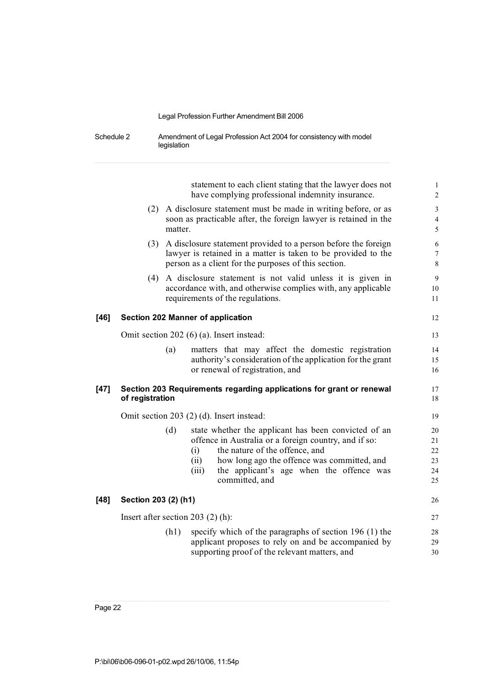| Schedule 2 | Amendment of Legal Profession Act 2004 for consistency with model |
|------------|-------------------------------------------------------------------|
|            | legislation                                                       |

statement to each client stating that the lawyer does not 1 have complying professional indemnity insurance. (2) A disclosure statement must be made in writing before, or as 3 soon as practicable after, the foreign lawyer is retained in the 4 matter. 5 (3) A disclosure statement provided to a person before the foreign 6 lawyer is retained in a matter is taken to be provided to the 7 person as a client for the purposes of this section. 8 (4) A disclosure statement is not valid unless it is given in 9 accordance with, and otherwise complies with, any applicable 10 requirements of the regulations. 11 **[46] Section 202 Manner of application** 12 Omit section 202 (6) (a). Insert instead: 13 (a) matters that may affect the domestic registration 14 authority's consideration of the application for the grant 15 or renewal of registration, and 16 **[47] Section 203 Requirements regarding applications for grant or renewal** 17 **of** registration 18 Omit section 203 (2) (d). Insert instead: 19 (d) state whether the applicant has been convicted of an 20 offence in Australia or a foreign country, and if so: 21 (i) the nature of the offence, and 22 (ii) how long ago the offence was committed, and 23 (iii) the applicant's age when the offence was 24 committed, and 25 **[48] Section 203 (2) (h1)** 26 Insert after section 203 (2) (h): 27 (h1) specify which of the paragraphs of section  $196$  (1) the 28 applicant proposes to rely on and be accompanied by 29

supporting proof of the relevant matters, and 30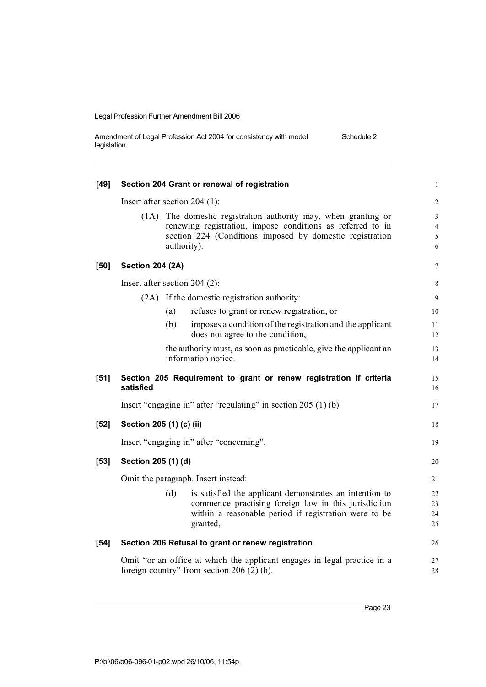| Amendment of Legal Profession Act 2004 for consistency with model | Schedule 2 |
|-------------------------------------------------------------------|------------|
| legislation                                                       |            |

| $[49]$ |                                                                          |     | Section 204 Grant or renewal of registration                                                  | $\mathbf{1}$   |  |
|--------|--------------------------------------------------------------------------|-----|-----------------------------------------------------------------------------------------------|----------------|--|
|        | Insert after section $204$ (1):                                          |     |                                                                                               | $\sqrt{2}$     |  |
|        | (1A)                                                                     |     | The domestic registration authority may, when granting or                                     | $\mathfrak{Z}$ |  |
|        |                                                                          |     | renewing registration, impose conditions as referred to in                                    | $\overline{4}$ |  |
|        |                                                                          |     | section 224 (Conditions imposed by domestic registration<br>authority).                       | 5<br>6         |  |
| [50]   | <b>Section 204 (2A)</b>                                                  |     |                                                                                               | 7              |  |
|        | Insert after section $204$ (2):                                          |     |                                                                                               | $\,$ 8 $\,$    |  |
|        |                                                                          |     | (2A) If the domestic registration authority:                                                  | 9              |  |
|        |                                                                          | (a) | refuses to grant or renew registration, or                                                    | 10             |  |
|        |                                                                          | (b) | imposes a condition of the registration and the applicant<br>does not agree to the condition, | 11<br>12       |  |
|        |                                                                          |     | the authority must, as soon as practicable, give the applicant an<br>information notice.      | 13<br>14       |  |
| $[51]$ | satisfied                                                                |     | Section 205 Requirement to grant or renew registration if criteria                            | 15<br>16       |  |
|        |                                                                          |     | Insert "engaging in" after "regulating" in section $205(1)(b)$ .                              | 17             |  |
| $[52]$ | Section 205 (1) (c) (ii)                                                 |     |                                                                                               | 18             |  |
|        |                                                                          |     | Insert "engaging in" after "concerning".                                                      | 19             |  |
| $[53]$ | Section 205 (1) (d)                                                      |     |                                                                                               | 20             |  |
|        | Omit the paragraph. Insert instead:                                      |     |                                                                                               |                |  |
|        |                                                                          | (d) | is satisfied the applicant demonstrates an intention to                                       | 22             |  |
|        |                                                                          |     | commence practising foreign law in this jurisdiction                                          | 23             |  |
|        |                                                                          |     | within a reasonable period if registration were to be<br>granted,                             | 24<br>25       |  |
| $[54]$ |                                                                          |     | Section 206 Refusal to grant or renew registration                                            | 26             |  |
|        | Omit "or an office at which the applicant engages in legal practice in a |     |                                                                                               |                |  |
|        |                                                                          |     | foreign country" from section $206(2)$ (h).                                                   | 28             |  |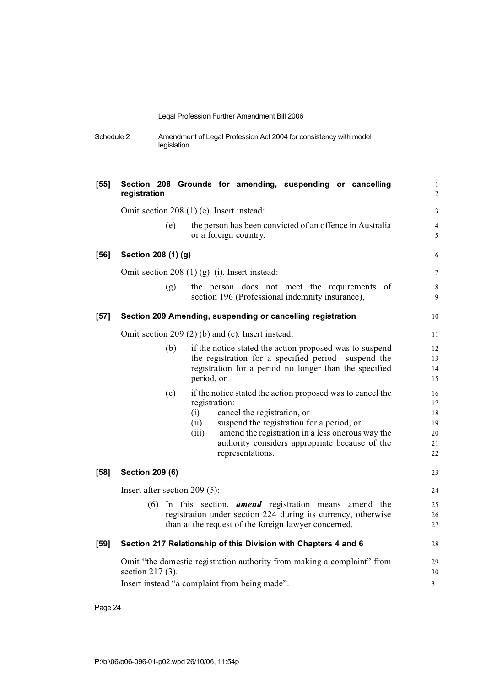| Schedule 2 | Amendment of Legal Profession Act 2004 for consistency with model |
|------------|-------------------------------------------------------------------|
|            | legislation                                                       |

| $[55]$ | Section 208 Grounds for amending, suspending or cancelling<br>registration                                                                                                                                                                                                                                       | $\mathbf{1}$<br>$\overline{c}$         |  |  |  |
|--------|------------------------------------------------------------------------------------------------------------------------------------------------------------------------------------------------------------------------------------------------------------------------------------------------------------------|----------------------------------------|--|--|--|
|        | Omit section 208 (1) (e). Insert instead:                                                                                                                                                                                                                                                                        | 3                                      |  |  |  |
|        | the person has been convicted of an offence in Australia<br>(e)<br>or a foreign country,                                                                                                                                                                                                                         | $\overline{4}$<br>5                    |  |  |  |
| $[56]$ | Section 208 (1) (g)                                                                                                                                                                                                                                                                                              | 6                                      |  |  |  |
|        | Omit section 208 (1) (g)–(i). Insert instead:                                                                                                                                                                                                                                                                    | 7                                      |  |  |  |
|        | the person does not meet the requirements of<br>(g)<br>section 196 (Professional indemnity insurance),                                                                                                                                                                                                           | 8<br>9                                 |  |  |  |
| $[57]$ | Section 209 Amending, suspending or cancelling registration                                                                                                                                                                                                                                                      | 10                                     |  |  |  |
|        | Omit section 209 (2) (b) and (c). Insert instead:                                                                                                                                                                                                                                                                | 11                                     |  |  |  |
|        | (b)<br>if the notice stated the action proposed was to suspend                                                                                                                                                                                                                                                   | 12                                     |  |  |  |
|        | the registration for a specified period—suspend the                                                                                                                                                                                                                                                              | 13                                     |  |  |  |
|        | registration for a period no longer than the specified<br>period, or                                                                                                                                                                                                                                             | 14<br>15                               |  |  |  |
|        | (c)<br>if the notice stated the action proposed was to cancel the<br>registration:<br>(i)<br>cancel the registration, or<br>suspend the registration for a period, or<br>(ii)<br>amend the registration in a less onerous way the<br>(iii)<br>authority considers appropriate because of the<br>representations. | 16<br>17<br>18<br>19<br>20<br>21<br>22 |  |  |  |
| $[58]$ | <b>Section 209 (6)</b>                                                                                                                                                                                                                                                                                           | 23                                     |  |  |  |
|        | Insert after section $209(5)$ :                                                                                                                                                                                                                                                                                  |                                        |  |  |  |
|        | $(6)$ In this section, <b>amend</b> registration means amend the<br>registration under section 224 during its currency, otherwise<br>than at the request of the foreign lawyer concerned.                                                                                                                        | 25<br>26<br>27                         |  |  |  |
| $[59]$ | Section 217 Relationship of this Division with Chapters 4 and 6                                                                                                                                                                                                                                                  | 28                                     |  |  |  |
|        | Omit "the domestic registration authority from making a complaint" from<br>section $217(3)$ .                                                                                                                                                                                                                    | 29<br>30                               |  |  |  |
|        | Insert instead "a complaint from being made".                                                                                                                                                                                                                                                                    | 31                                     |  |  |  |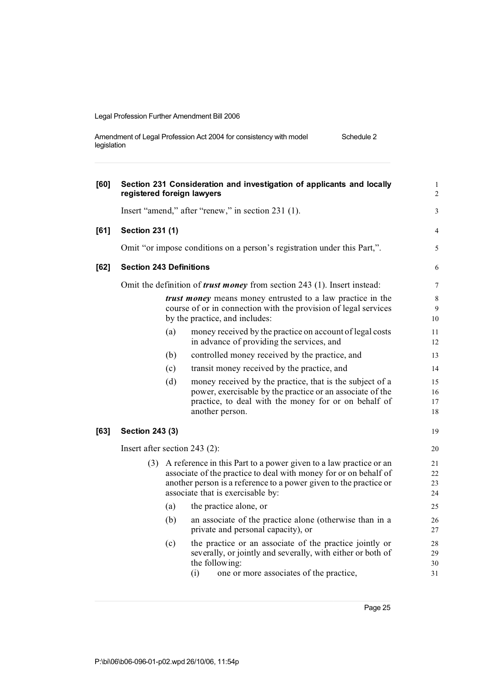| Amendment of Legal Profession Act 2004 for consistency with model | Schedule 2 |
|-------------------------------------------------------------------|------------|
| legislation                                                       |            |

| [60] | registered foreign lawyers     |     | Section 231 Consideration and investigation of applicants and locally                                                                                                                                                                               | $\mathbf{1}$<br>$\overline{c}$  |
|------|--------------------------------|-----|-----------------------------------------------------------------------------------------------------------------------------------------------------------------------------------------------------------------------------------------------------|---------------------------------|
|      |                                |     | Insert "amend," after "renew," in section 231 (1).                                                                                                                                                                                                  | 3                               |
| [61] | <b>Section 231 (1)</b>         |     |                                                                                                                                                                                                                                                     | 4                               |
|      |                                |     | Omit "or impose conditions on a person's registration under this Part,".                                                                                                                                                                            | 5                               |
| [62] | <b>Section 243 Definitions</b> |     |                                                                                                                                                                                                                                                     | 6                               |
|      |                                |     | Omit the definition of <i>trust money</i> from section 243 (1). Insert instead:                                                                                                                                                                     | 7                               |
|      |                                |     | <i>trust money</i> means money entrusted to a law practice in the<br>course of or in connection with the provision of legal services<br>by the practice, and includes:                                                                              | $\,8\,$<br>$\overline{9}$<br>10 |
|      |                                | (a) | money received by the practice on account of legal costs<br>in advance of providing the services, and                                                                                                                                               | 11<br>12                        |
|      |                                | (b) | controlled money received by the practice, and                                                                                                                                                                                                      | 13                              |
|      |                                | (c) | transit money received by the practice, and                                                                                                                                                                                                         | 14                              |
|      |                                | (d) | money received by the practice, that is the subject of a<br>power, exercisable by the practice or an associate of the<br>practice, to deal with the money for or on behalf of<br>another person.                                                    | 15<br>16<br>17<br>18            |
| [63] | <b>Section 243 (3)</b>         |     |                                                                                                                                                                                                                                                     | 19                              |
|      | Insert after section 243 (2):  |     |                                                                                                                                                                                                                                                     | 20                              |
|      |                                |     | (3) A reference in this Part to a power given to a law practice or an<br>associate of the practice to deal with money for or on behalf of<br>another person is a reference to a power given to the practice or<br>associate that is exercisable by: | 21<br>22<br>23<br>24            |
|      |                                | (a) | the practice alone, or                                                                                                                                                                                                                              | 25                              |
|      |                                | (b) | an associate of the practice alone (otherwise than in a<br>private and personal capacity), or                                                                                                                                                       | 26<br>27                        |
|      |                                | (c) | the practice or an associate of the practice jointly or<br>severally, or jointly and severally, with either or both of<br>the following:<br>(i)<br>one or more associates of the practice,                                                          | 28<br>29<br>30<br>31            |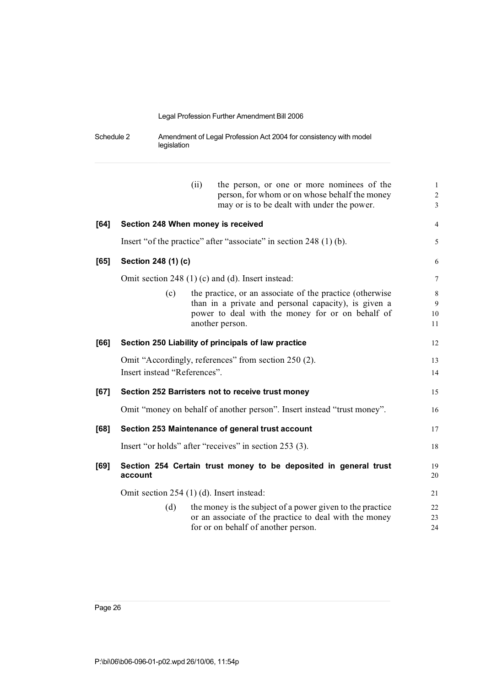Schedule 2 Amendment of Legal Profession Act 2004 for consistency with model legislation

|        |                                           | (ii) | the person, or one or more nominees of the<br>person, for whom or on whose behalf the money<br>may or is to be dealt with under the power. | $\mathbf{1}$<br>$\overline{2}$<br>$\overline{3}$ |
|--------|-------------------------------------------|------|--------------------------------------------------------------------------------------------------------------------------------------------|--------------------------------------------------|
| $[64]$ | Section 248 When money is received        |      |                                                                                                                                            | $\overline{4}$                                   |
|        |                                           |      | Insert "of the practice" after "associate" in section 248 (1) (b).                                                                         | 5                                                |
| [65]   | Section 248 (1) (c)                       |      |                                                                                                                                            | 6                                                |
|        |                                           |      | Omit section 248 (1) (c) and (d). Insert instead:                                                                                          | $\overline{7}$                                   |
|        | (c)                                       |      | the practice, or an associate of the practice (otherwise)                                                                                  | 8                                                |
|        |                                           |      | than in a private and personal capacity), is given a                                                                                       | 9                                                |
|        |                                           |      | power to deal with the money for or on behalf of                                                                                           | 10                                               |
|        |                                           |      | another person.                                                                                                                            | 11                                               |
| [66]   |                                           |      | Section 250 Liability of principals of law practice                                                                                        | 12                                               |
|        |                                           |      | Omit "Accordingly, references" from section 250 (2).                                                                                       | 13                                               |
|        | Insert instead "References".              |      |                                                                                                                                            | 14                                               |
| [67]   |                                           |      | Section 252 Barristers not to receive trust money                                                                                          | 15                                               |
|        |                                           |      | Omit "money on behalf of another person". Insert instead "trust money".                                                                    | 16                                               |
| [68]   |                                           |      | Section 253 Maintenance of general trust account                                                                                           | 17                                               |
|        |                                           |      | Insert "or holds" after "receives" in section 253 (3).                                                                                     | 18                                               |
| [69]   | account                                   |      | Section 254 Certain trust money to be deposited in general trust                                                                           | 19<br>20                                         |
|        | Omit section 254 (1) (d). Insert instead: |      |                                                                                                                                            | 21                                               |
|        | (d)                                       |      | the money is the subject of a power given to the practice                                                                                  | 22                                               |
|        |                                           |      | or an associate of the practice to deal with the money                                                                                     | 23                                               |
|        |                                           |      | for or on behalf of another person.                                                                                                        | 24                                               |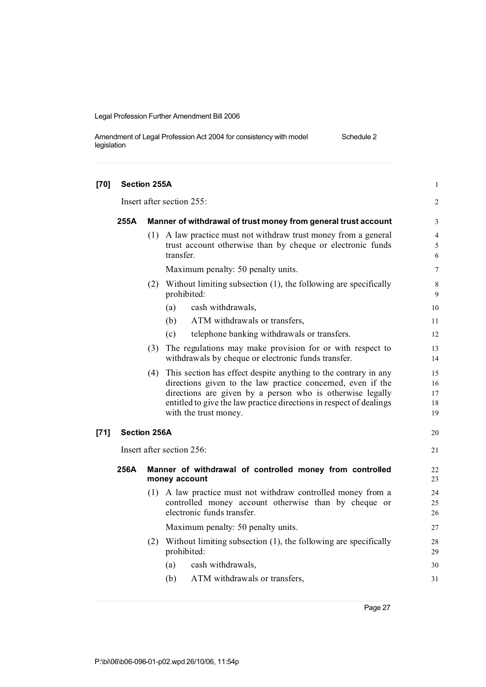| Amendment of Legal Profession Act 2004 for consistency with model | Schedule 2 |
|-------------------------------------------------------------------|------------|
| legislation                                                       |            |

| $[70]$ | <b>Section 255A</b>       |     |                                                                                                                                                                                                                                                                                             |                            |  |  |
|--------|---------------------------|-----|---------------------------------------------------------------------------------------------------------------------------------------------------------------------------------------------------------------------------------------------------------------------------------------------|----------------------------|--|--|
|        |                           |     | Insert after section 255:                                                                                                                                                                                                                                                                   | 2                          |  |  |
|        | 255A                      |     | Manner of withdrawal of trust money from general trust account                                                                                                                                                                                                                              | 3                          |  |  |
|        |                           |     | (1) A law practice must not withdraw trust money from a general<br>trust account otherwise than by cheque or electronic funds<br>transfer.                                                                                                                                                  | $\overline{4}$<br>5<br>6   |  |  |
|        |                           |     | Maximum penalty: 50 penalty units.                                                                                                                                                                                                                                                          | $\tau$                     |  |  |
|        |                           |     | (2) Without limiting subsection (1), the following are specifically<br>prohibited:                                                                                                                                                                                                          | 8<br>9                     |  |  |
|        |                           |     | (a)<br>cash withdrawals,                                                                                                                                                                                                                                                                    | 10                         |  |  |
|        |                           |     | ATM withdrawals or transfers,<br>(b)                                                                                                                                                                                                                                                        | 11                         |  |  |
|        |                           |     | telephone banking withdrawals or transfers.<br>(c)                                                                                                                                                                                                                                          | 12                         |  |  |
|        |                           | (3) | The regulations may make provision for or with respect to<br>withdrawals by cheque or electronic funds transfer.                                                                                                                                                                            | 13<br>14                   |  |  |
|        |                           | (4) | This section has effect despite anything to the contrary in any<br>directions given to the law practice concerned, even if the<br>directions are given by a person who is otherwise legally<br>entitled to give the law practice directions in respect of dealings<br>with the trust money. | 15<br>16<br>17<br>18<br>19 |  |  |
| $[71]$ | <b>Section 256A</b>       |     |                                                                                                                                                                                                                                                                                             | 20                         |  |  |
|        | Insert after section 256: |     |                                                                                                                                                                                                                                                                                             |                            |  |  |
|        | 256A                      |     | Manner of withdrawal of controlled money from controlled<br>money account                                                                                                                                                                                                                   | 22<br>23                   |  |  |
|        |                           |     | (1) A law practice must not withdraw controlled money from a<br>controlled money account otherwise than by cheque or<br>electronic funds transfer.                                                                                                                                          | 24<br>25<br>26             |  |  |
|        |                           |     | Maximum penalty: 50 penalty units.                                                                                                                                                                                                                                                          | 27                         |  |  |
|        |                           |     | (2) Without limiting subsection (1), the following are specifically<br>prohibited:                                                                                                                                                                                                          | 28<br>29                   |  |  |
|        |                           |     | cash withdrawals,<br>(a)                                                                                                                                                                                                                                                                    | 30                         |  |  |
|        |                           |     | ATM withdrawals or transfers,<br>(b)                                                                                                                                                                                                                                                        | 31                         |  |  |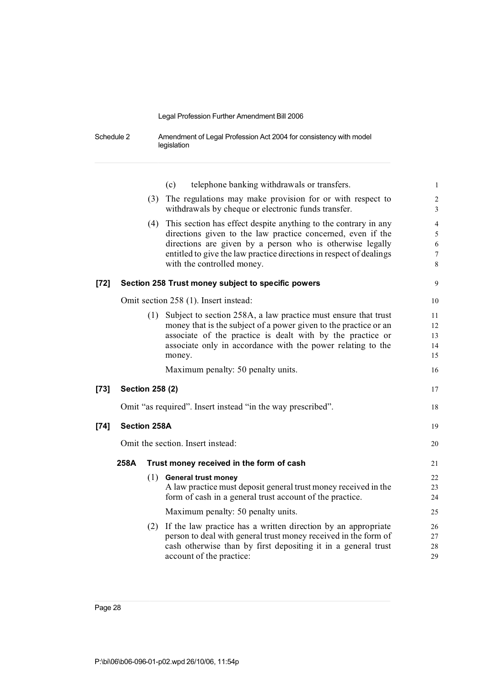Schedule 2 Amendment of Legal Profession Act 2004 for consistency with model legislation

|        |                        | telephone banking withdrawals or transfers.<br>(c)                                                                                                                                                                                                                                                   | $\mathbf{1}$                                              |
|--------|------------------------|------------------------------------------------------------------------------------------------------------------------------------------------------------------------------------------------------------------------------------------------------------------------------------------------------|-----------------------------------------------------------|
|        |                        | (3) The regulations may make provision for or with respect to<br>withdrawals by cheque or electronic funds transfer.                                                                                                                                                                                 | $\overline{c}$<br>$\overline{3}$                          |
|        |                        | (4) This section has effect despite anything to the contrary in any<br>directions given to the law practice concerned, even if the<br>directions are given by a person who is otherwise legally<br>entitled to give the law practice directions in respect of dealings<br>with the controlled money. | $\overline{\mathcal{L}}$<br>5<br>6<br>$\overline{7}$<br>8 |
| [72]   |                        | Section 258 Trust money subject to specific powers                                                                                                                                                                                                                                                   | 9                                                         |
|        |                        | Omit section 258 (1). Insert instead:                                                                                                                                                                                                                                                                | 10                                                        |
|        |                        | (1) Subject to section 258A, a law practice must ensure that trust<br>money that is the subject of a power given to the practice or an<br>associate of the practice is dealt with by the practice or<br>associate only in accordance with the power relating to the<br>money.                        | 11<br>12<br>13<br>14<br>15                                |
|        |                        | Maximum penalty: 50 penalty units.                                                                                                                                                                                                                                                                   | 16                                                        |
| [73]   | <b>Section 258 (2)</b> |                                                                                                                                                                                                                                                                                                      | 17                                                        |
|        |                        | Omit "as required". Insert instead "in the way prescribed".                                                                                                                                                                                                                                          | 18                                                        |
| $[74]$ | <b>Section 258A</b>    |                                                                                                                                                                                                                                                                                                      | 19                                                        |
|        |                        | Omit the section. Insert instead:                                                                                                                                                                                                                                                                    | 20                                                        |
|        | 258A                   | Trust money received in the form of cash                                                                                                                                                                                                                                                             | 21                                                        |
|        |                        | $(1)$ General trust money<br>A law practice must deposit general trust money received in the<br>form of cash in a general trust account of the practice.                                                                                                                                             | 22<br>23<br>24                                            |
|        |                        | Maximum penalty: 50 penalty units.                                                                                                                                                                                                                                                                   | 25                                                        |
|        |                        | (2) If the law practice has a written direction by an appropriate<br>person to deal with general trust money received in the form of<br>cash otherwise than by first depositing it in a general trust<br>account of the practice:                                                                    | 26<br>27<br>28<br>29                                      |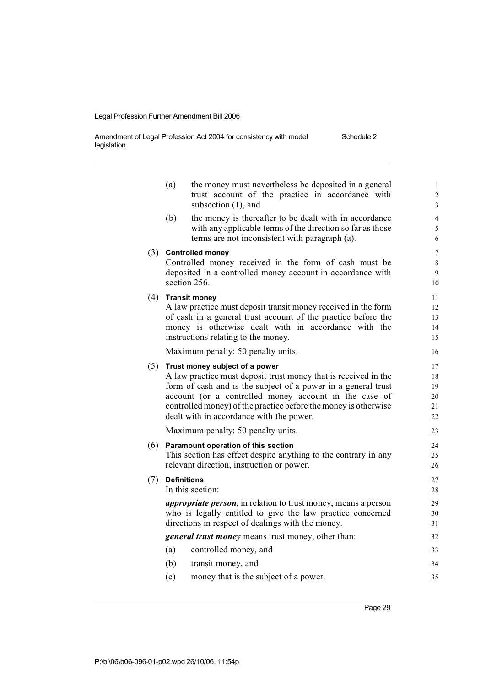Amendment of Legal Profession Act 2004 for consistency with model legislation Schedule 2

|     | (a)                | the money must nevertheless be deposited in a general<br>trust account of the practice in accordance with<br>subsection (1), and                                                                                                                                                                                                           | $\mathbf{1}$<br>2<br>$\overline{3}$      |
|-----|--------------------|--------------------------------------------------------------------------------------------------------------------------------------------------------------------------------------------------------------------------------------------------------------------------------------------------------------------------------------------|------------------------------------------|
|     | (b)                | the money is thereafter to be dealt with in accordance<br>with any applicable terms of the direction so far as those<br>terms are not inconsistent with paragraph (a).                                                                                                                                                                     | $\overline{4}$<br>5<br>6                 |
|     |                    | (3) Controlled money<br>Controlled money received in the form of cash must be<br>deposited in a controlled money account in accordance with<br>section 256.                                                                                                                                                                                | $\overline{7}$<br>$\,$ 8 $\,$<br>9<br>10 |
| (4) |                    | <b>Transit money</b><br>A law practice must deposit transit money received in the form<br>of cash in a general trust account of the practice before the<br>money is otherwise dealt with in accordance with the<br>instructions relating to the money.                                                                                     | 11<br>12<br>13<br>14<br>15               |
|     |                    | Maximum penalty: 50 penalty units.                                                                                                                                                                                                                                                                                                         | 16                                       |
| (5) |                    | Trust money subject of a power<br>A law practice must deposit trust money that is received in the<br>form of cash and is the subject of a power in a general trust<br>account (or a controlled money account in the case of<br>controlled money) of the practice before the money is otherwise<br>dealt with in accordance with the power. | 17<br>18<br>19<br>20<br>21<br>22         |
|     |                    | Maximum penalty: 50 penalty units.                                                                                                                                                                                                                                                                                                         | 23                                       |
| (6) |                    | Paramount operation of this section<br>This section has effect despite anything to the contrary in any<br>relevant direction, instruction or power.                                                                                                                                                                                        | 24<br>25<br>26                           |
| (7) | <b>Definitions</b> | In this section:                                                                                                                                                                                                                                                                                                                           | 27<br>28                                 |
|     |                    | <i>appropriate person</i> , in relation to trust money, means a person<br>who is legally entitled to give the law practice concerned<br>directions in respect of dealings with the money.                                                                                                                                                  | 29<br>30<br>31                           |
|     |                    | <i>general trust money</i> means trust money, other than:                                                                                                                                                                                                                                                                                  | 32                                       |
|     | (a)                | controlled money, and                                                                                                                                                                                                                                                                                                                      | 33                                       |
|     | (b)                | transit money, and                                                                                                                                                                                                                                                                                                                         | 34                                       |
|     | (c)                | money that is the subject of a power.                                                                                                                                                                                                                                                                                                      | 35                                       |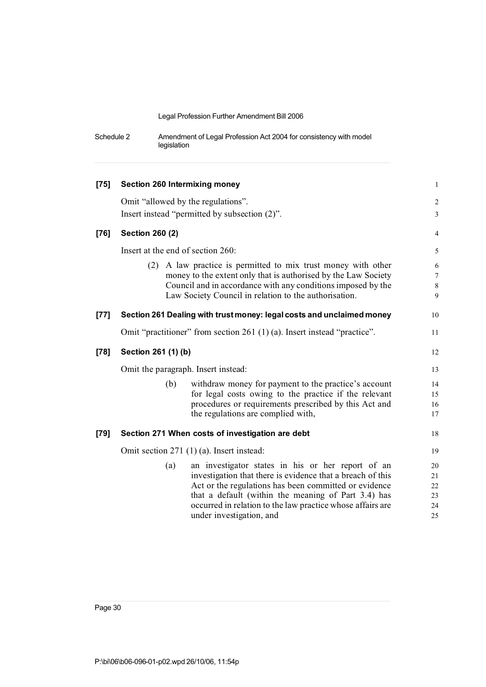| Schedule 2 | Amendment of Legal Profession Act 2004 for consistency with model |
|------------|-------------------------------------------------------------------|
|            | legislation                                                       |

| $[75]$ | <b>Section 260 Intermixing money</b>                                                                                                                                                                                                                                                                                             | $\mathbf{1}$                                   |
|--------|----------------------------------------------------------------------------------------------------------------------------------------------------------------------------------------------------------------------------------------------------------------------------------------------------------------------------------|------------------------------------------------|
|        | Omit "allowed by the regulations".                                                                                                                                                                                                                                                                                               | $\sqrt{2}$                                     |
|        | Insert instead "permitted by subsection (2)".                                                                                                                                                                                                                                                                                    | $\mathfrak{Z}$                                 |
| $[76]$ | <b>Section 260 (2)</b>                                                                                                                                                                                                                                                                                                           | $\overline{4}$                                 |
|        | Insert at the end of section 260:                                                                                                                                                                                                                                                                                                | $\mathfrak s$                                  |
|        | A law practice is permitted to mix trust money with other<br>(2)<br>money to the extent only that is authorised by the Law Society<br>Council and in accordance with any conditions imposed by the<br>Law Society Council in relation to the authorisation.                                                                      | $\sqrt{6}$<br>$\boldsymbol{7}$<br>$\,8\,$<br>9 |
| $[77]$ | Section 261 Dealing with trust money: legal costs and unclaimed money                                                                                                                                                                                                                                                            | 10                                             |
|        | Omit "practitioner" from section 261 (1) (a). Insert instead "practice".                                                                                                                                                                                                                                                         | 11                                             |
| $[78]$ | Section 261 (1) (b)                                                                                                                                                                                                                                                                                                              | 12                                             |
|        | Omit the paragraph. Insert instead:                                                                                                                                                                                                                                                                                              | 13                                             |
|        | withdraw money for payment to the practice's account<br>(b)<br>for legal costs owing to the practice if the relevant<br>procedures or requirements prescribed by this Act and<br>the regulations are complied with,                                                                                                              | 14<br>15<br>16<br>17                           |
| $[79]$ | Section 271 When costs of investigation are debt                                                                                                                                                                                                                                                                                 | 18                                             |
|        | Omit section 271 (1) (a). Insert instead:                                                                                                                                                                                                                                                                                        | 19                                             |
|        | an investigator states in his or her report of an<br>(a)<br>investigation that there is evidence that a breach of this<br>Act or the regulations has been committed or evidence<br>that a default (within the meaning of Part 3.4) has<br>occurred in relation to the law practice whose affairs are<br>under investigation, and | 20<br>21<br>22<br>23<br>24<br>25               |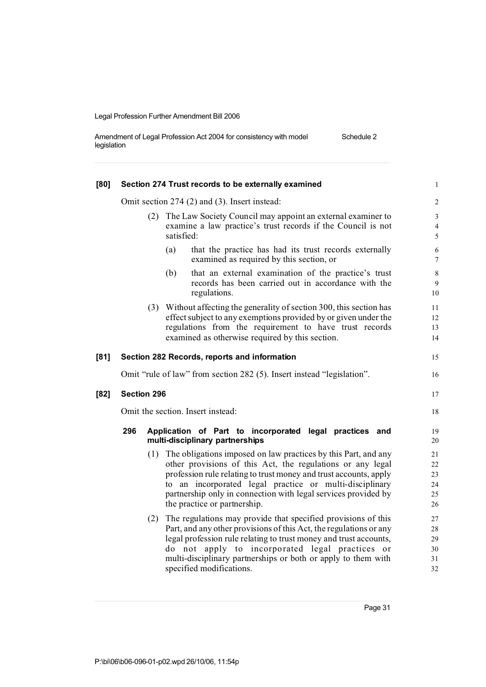| Amendment of Legal Profession Act 2004 for consistency with model | Schedule 2 |
|-------------------------------------------------------------------|------------|
| legislation                                                       |            |

| [80] | Section 274 Trust records to be externally examined |     |                                                                                                                                                                                                                                                                                                                                                                    |                                       |  |
|------|-----------------------------------------------------|-----|--------------------------------------------------------------------------------------------------------------------------------------------------------------------------------------------------------------------------------------------------------------------------------------------------------------------------------------------------------------------|---------------------------------------|--|
|      |                                                     |     | Omit section 274 (2) and (3). Insert instead:                                                                                                                                                                                                                                                                                                                      | $\sqrt{2}$                            |  |
|      | (2)                                                 |     | The Law Society Council may appoint an external examiner to<br>examine a law practice's trust records if the Council is not<br>satisfied:                                                                                                                                                                                                                          | $\mathfrak{Z}$<br>$\overline{4}$<br>5 |  |
|      |                                                     |     | that the practice has had its trust records externally<br>(a)<br>examined as required by this section, or                                                                                                                                                                                                                                                          | 6<br>$\tau$                           |  |
|      |                                                     |     | that an external examination of the practice's trust<br>(b)<br>records has been carried out in accordance with the<br>regulations.                                                                                                                                                                                                                                 | $\,8\,$<br>9<br>10                    |  |
|      |                                                     |     | (3) Without affecting the generality of section 300, this section has<br>effect subject to any exemptions provided by or given under the<br>regulations from the requirement to have trust records<br>examined as otherwise required by this section.                                                                                                              | 11<br>12<br>13<br>14                  |  |
| [81] |                                                     |     | Section 282 Records, reports and information                                                                                                                                                                                                                                                                                                                       | 15                                    |  |
|      |                                                     |     | Omit "rule of law" from section 282 (5). Insert instead "legislation".                                                                                                                                                                                                                                                                                             | 16                                    |  |
| [82] | Section 296                                         |     |                                                                                                                                                                                                                                                                                                                                                                    |                                       |  |
|      | Omit the section. Insert instead:                   |     |                                                                                                                                                                                                                                                                                                                                                                    |                                       |  |
|      | 296                                                 |     | Application of Part to incorporated legal practices and<br>multi-disciplinary partnerships                                                                                                                                                                                                                                                                         | 19<br>20                              |  |
|      |                                                     |     | (1) The obligations imposed on law practices by this Part, and any<br>other provisions of this Act, the regulations or any legal<br>profession rule relating to trust money and trust accounts, apply<br>to an incorporated legal practice or multi-disciplinary<br>partnership only in connection with legal services provided by<br>the practice or partnership. | 21<br>22<br>23<br>24<br>25<br>26      |  |
|      |                                                     | (2) | The regulations may provide that specified provisions of this<br>Part, and any other provisions of this Act, the regulations or any<br>legal profession rule relating to trust money and trust accounts,<br>do not apply to incorporated legal practices or<br>multi-disciplinary partnerships or both or apply to them with<br>specified modifications.           | 27<br>28<br>29<br>30<br>31<br>32      |  |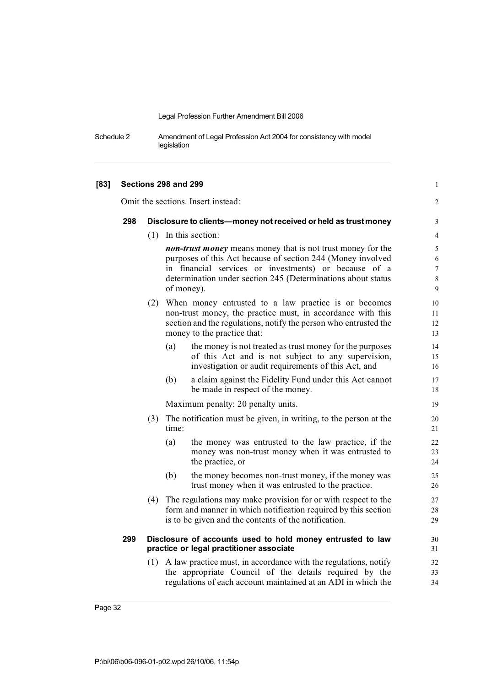Schedule 2 Amendment of Legal Profession Act 2004 for consistency with model legislation

| [83] |     |                                                                 | Sections 298 and 299                                                                                                                                                                                                                                              |                                                                                                                                                                                                                            | $\mathbf{1}$         |
|------|-----|-----------------------------------------------------------------|-------------------------------------------------------------------------------------------------------------------------------------------------------------------------------------------------------------------------------------------------------------------|----------------------------------------------------------------------------------------------------------------------------------------------------------------------------------------------------------------------------|----------------------|
|      |     |                                                                 |                                                                                                                                                                                                                                                                   | Omit the sections. Insert instead:                                                                                                                                                                                         | 2                    |
|      | 298 | Disclosure to clients-money not received or held as trust money |                                                                                                                                                                                                                                                                   |                                                                                                                                                                                                                            | 3                    |
|      |     |                                                                 |                                                                                                                                                                                                                                                                   | $(1)$ In this section:                                                                                                                                                                                                     | $\overline{4}$       |
|      |     |                                                                 | non-trust money means money that is not trust money for the<br>purposes of this Act because of section 244 (Money involved<br>in financial services or investments) or because of a<br>determination under section 245 (Determinations about status<br>of money). |                                                                                                                                                                                                                            |                      |
|      |     |                                                                 |                                                                                                                                                                                                                                                                   | (2) When money entrusted to a law practice is or becomes<br>non-trust money, the practice must, in accordance with this<br>section and the regulations, notify the person who entrusted the<br>money to the practice that: | 10<br>11<br>12<br>13 |
|      |     |                                                                 | (a)                                                                                                                                                                                                                                                               | the money is not treated as trust money for the purposes<br>of this Act and is not subject to any supervision,<br>investigation or audit requirements of this Act, and                                                     | 14<br>15<br>16       |
|      |     |                                                                 | (b)                                                                                                                                                                                                                                                               | a claim against the Fidelity Fund under this Act cannot<br>be made in respect of the money.                                                                                                                                | 17<br>18             |
|      |     |                                                                 |                                                                                                                                                                                                                                                                   | Maximum penalty: 20 penalty units.                                                                                                                                                                                         | 19                   |
|      |     | (3)                                                             | time:                                                                                                                                                                                                                                                             | The notification must be given, in writing, to the person at the                                                                                                                                                           | 20<br>21             |
|      |     |                                                                 | (a)                                                                                                                                                                                                                                                               | the money was entrusted to the law practice, if the<br>money was non-trust money when it was entrusted to<br>the practice, or                                                                                              | 22<br>23<br>24       |
|      |     |                                                                 | (b)                                                                                                                                                                                                                                                               | the money becomes non-trust money, if the money was<br>trust money when it was entrusted to the practice.                                                                                                                  | 25<br>26             |
|      |     | (4)                                                             |                                                                                                                                                                                                                                                                   | The regulations may make provision for or with respect to the<br>form and manner in which notification required by this section<br>is to be given and the contents of the notification.                                    | 27<br>28<br>29       |
|      | 299 |                                                                 |                                                                                                                                                                                                                                                                   | Disclosure of accounts used to hold money entrusted to law<br>practice or legal practitioner associate                                                                                                                     | 30<br>31             |
|      |     | (1)                                                             |                                                                                                                                                                                                                                                                   | A law practice must, in accordance with the regulations, notify<br>the appropriate Council of the details required by the<br>regulations of each account maintained at an ADI in which the                                 | 32<br>33<br>34       |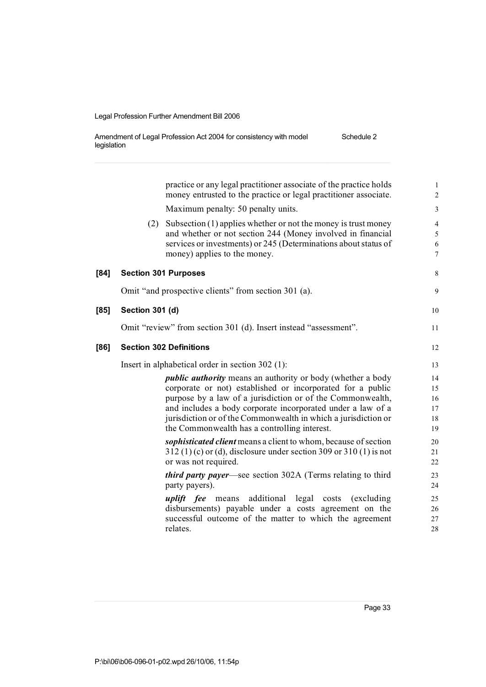| Amendment of Legal Profession Act 2004 for consistency with model | Schedule 2 |
|-------------------------------------------------------------------|------------|
| legislation                                                       |            |

|      |                 | practice or any legal practitioner associate of the practice holds<br>money entrusted to the practice or legal practitioner associate.                                                           | $\mathbf{1}$<br>$\overline{2}$   |
|------|-----------------|--------------------------------------------------------------------------------------------------------------------------------------------------------------------------------------------------|----------------------------------|
|      |                 | Maximum penalty: 50 penalty units.                                                                                                                                                               | $\mathfrak{Z}$                   |
|      | (2)             | Subsection $(1)$ applies whether or not the money is trust money<br>and whether or not section 244 (Money involved in financial                                                                  | $\overline{4}$<br>$\mathfrak{S}$ |
|      |                 | services or investments) or 245 (Determinations about status of<br>money) applies to the money.                                                                                                  | 6<br>$7\phantom{.0}$             |
| [84] |                 | <b>Section 301 Purposes</b>                                                                                                                                                                      | $\,$ 8 $\,$                      |
|      |                 | Omit "and prospective clients" from section 301 (a).                                                                                                                                             | 9                                |
| [85] | Section 301 (d) |                                                                                                                                                                                                  | 10                               |
|      |                 | Omit "review" from section 301 (d). Insert instead "assessment".                                                                                                                                 | 11                               |
| [86] |                 | <b>Section 302 Definitions</b>                                                                                                                                                                   | 12                               |
|      |                 | Insert in alphabetical order in section 302 (1):                                                                                                                                                 | 13                               |
|      |                 | <i>public authority</i> means an authority or body (whether a body<br>corporate or not) established or incorporated for a public                                                                 | 14<br>15                         |
|      |                 | purpose by a law of a jurisdiction or of the Commonwealth,<br>and includes a body corporate incorporated under a law of a                                                                        | 16<br>17                         |
|      |                 | jurisdiction or of the Commonwealth in which a jurisdiction or                                                                                                                                   | 18                               |
|      |                 | the Commonwealth has a controlling interest.                                                                                                                                                     | 19                               |
|      |                 | sophisticated client means a client to whom, because of section                                                                                                                                  | 20                               |
|      |                 | $312(1)(c)$ or (d), disclosure under section 309 or 310 (1) is not                                                                                                                               | 21                               |
|      |                 | or was not required.                                                                                                                                                                             | 22                               |
|      |                 | <i>third party payer</i> —see section 302A (Terms relating to third<br>party payers).                                                                                                            | 23<br>24                         |
|      |                 | additional legal costs<br><i>uplift fee</i> means<br>(excluding)<br>disbursements) payable under a costs agreement on the<br>successful outcome of the matter to which the agreement<br>relates. | 25<br>26<br>27<br>28             |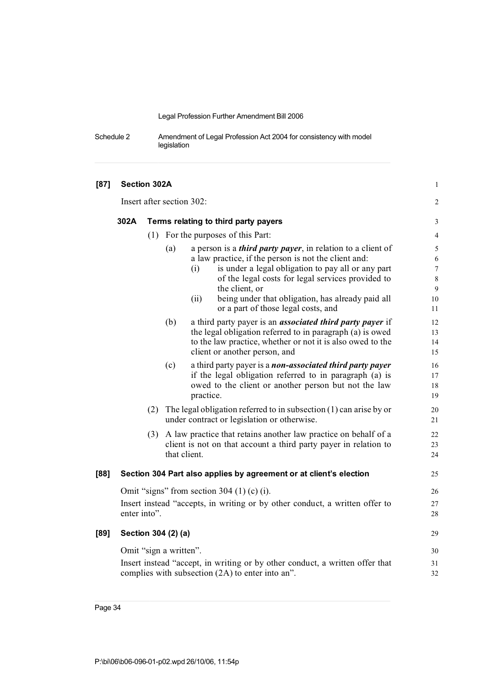Schedule 2 Amendment of Legal Profession Act 2004 for consistency with model legislation

| [87] | Section 302A              |     |                                      |                                                                                                                                                                                                                                                                                                                              | $\mathbf{1}$                             |
|------|---------------------------|-----|--------------------------------------|------------------------------------------------------------------------------------------------------------------------------------------------------------------------------------------------------------------------------------------------------------------------------------------------------------------------------|------------------------------------------|
|      | Insert after section 302: |     |                                      |                                                                                                                                                                                                                                                                                                                              |                                          |
|      | 302A                      |     | Terms relating to third party payers |                                                                                                                                                                                                                                                                                                                              |                                          |
|      |                           |     |                                      | (1) For the purposes of this Part:                                                                                                                                                                                                                                                                                           | $\overline{\mathcal{L}}$                 |
|      |                           |     | (a)                                  | a person is a <i>third party payer</i> , in relation to a client of<br>a law practice, if the person is not the client and:<br>is under a legal obligation to pay all or any part<br>(i)<br>of the legal costs for legal services provided to<br>the client, or<br>being under that obligation, has already paid all<br>(ii) | 5<br>6<br>$\overline{7}$<br>8<br>9<br>10 |
|      |                           |     |                                      | or a part of those legal costs, and                                                                                                                                                                                                                                                                                          | 11                                       |
|      |                           |     | (b)                                  | a third party payer is an <i>associated third party payer</i> if<br>the legal obligation referred to in paragraph (a) is owed<br>to the law practice, whether or not it is also owed to the<br>client or another person, and                                                                                                 | 12<br>13<br>14<br>15                     |
|      |                           |     | (c)                                  | a third party payer is a non-associated third party payer<br>if the legal obligation referred to in paragraph (a) is<br>owed to the client or another person but not the law<br>practice.                                                                                                                                    | 16<br>17<br>18<br>19                     |
|      |                           | (2) |                                      | The legal obligation referred to in subsection $(1)$ can arise by or<br>under contract or legislation or otherwise.                                                                                                                                                                                                          | 20<br>21                                 |
|      |                           |     |                                      | (3) A law practice that retains another law practice on behalf of a<br>client is not on that account a third party payer in relation to<br>that client.                                                                                                                                                                      | 22<br>23<br>24                           |
| [88] |                           |     |                                      | Section 304 Part also applies by agreement or at client's election                                                                                                                                                                                                                                                           | 25                                       |
|      | enter into".              |     |                                      | Omit "signs" from section 304 $(1)$ (c) $(i)$ .<br>Insert instead "accepts, in writing or by other conduct, a written offer to                                                                                                                                                                                               | 26<br>27<br>28                           |
| [89] |                           |     | Section 304 (2) (a)                  |                                                                                                                                                                                                                                                                                                                              | 29                                       |
|      |                           |     | Omit "sign a written".               |                                                                                                                                                                                                                                                                                                                              | 30                                       |
|      |                           |     |                                      | Insert instead "accept, in writing or by other conduct, a written offer that<br>complies with subsection (2A) to enter into an".                                                                                                                                                                                             | 31<br>32                                 |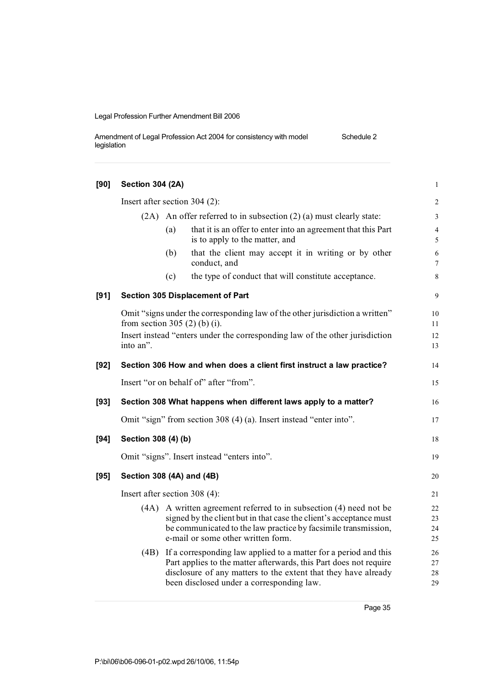Amendment of Legal Profession Act 2004 for consistency with model legislation Schedule 2

| [90]   | <b>Section 304 (2A)</b>       |     |                                                                                                                                                                                                                                                      | $\mathbf{1}$         |
|--------|-------------------------------|-----|------------------------------------------------------------------------------------------------------------------------------------------------------------------------------------------------------------------------------------------------------|----------------------|
|        | Insert after section 304 (2): |     |                                                                                                                                                                                                                                                      | $\sqrt{2}$           |
|        |                               |     | $(2A)$ An offer referred to in subsection $(2)$ (a) must clearly state:                                                                                                                                                                              | 3                    |
|        |                               | (a) | that it is an offer to enter into an agreement that this Part<br>is to apply to the matter, and                                                                                                                                                      | 4<br>5               |
|        |                               | (b) | that the client may accept it in writing or by other<br>conduct, and                                                                                                                                                                                 | $\sqrt{6}$<br>7      |
|        |                               | (c) | the type of conduct that will constitute acceptance.                                                                                                                                                                                                 | 8                    |
| [91]   |                               |     | <b>Section 305 Displacement of Part</b>                                                                                                                                                                                                              | 9                    |
|        | from section 305 (2) (b) (i). |     | Omit "signs under the corresponding law of the other jurisdiction a written"                                                                                                                                                                         | 10<br>11             |
|        | into an".                     |     | Insert instead "enters under the corresponding law of the other jurisdiction                                                                                                                                                                         | 12<br>13             |
| $[92]$ |                               |     | Section 306 How and when does a client first instruct a law practice?                                                                                                                                                                                | 14                   |
|        |                               |     | Insert "or on behalf of" after "from".                                                                                                                                                                                                               | 15                   |
| $[93]$ |                               |     | Section 308 What happens when different laws apply to a matter?                                                                                                                                                                                      | 16                   |
|        |                               |     | Omit "sign" from section 308 (4) (a). Insert instead "enter into".                                                                                                                                                                                   | 17                   |
| $[94]$ | Section 308 (4) (b)           |     |                                                                                                                                                                                                                                                      | 18                   |
|        |                               |     | Omit "signs". Insert instead "enters into".                                                                                                                                                                                                          | 19                   |
| $[95]$ | Section 308 (4A) and (4B)     |     |                                                                                                                                                                                                                                                      | 20                   |
|        | Insert after section 308 (4): |     |                                                                                                                                                                                                                                                      | 21                   |
|        |                               |     | (4A) A written agreement referred to in subsection (4) need not be<br>signed by the client but in that case the client's acceptance must<br>be communicated to the law practice by facsimile transmission,<br>e-mail or some other written form.     | 22<br>23<br>24<br>25 |
|        | (4B)                          |     | If a corresponding law applied to a matter for a period and this<br>Part applies to the matter afterwards, this Part does not require<br>disclosure of any matters to the extent that they have already<br>been disclosed under a corresponding law. | 26<br>27<br>28<br>29 |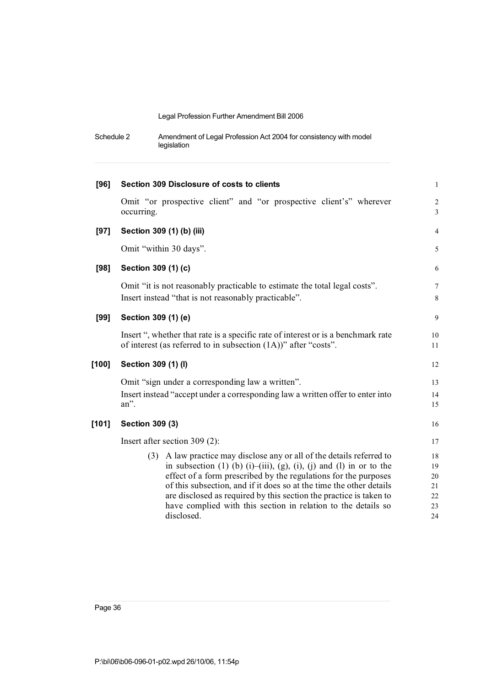| Schedule 2 | Amendment of Legal Profession Act 2004 for consistency with model |
|------------|-------------------------------------------------------------------|
|            | legislation                                                       |

| [96]    | Section 309 Disclosure of costs to clients                                                                                                                                                                                                                                                                                                                                                                                                           | $\mathbf{1}$                     |
|---------|------------------------------------------------------------------------------------------------------------------------------------------------------------------------------------------------------------------------------------------------------------------------------------------------------------------------------------------------------------------------------------------------------------------------------------------------------|----------------------------------|
|         | Omit "or prospective client" and "or prospective client's" wherever<br>occurring.                                                                                                                                                                                                                                                                                                                                                                    | $\overline{2}$<br>$\overline{3}$ |
| $[97]$  | Section 309 (1) (b) (iii)                                                                                                                                                                                                                                                                                                                                                                                                                            | $\overline{4}$                   |
|         | Omit "within 30 days".                                                                                                                                                                                                                                                                                                                                                                                                                               | 5                                |
| [98]    | Section 309 (1) (c)                                                                                                                                                                                                                                                                                                                                                                                                                                  | 6                                |
|         | Omit "it is not reasonably practicable to estimate the total legal costs".<br>Insert instead "that is not reasonably practicable".                                                                                                                                                                                                                                                                                                                   | $7\phantom{.0}$<br>8             |
| $[99]$  | Section 309 (1) (e)                                                                                                                                                                                                                                                                                                                                                                                                                                  | 9                                |
|         | Insert ", whether that rate is a specific rate of interest or is a benchmark rate<br>of interest (as referred to in subsection $(1A)$ )" after "costs".                                                                                                                                                                                                                                                                                              | 10<br>11                         |
| $[100]$ | Section 309 (1) (I)                                                                                                                                                                                                                                                                                                                                                                                                                                  | 12                               |
|         | Omit "sign under a corresponding law a written".                                                                                                                                                                                                                                                                                                                                                                                                     | 13                               |
|         | Insert instead "accept under a corresponding law a written offer to enter into<br>an".                                                                                                                                                                                                                                                                                                                                                               | 14<br>15                         |
| [101]   | Section 309 (3)                                                                                                                                                                                                                                                                                                                                                                                                                                      | 16                               |
|         | Insert after section 309 $(2)$ :                                                                                                                                                                                                                                                                                                                                                                                                                     | 17                               |
|         | A law practice may disclose any or all of the details referred to<br>(3)<br>in subsection $(1)$ (b) $(i)$ - $(i)$ ii), $(g)$ , $(i)$ , $(j)$ and $(l)$ in or to the<br>effect of a form prescribed by the regulations for the purposes<br>of this subsection, and if it does so at the time the other details<br>are disclosed as required by this section the practice is taken to<br>have complied with this section in relation to the details so | 18<br>19<br>20<br>21<br>22<br>23 |
|         | disclosed.                                                                                                                                                                                                                                                                                                                                                                                                                                           | 24                               |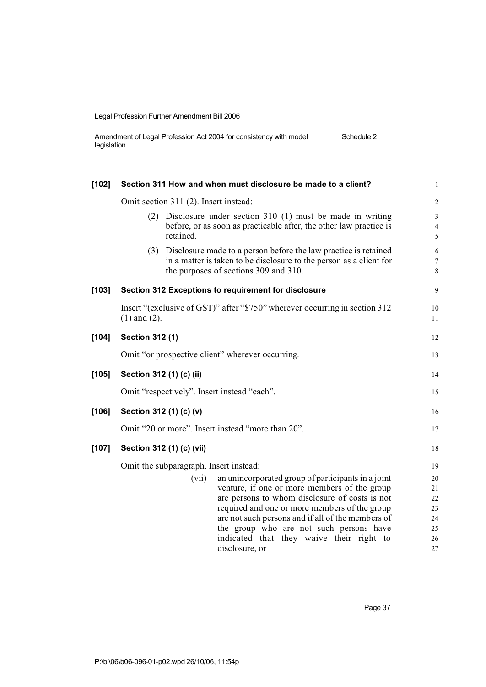| Amendment of Legal Profession Act 2004 for consistency with model | Schedule 2 |
|-------------------------------------------------------------------|------------|
| legislation                                                       |            |

| $[102]$ | Section 311 How and when must disclosure be made to a client?                                                                                                                                                                                                                                                                                              | 1                                          |  |  |  |  |
|---------|------------------------------------------------------------------------------------------------------------------------------------------------------------------------------------------------------------------------------------------------------------------------------------------------------------------------------------------------------------|--------------------------------------------|--|--|--|--|
|         | Omit section 311 (2). Insert instead:                                                                                                                                                                                                                                                                                                                      |                                            |  |  |  |  |
|         | (2) Disclosure under section 310 (1) must be made in writing<br>before, or as soon as practicable after, the other law practice is<br>retained.                                                                                                                                                                                                            | $\mathfrak{Z}$<br>$\overline{4}$<br>5      |  |  |  |  |
|         | (3) Disclosure made to a person before the law practice is retained<br>in a matter is taken to be disclosure to the person as a client for<br>the purposes of sections 309 and 310.                                                                                                                                                                        | $\sqrt{6}$<br>$\overline{7}$<br>8          |  |  |  |  |
| $[103]$ | Section 312 Exceptions to requirement for disclosure                                                                                                                                                                                                                                                                                                       | 9                                          |  |  |  |  |
|         | Insert "(exclusive of GST)" after "\$750" wherever occurring in section 312<br>$(1)$ and $(2)$ .                                                                                                                                                                                                                                                           | 10<br>11                                   |  |  |  |  |
| $[104]$ | Section 312 (1)                                                                                                                                                                                                                                                                                                                                            | 12                                         |  |  |  |  |
|         | Omit "or prospective client" wherever occurring.                                                                                                                                                                                                                                                                                                           | 13                                         |  |  |  |  |
| $[105]$ | Section 312 (1) (c) (ii)                                                                                                                                                                                                                                                                                                                                   | 14                                         |  |  |  |  |
|         | Omit "respectively". Insert instead "each".                                                                                                                                                                                                                                                                                                                | 15                                         |  |  |  |  |
| $[106]$ | Section 312 (1) (c) (v)                                                                                                                                                                                                                                                                                                                                    | 16                                         |  |  |  |  |
|         | Omit "20 or more". Insert instead "more than 20".                                                                                                                                                                                                                                                                                                          | 17                                         |  |  |  |  |
| $[107]$ | Section 312 (1) (c) (vii)                                                                                                                                                                                                                                                                                                                                  | 18                                         |  |  |  |  |
|         | Omit the subparagraph. Insert instead:                                                                                                                                                                                                                                                                                                                     | 19                                         |  |  |  |  |
|         | an unincorporated group of participants in a joint<br>(vii)<br>venture, if one or more members of the group<br>are persons to whom disclosure of costs is not<br>required and one or more members of the group<br>are not such persons and if all of the members of<br>the group who are not such persons have<br>indicated that they waive their right to | 20<br>21<br>$22\,$<br>23<br>24<br>25<br>26 |  |  |  |  |
|         | disclosure, or                                                                                                                                                                                                                                                                                                                                             | 27                                         |  |  |  |  |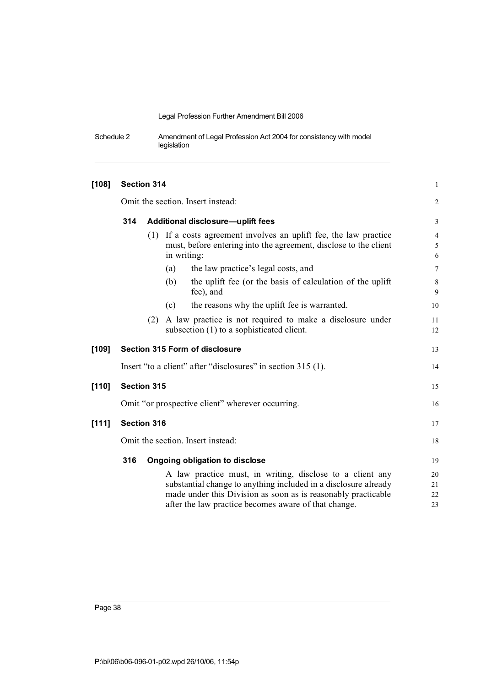Schedule 2 Amendment of Legal Profession Act 2004 for consistency with model legislation

| $[108]$ |                                          | Section 314                                                                                                                                                                                                                                           | $\mathbf{1}$             |  |
|---------|------------------------------------------|-------------------------------------------------------------------------------------------------------------------------------------------------------------------------------------------------------------------------------------------------------|--------------------------|--|
|         | Omit the section. Insert instead:        |                                                                                                                                                                                                                                                       |                          |  |
|         | 314<br>Additional disclosure-uplift fees |                                                                                                                                                                                                                                                       |                          |  |
|         |                                          | (1) If a costs agreement involves an uplift fee, the law practice<br>must, before entering into the agreement, disclose to the client<br>in writing:                                                                                                  | $\overline{4}$<br>5<br>6 |  |
|         |                                          | the law practice's legal costs, and<br>(a)                                                                                                                                                                                                            | $\overline{7}$           |  |
|         |                                          | the uplift fee (or the basis of calculation of the uplift)<br>(b)<br>fee), and                                                                                                                                                                        | $\,8\,$<br>9             |  |
|         |                                          | the reasons why the uplift fee is warranted.<br>(c)                                                                                                                                                                                                   | 10                       |  |
|         |                                          | A law practice is not required to make a disclosure under<br>(2)<br>subsection (1) to a sophisticated client.                                                                                                                                         | 11<br>12                 |  |
| [109]   |                                          | Section 315 Form of disclosure                                                                                                                                                                                                                        | 13                       |  |
|         |                                          | Insert "to a client" after "disclosures" in section 315 (1).                                                                                                                                                                                          | 14                       |  |
| $[110]$ |                                          | <b>Section 315</b>                                                                                                                                                                                                                                    | 15                       |  |
|         |                                          | Omit "or prospective client" wherever occurring.                                                                                                                                                                                                      | 16                       |  |
| [111]   |                                          | <b>Section 316</b>                                                                                                                                                                                                                                    | 17                       |  |
|         | Omit the section. Insert instead:        |                                                                                                                                                                                                                                                       |                          |  |
|         | 316                                      | Ongoing obligation to disclose                                                                                                                                                                                                                        | 19                       |  |
|         |                                          | A law practice must, in writing, disclose to a client any<br>substantial change to anything included in a disclosure already<br>made under this Division as soon as is reasonably practicable<br>after the law practice becomes aware of that change. | 20<br>21<br>22<br>23     |  |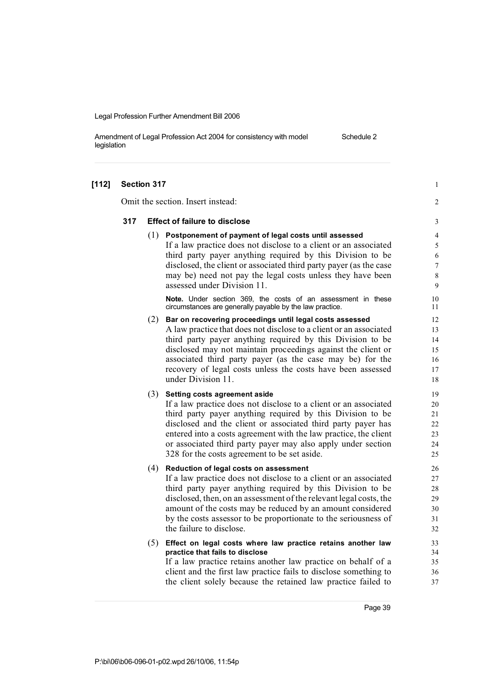Amendment of Legal Profession Act 2004 for consistency with model legislation Schedule 2

| $[112]$ | Section 317                       |     |                                                                                                                                | $\mathbf{1}$   |  |
|---------|-----------------------------------|-----|--------------------------------------------------------------------------------------------------------------------------------|----------------|--|
|         | Omit the section. Insert instead: |     |                                                                                                                                |                |  |
|         | 317                               |     | <b>Effect of failure to disclose</b>                                                                                           | 3              |  |
|         |                                   | (1) | Postponement of payment of legal costs until assessed                                                                          | $\overline{4}$ |  |
|         |                                   |     | If a law practice does not disclose to a client or an associated                                                               | 5              |  |
|         |                                   |     | third party payer anything required by this Division to be                                                                     | 6              |  |
|         |                                   |     | disclosed, the client or associated third party payer (as the case                                                             | 7              |  |
|         |                                   |     | may be) need not pay the legal costs unless they have been<br>assessed under Division 11.                                      | 8<br>9         |  |
|         |                                   |     |                                                                                                                                |                |  |
|         |                                   |     | Note. Under section 369, the costs of an assessment in these<br>circumstances are generally payable by the law practice.       | 10<br>11       |  |
|         |                                   | (2) | Bar on recovering proceedings until legal costs assessed                                                                       | 12             |  |
|         |                                   |     | A law practice that does not disclose to a client or an associated                                                             | 13             |  |
|         |                                   |     | third party payer anything required by this Division to be                                                                     | 14             |  |
|         |                                   |     | disclosed may not maintain proceedings against the client or                                                                   | 15             |  |
|         |                                   |     | associated third party payer (as the case may be) for the                                                                      | 16             |  |
|         |                                   |     | recovery of legal costs unless the costs have been assessed<br>under Division 11.                                              | 17<br>18       |  |
|         |                                   |     |                                                                                                                                |                |  |
|         |                                   | (3) | Setting costs agreement aside                                                                                                  | 19             |  |
|         |                                   |     | If a law practice does not disclose to a client or an associated                                                               | 20             |  |
|         |                                   |     | third party payer anything required by this Division to be                                                                     | 21             |  |
|         |                                   |     | disclosed and the client or associated third party payer has                                                                   | 22             |  |
|         |                                   |     | entered into a costs agreement with the law practice, the client                                                               | 23<br>24       |  |
|         |                                   |     | or associated third party payer may also apply under section<br>328 for the costs agreement to be set aside.                   | 25             |  |
|         |                                   |     |                                                                                                                                |                |  |
|         |                                   | (4) | Reduction of legal costs on assessment                                                                                         | 26             |  |
|         |                                   |     | If a law practice does not disclose to a client or an associated<br>third party payer anything required by this Division to be | 27<br>28       |  |
|         |                                   |     | disclosed, then, on an assessment of the relevant legal costs, the                                                             | 29             |  |
|         |                                   |     | amount of the costs may be reduced by an amount considered                                                                     | 30             |  |
|         |                                   |     | by the costs assessor to be proportionate to the seriousness of                                                                | 31             |  |
|         |                                   |     | the failure to disclose.                                                                                                       | 32             |  |
|         |                                   | (5) | Effect on legal costs where law practice retains another law                                                                   | 33             |  |
|         |                                   |     | practice that fails to disclose                                                                                                | 34             |  |
|         |                                   |     | If a law practice retains another law practice on behalf of a                                                                  | 35             |  |
|         |                                   |     | client and the first law practice fails to disclose something to                                                               | 36             |  |
|         |                                   |     | the client solely because the retained law practice failed to                                                                  | 37             |  |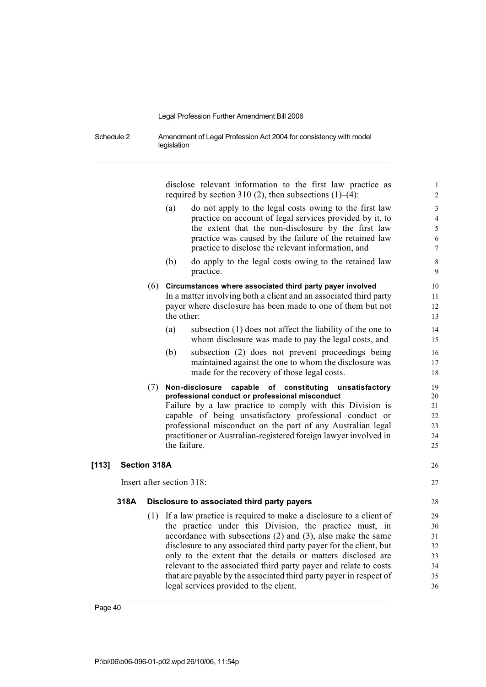Schedule 2 Amendment of Legal Profession Act 2004 for consistency with model legislation

> disclose relevant information to the first law practice as 1 required by section 310 (2), then subsections  $(1)$ –(4): 2

- (a) do not apply to the legal costs owing to the first law 3 practice on account of legal services provided by it, to 4 the extent that the non-disclosure by the first law 5 practice was caused by the failure of the retained law 6 practice to disclose the relevant information, and 7
- (b) do apply to the legal costs owing to the retained law 8 practice. 9

#### (6) **Circumstances where associated third party payer involved** 10 In a matter involving both a client and an associated third party 11

- payer where disclosure has been made to one of them but not 12 the other: 13
- (a) subsection (1) does not affect the liability of the one to 14 whom disclosure was made to pay the legal costs, and 15
- (b) subsection (2) does not prevent proceedings being 16 maintained against the one to whom the disclosure was 17 made for the recovery of those legal costs. 18
- (7) **Non-disclosure capable of constituting unsatisfactory** 19 **professional conduct or professional misconduct** 20 Failure by a law practice to comply with this Division is 21 capable of being unsatisfactory professional conduct or 22 professional misconduct on the part of any Australian legal 23 practitioner or Australian-registered foreign lawyer involved in 24 the failure. 25

#### **[113] Section 318A** 26

Insert after section 318: 27

#### **318A Disclosure to associated third party payers** 28

(1) If a law practice is required to make a disclosure to a client of 29 the practice under this Division, the practice must, in 30 accordance with subsections  $(2)$  and  $(3)$ , also make the same  $31$ disclosure to any associated third party payer for the client, but 32 only to the extent that the details or matters disclosed are 33 relevant to the associated third party payer and relate to costs  $34$ that are payable by the associated third party payer in respect of 35 legal services provided to the client. 36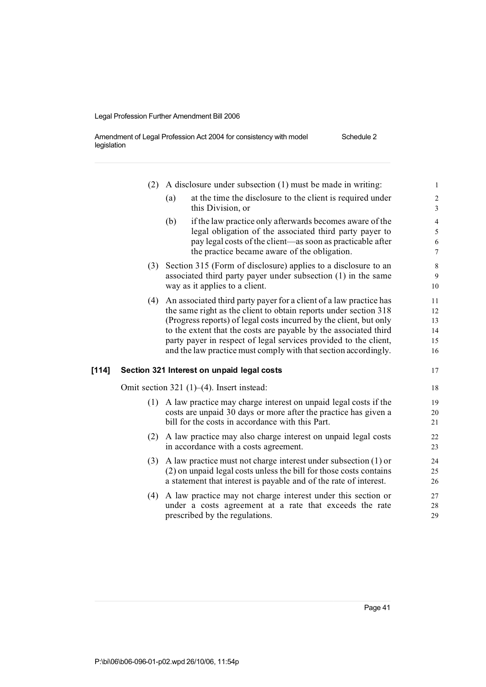Amendment of Legal Profession Act 2004 for consistency with model legislation Schedule 2

|       | (2) | A disclosure under subsection (1) must be made in writing:                                                 | $\mathbf{1}$             |
|-------|-----|------------------------------------------------------------------------------------------------------------|--------------------------|
|       |     | at the time the disclosure to the client is required under<br>(a)<br>this Division, or                     | $\sqrt{2}$<br>3          |
|       |     | (b)<br>if the law practice only afterwards becomes aware of the                                            | $\overline{\mathcal{A}}$ |
|       |     | legal obligation of the associated third party payer to                                                    | 5                        |
|       |     | pay legal costs of the client—as soon as practicable after<br>the practice became aware of the obligation. | 6<br>$\overline{7}$      |
|       | (3) | Section 315 (Form of disclosure) applies to a disclosure to an                                             | $\,8\,$                  |
|       |     | associated third party payer under subsection (1) in the same                                              | 9                        |
|       |     | way as it applies to a client.                                                                             | 10                       |
|       | (4) | An associated third party payer for a client of a law practice has                                         | 11                       |
|       |     | the same right as the client to obtain reports under section 318                                           | 12                       |
|       |     | (Progress reports) of legal costs incurred by the client, but only                                         | 13                       |
|       |     | to the extent that the costs are payable by the associated third                                           | 14                       |
|       |     | party payer in respect of legal services provided to the client,                                           | 15                       |
|       |     | and the law practice must comply with that section accordingly.                                            | 16                       |
| [114] |     | Section 321 Interest on unpaid legal costs                                                                 | 17                       |
|       |     | Omit section 321 $(1)$ – $(4)$ . Insert instead:                                                           | $18\,$                   |
|       | (1) | A law practice may charge interest on unpaid legal costs if the                                            | 19                       |
|       |     | costs are unpaid 30 days or more after the practice has given a                                            | $20\,$                   |
|       |     | bill for the costs in accordance with this Part.                                                           | 21                       |
|       | (2) | A law practice may also charge interest on unpaid legal costs                                              | 22                       |
|       |     | in accordance with a costs agreement.                                                                      | 23                       |
|       | (3) | A law practice must not charge interest under subsection $(1)$ or                                          | 24                       |
|       |     | (2) on unpaid legal costs unless the bill for those costs contains                                         | 25                       |
|       |     | a statement that interest is payable and of the rate of interest.                                          | $26\,$                   |
|       | (4) | A law practice may not charge interest under this section or                                               | 27                       |
|       |     | under a costs agreement at a rate that exceeds the rate                                                    | 28                       |
|       |     | prescribed by the regulations.                                                                             | 29                       |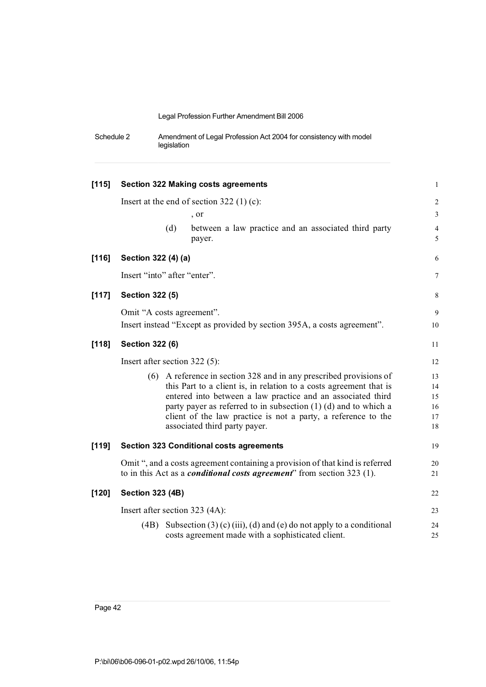| Schedule 2 | Amendment of Legal Profession Act 2004 for consistency with model |
|------------|-------------------------------------------------------------------|
|            | legislation                                                       |

| [115]   |                               |     | <b>Section 322 Making costs agreements</b>                                                                                           | $\mathbf{1}$        |
|---------|-------------------------------|-----|--------------------------------------------------------------------------------------------------------------------------------------|---------------------|
|         |                               |     | Insert at the end of section $322(1)(c)$ :                                                                                           | $\sqrt{2}$          |
|         |                               |     | , or                                                                                                                                 | 3                   |
|         |                               | (d) | between a law practice and an associated third party<br>payer.                                                                       | $\overline{4}$<br>5 |
| $[116]$ | Section 322 (4) (a)           |     |                                                                                                                                      | 6                   |
|         | Insert "into" after "enter".  |     |                                                                                                                                      | $\tau$              |
| $[117]$ | <b>Section 322 (5)</b>        |     |                                                                                                                                      | 8                   |
|         | Omit "A costs agreement".     |     |                                                                                                                                      | 9                   |
|         |                               |     | Insert instead "Except as provided by section 395A, a costs agreement".                                                              | 10                  |
| $[118]$ | <b>Section 322 (6)</b>        |     |                                                                                                                                      | 11                  |
|         | Insert after section 322 (5): |     |                                                                                                                                      | 12                  |
|         |                               |     | (6) A reference in section 328 and in any prescribed provisions of                                                                   | 13                  |
|         |                               |     | this Part to a client is, in relation to a costs agreement that is                                                                   | 14                  |
|         |                               |     | entered into between a law practice and an associated third                                                                          | 15                  |
|         |                               |     | party payer as referred to in subsection $(1)$ $(d)$ and to which a<br>client of the law practice is not a party, a reference to the | 16<br>17            |
|         |                               |     | associated third party payer.                                                                                                        | $18\,$              |
| $[119]$ |                               |     | <b>Section 323 Conditional costs agreements</b>                                                                                      | 19                  |
|         |                               |     | Omit ", and a costs agreement containing a provision of that kind is referred                                                        | 20                  |
|         |                               |     | to in this Act as a <i>conditional costs agreement</i> " from section 323 (1).                                                       | 21                  |
| $[120]$ | <b>Section 323 (4B)</b>       |     |                                                                                                                                      | 22                  |
|         |                               |     | Insert after section 323 (4A):                                                                                                       | 23                  |
|         |                               |     | (4B) Subsection (3) (c) (iii), (d) and (e) do not apply to a conditional<br>costs agreement made with a sophisticated client.        | 24<br>25            |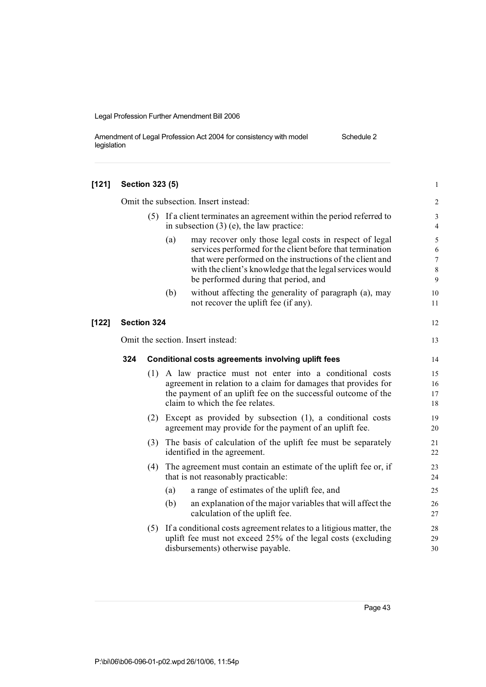Amendment of Legal Profession Act 2004 for consistency with model legislation Schedule 2

| [121]   | <b>Section 323 (5)</b>               |     |                                                                                                                                                                                                                                                                                              | $\mathbf{1}$                              |
|---------|--------------------------------------|-----|----------------------------------------------------------------------------------------------------------------------------------------------------------------------------------------------------------------------------------------------------------------------------------------------|-------------------------------------------|
|         | Omit the subsection. Insert instead: |     |                                                                                                                                                                                                                                                                                              |                                           |
|         |                                      | (5) | If a client terminates an agreement within the period referred to<br>in subsection $(3)$ (e), the law practice:                                                                                                                                                                              | $\mathfrak{Z}$<br>4                       |
|         |                                      |     | (a)<br>may recover only those legal costs in respect of legal<br>services performed for the client before that termination<br>that were performed on the instructions of the client and<br>with the client's knowledge that the legal services would<br>be performed during that period, and | 5<br>6<br>$7\overline{ }$<br>$\,8\,$<br>9 |
|         |                                      |     | (b)<br>without affecting the generality of paragraph (a), may<br>not recover the uplift fee (if any).                                                                                                                                                                                        | 10<br>11                                  |
| $[122]$ | <b>Section 324</b>                   |     |                                                                                                                                                                                                                                                                                              | 12                                        |
|         | Omit the section. Insert instead:    |     |                                                                                                                                                                                                                                                                                              |                                           |
|         | 324                                  |     | Conditional costs agreements involving uplift fees                                                                                                                                                                                                                                           | 14                                        |
|         |                                      | (1) | A law practice must not enter into a conditional costs<br>agreement in relation to a claim for damages that provides for<br>the payment of an uplift fee on the successful outcome of the<br>claim to which the fee relates.                                                                 | 15<br>16<br>17<br>18                      |
|         |                                      |     | (2) Except as provided by subsection (1), a conditional costs<br>agreement may provide for the payment of an uplift fee.                                                                                                                                                                     | 19<br>20                                  |
|         |                                      |     | (3) The basis of calculation of the uplift fee must be separately<br>identified in the agreement.                                                                                                                                                                                            | 21<br>22                                  |
|         |                                      | (4) | The agreement must contain an estimate of the uplift fee or, if<br>that is not reasonably practicable:                                                                                                                                                                                       | 23<br>24                                  |
|         |                                      |     | a range of estimates of the uplift fee, and<br>(a)                                                                                                                                                                                                                                           | 25                                        |
|         |                                      |     | (b)<br>an explanation of the major variables that will affect the<br>calculation of the uplift fee.                                                                                                                                                                                          | 26<br>27                                  |
|         |                                      | (5) | If a conditional costs agreement relates to a litigious matter, the<br>uplift fee must not exceed 25% of the legal costs (excluding<br>disbursements) otherwise payable.                                                                                                                     | 28<br>29<br>30                            |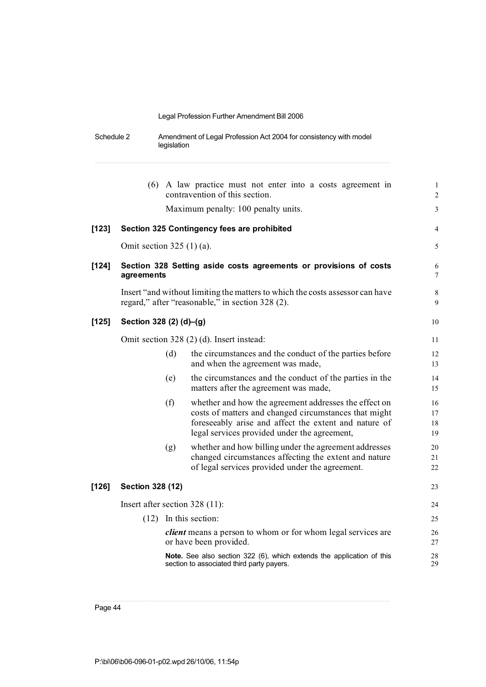| Schedule 2 | Amendment of Legal Profession Act 2004 for consistency with model |
|------------|-------------------------------------------------------------------|
|            | legislation                                                       |

|         |                                  |     | (6) A law practice must not enter into a costs agreement in<br>contravention of this section.                                                                                                                           | $\mathbf{1}$<br>$\overline{c}$ |
|---------|----------------------------------|-----|-------------------------------------------------------------------------------------------------------------------------------------------------------------------------------------------------------------------------|--------------------------------|
|         |                                  |     | Maximum penalty: 100 penalty units.                                                                                                                                                                                     | 3                              |
| $[123]$ |                                  |     | Section 325 Contingency fees are prohibited                                                                                                                                                                             | 4                              |
|         | Omit section $325(1)(a)$ .       |     |                                                                                                                                                                                                                         | 5                              |
| $[124]$ | agreements                       |     | Section 328 Setting aside costs agreements or provisions of costs                                                                                                                                                       | 6<br>7                         |
|         |                                  |     | Insert "and without limiting the matters to which the costs assessor can have<br>regard," after "reasonable," in section 328 (2).                                                                                       | 8<br>9                         |
| $[125]$ | Section 328 (2) (d)-(g)          |     |                                                                                                                                                                                                                         | 10                             |
|         |                                  |     | Omit section 328 (2) (d). Insert instead:                                                                                                                                                                               | 11                             |
|         |                                  | (d) | the circumstances and the conduct of the parties before<br>and when the agreement was made,                                                                                                                             | 12<br>13                       |
|         |                                  | (e) | the circumstances and the conduct of the parties in the<br>matters after the agreement was made,                                                                                                                        | 14<br>15                       |
|         |                                  | (f) | whether and how the agreement addresses the effect on<br>costs of matters and changed circumstances that might<br>foreseeably arise and affect the extent and nature of<br>legal services provided under the agreement, | 16<br>17<br>18<br>19           |
|         |                                  | (g) | whether and how billing under the agreement addresses<br>changed circumstances affecting the extent and nature<br>of legal services provided under the agreement.                                                       | 20<br>21<br>22                 |
| $[126]$ | <b>Section 328 (12)</b>          |     |                                                                                                                                                                                                                         | 23                             |
|         | Insert after section $328(11)$ : |     |                                                                                                                                                                                                                         | 24                             |
|         |                                  |     | $(12)$ In this section:                                                                                                                                                                                                 | 25                             |
|         |                                  |     | <i>client</i> means a person to whom or for whom legal services are<br>or have been provided.                                                                                                                           | 26<br>27                       |
|         |                                  |     | Note. See also section 322 (6), which extends the application of this<br>section to associated third party payers.                                                                                                      | 28<br>29                       |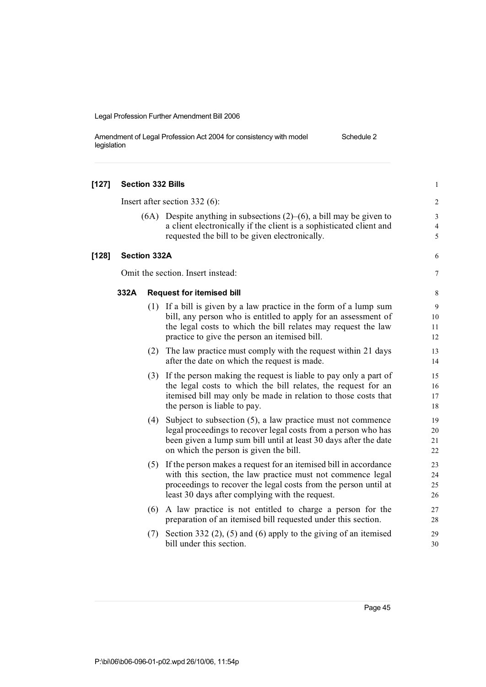| Amendment of Legal Profession Act 2004 for consistency with model | Schedule 2 |
|-------------------------------------------------------------------|------------|
| legislation                                                       |            |

| $[127]$ |                     |     | <b>Section 332 Bills</b>                                                                                                                                                                                                                                  | $\mathbf{1}$             |
|---------|---------------------|-----|-----------------------------------------------------------------------------------------------------------------------------------------------------------------------------------------------------------------------------------------------------------|--------------------------|
|         |                     |     | Insert after section 332 $(6)$ :                                                                                                                                                                                                                          | $\overline{c}$           |
|         |                     |     | $(6A)$ Despite anything in subsections $(2)$ – $(6)$ , a bill may be given to<br>a client electronically if the client is a sophisticated client and<br>requested the bill to be given electronically.                                                    | 3<br>$\overline{4}$<br>5 |
| $[128]$ | <b>Section 332A</b> |     |                                                                                                                                                                                                                                                           | 6                        |
|         |                     |     | Omit the section. Insert instead:                                                                                                                                                                                                                         | 7                        |
|         | 332A                |     | <b>Request for itemised bill</b>                                                                                                                                                                                                                          | 8                        |
|         |                     |     | (1) If a bill is given by a law practice in the form of a lump sum<br>bill, any person who is entitled to apply for an assessment of<br>the legal costs to which the bill relates may request the law<br>practice to give the person an itemised bill.    | 9<br>10<br>11<br>12      |
|         |                     | (2) | The law practice must comply with the request within 21 days<br>after the date on which the request is made.                                                                                                                                              | 13<br>14                 |
|         |                     |     | (3) If the person making the request is liable to pay only a part of<br>the legal costs to which the bill relates, the request for an<br>itemised bill may only be made in relation to those costs that<br>the person is liable to pay.                   | 15<br>16<br>17<br>$18\,$ |
|         |                     | (4) | Subject to subsection $(5)$ , a law practice must not commence<br>legal proceedings to recover legal costs from a person who has<br>been given a lump sum bill until at least 30 days after the date<br>on which the person is given the bill.            | 19<br>20<br>21<br>22     |
|         |                     |     | (5) If the person makes a request for an itemised bill in accordance<br>with this section, the law practice must not commence legal<br>proceedings to recover the legal costs from the person until at<br>least 30 days after complying with the request. | 23<br>24<br>25<br>26     |
|         |                     | (6) | A law practice is not entitled to charge a person for the<br>preparation of an itemised bill requested under this section.                                                                                                                                | 27<br>28                 |
|         |                     | (7) | Section 332 $(2)$ , $(5)$ and $(6)$ apply to the giving of an itemised<br>bill under this section.                                                                                                                                                        | 29<br>30                 |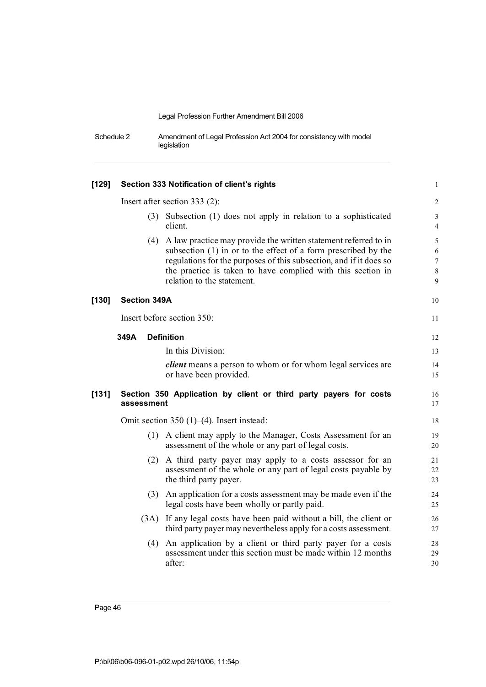Schedule 2 Amendment of Legal Profession Act 2004 for consistency with model legislation

| $[129]$ | Section 333 Notification of client's rights |                                                                                                                                                                                                                                                                                                          |                                             |  |  |
|---------|---------------------------------------------|----------------------------------------------------------------------------------------------------------------------------------------------------------------------------------------------------------------------------------------------------------------------------------------------------------|---------------------------------------------|--|--|
|         |                                             | Insert after section $333(2)$ :                                                                                                                                                                                                                                                                          | 2                                           |  |  |
|         | (3)                                         | Subsection (1) does not apply in relation to a sophisticated<br>client.                                                                                                                                                                                                                                  | $\mathfrak{Z}$<br>4                         |  |  |
|         |                                             | (4) A law practice may provide the written statement referred to in<br>subsection (1) in or to the effect of a form prescribed by the<br>regulations for the purposes of this subsection, and if it does so<br>the practice is taken to have complied with this section in<br>relation to the statement. | 5<br>$\sqrt{6}$<br>$\overline{7}$<br>8<br>9 |  |  |
| $[130]$ | <b>Section 349A</b>                         |                                                                                                                                                                                                                                                                                                          | 10                                          |  |  |
|         |                                             | Insert before section 350:                                                                                                                                                                                                                                                                               | 11                                          |  |  |
|         | 349A                                        | <b>Definition</b>                                                                                                                                                                                                                                                                                        | 12                                          |  |  |
|         |                                             | In this Division:                                                                                                                                                                                                                                                                                        | 13                                          |  |  |
|         |                                             | <i>client</i> means a person to whom or for whom legal services are<br>or have been provided.                                                                                                                                                                                                            | 14<br>15                                    |  |  |
| $[131]$ | assessment                                  | Section 350 Application by client or third party payers for costs                                                                                                                                                                                                                                        | 16<br>17                                    |  |  |
|         |                                             | Omit section 350 $(1)$ – $(4)$ . Insert instead:                                                                                                                                                                                                                                                         | 18                                          |  |  |
|         |                                             | (1) A client may apply to the Manager, Costs Assessment for an<br>assessment of the whole or any part of legal costs.                                                                                                                                                                                    | 19<br>20                                    |  |  |
|         | (2)                                         | A third party payer may apply to a costs assessor for an<br>assessment of the whole or any part of legal costs payable by<br>the third party payer.                                                                                                                                                      | 21<br>22<br>23                              |  |  |
|         |                                             | (3) An application for a costs assessment may be made even if the<br>legal costs have been wholly or partly paid.                                                                                                                                                                                        | 24<br>25                                    |  |  |
|         |                                             | (3A) If any legal costs have been paid without a bill, the client or<br>third party payer may nevertheless apply for a costs assessment.                                                                                                                                                                 | 26<br>27                                    |  |  |
|         | (4)                                         | An application by a client or third party payer for a costs<br>assessment under this section must be made within 12 months<br>after:                                                                                                                                                                     | 28<br>29<br>30                              |  |  |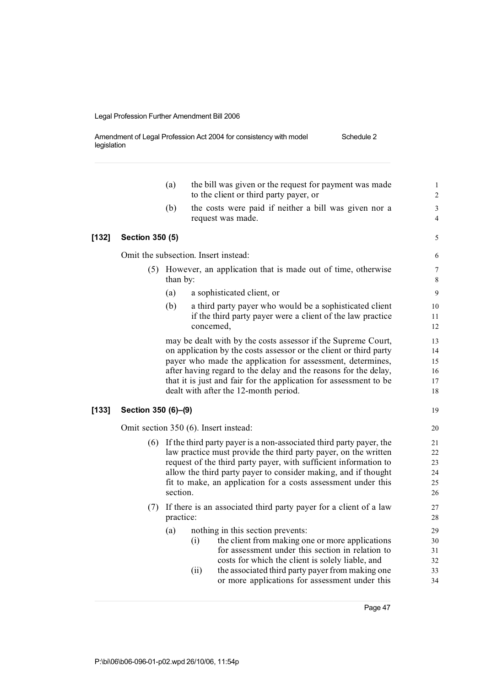Amendment of Legal Profession Act 2004 for consistency with model legislation Schedule 2

|       |                        | (a)       | the bill was given or the request for payment was made<br>to the client or third party payer, or                                                                                                                                                                                                                                                                                  | $\mathbf{1}$<br>$\overline{\mathbf{c}}$ |
|-------|------------------------|-----------|-----------------------------------------------------------------------------------------------------------------------------------------------------------------------------------------------------------------------------------------------------------------------------------------------------------------------------------------------------------------------------------|-----------------------------------------|
|       |                        | (b)       | the costs were paid if neither a bill was given nor a<br>request was made.                                                                                                                                                                                                                                                                                                        | 3<br>4                                  |
| [132] | <b>Section 350 (5)</b> |           |                                                                                                                                                                                                                                                                                                                                                                                   | 5                                       |
|       |                        |           | Omit the subsection. Insert instead:                                                                                                                                                                                                                                                                                                                                              | 6                                       |
|       |                        | than by:  | (5) However, an application that is made out of time, otherwise                                                                                                                                                                                                                                                                                                                   | $\overline{7}$<br>8                     |
|       |                        | (a)       | a sophisticated client, or                                                                                                                                                                                                                                                                                                                                                        | 9                                       |
|       |                        | (b)       | a third party payer who would be a sophisticated client<br>if the third party payer were a client of the law practice<br>concerned,                                                                                                                                                                                                                                               | 10<br>11<br>12                          |
|       |                        |           | may be dealt with by the costs assessor if the Supreme Court,<br>on application by the costs assessor or the client or third party<br>payer who made the application for assessment, determines,<br>after having regard to the delay and the reasons for the delay,<br>that it is just and fair for the application for assessment to be<br>dealt with after the 12-month period. | 13<br>14<br>15<br>16<br>17<br>18        |
| [133] | Section 350 (6)-(9)    |           |                                                                                                                                                                                                                                                                                                                                                                                   | 19                                      |
|       |                        |           | Omit section 350 (6). Insert instead:                                                                                                                                                                                                                                                                                                                                             | 20                                      |
|       |                        | section.  | (6) If the third party payer is a non-associated third party payer, the<br>law practice must provide the third party payer, on the written<br>request of the third party payer, with sufficient information to<br>allow the third party payer to consider making, and if thought<br>fit to make, an application for a costs assessment under this                                 | 21<br>22<br>23<br>24<br>25<br>26        |
|       | (7)                    | practice: | If there is an associated third party payer for a client of a law                                                                                                                                                                                                                                                                                                                 | 27<br>28                                |
|       |                        | (a)       | nothing in this section prevents:<br>the client from making one or more applications<br>(i)<br>for assessment under this section in relation to<br>costs for which the client is solely liable, and<br>the associated third party payer from making one<br>(ii)<br>or more applications for assessment under this                                                                 | 29<br>30<br>31<br>32<br>33<br>34        |
|       |                        |           |                                                                                                                                                                                                                                                                                                                                                                                   |                                         |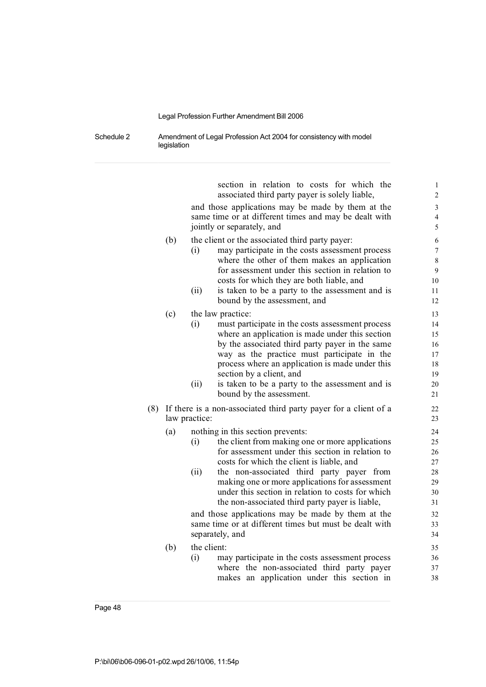Schedule 2 Amendment of Legal Profession Act 2004 for consistency with model legislation

> section in relation to costs for which the 1 associated third party payer is solely liable, 2 and those applications may be made by them at the 3 same time or at different times and may be dealt with 4 jointly or separately, and 5 (b) the client or the associated third party payer: 6 (i) may participate in the costs assessment process  $\frac{7}{2}$ where the other of them makes an application 8 for assessment under this section in relation to 9 costs for which they are both liable, and 10 (ii) is taken to be a party to the assessment and is 11 bound by the assessment, and 12 (c) the law practice: 13 (i) must participate in the costs assessment process 14 where an application is made under this section 15 by the associated third party payer in the same 16 way as the practice must participate in the 17 process where an application is made under this 18 section by a client, and 19 (ii) is taken to be a party to the assessment and is 20 bound by the assessment. 21 (8) If there is a non-associated third party payer for a client of a 22 law practice: 23 (a) nothing in this section prevents: 24 (i) the client from making one or more applications 25 for assessment under this section in relation to 26 costs for which the client is liable, and 27 (ii) the non-associated third party payer from 28 making one or more applications for assessment 29 under this section in relation to costs for which 30 the non-associated third party payer is liable,  $31$ and those applications may be made by them at the 32 same time or at different times but must be dealt with  $33$ separately, and 34 (b) the client: 35 (i) may participate in the costs assessment process 36 where the non-associated third party payer 37 makes an application under this section in 38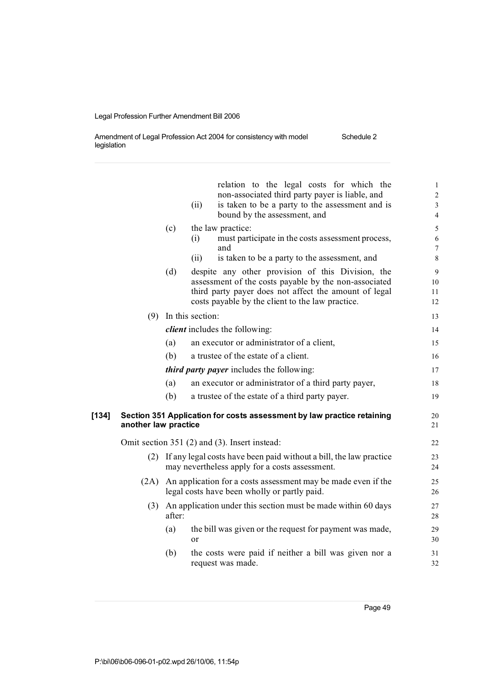Amendment of Legal Profession Act 2004 for consistency with model legislation Schedule 2

|       |                      |        | (ii)                   | relation to the legal costs for which the<br>non-associated third party payer is liable, and<br>is taken to be a party to the assessment and is<br>bound by the assessment, and                                         | 1<br>$\overline{c}$<br>3<br>$\overline{4}$ |
|-------|----------------------|--------|------------------------|-------------------------------------------------------------------------------------------------------------------------------------------------------------------------------------------------------------------------|--------------------------------------------|
|       |                      | (c)    | (i)                    | the law practice:<br>must participate in the costs assessment process,<br>and                                                                                                                                           | 5<br>6<br>7                                |
|       |                      |        | (ii)                   | is taken to be a party to the assessment, and                                                                                                                                                                           | 8                                          |
|       |                      | (d)    |                        | despite any other provision of this Division, the<br>assessment of the costs payable by the non-associated<br>third party payer does not affect the amount of legal<br>costs payable by the client to the law practice. | 9<br>10<br>11<br>12                        |
|       |                      |        | $(9)$ In this section: |                                                                                                                                                                                                                         | 13                                         |
|       |                      |        |                        | <i>client</i> includes the following:                                                                                                                                                                                   | 14                                         |
|       |                      | (a)    |                        | an executor or administrator of a client,                                                                                                                                                                               | 15                                         |
|       |                      | (b)    |                        | a trustee of the estate of a client.                                                                                                                                                                                    | 16                                         |
|       |                      |        |                        | <i>third party payer</i> includes the following:                                                                                                                                                                        | 17                                         |
|       |                      | (a)    |                        | an executor or administrator of a third party payer,                                                                                                                                                                    | 18                                         |
|       |                      | (b)    |                        | a trustee of the estate of a third party payer.                                                                                                                                                                         | 19                                         |
| [134] | another law practice |        |                        | Section 351 Application for costs assessment by law practice retaining                                                                                                                                                  | 20<br>21                                   |
|       |                      |        |                        | Omit section 351 (2) and (3). Insert instead:                                                                                                                                                                           | 22                                         |
|       | (2)                  |        |                        | If any legal costs have been paid without a bill, the law practice<br>may nevertheless apply for a costs assessment.                                                                                                    | 23<br>24                                   |
|       | (2A)                 |        |                        | An application for a costs assessment may be made even if the<br>legal costs have been wholly or partly paid.                                                                                                           | 25<br>26                                   |
|       | (3)                  | after: |                        | An application under this section must be made within 60 days                                                                                                                                                           | 27<br>28                                   |
|       |                      | (a)    | or                     | the bill was given or the request for payment was made,                                                                                                                                                                 | 29<br>30                                   |
|       |                      | (b)    |                        | the costs were paid if neither a bill was given nor a<br>request was made.                                                                                                                                              | 31<br>32                                   |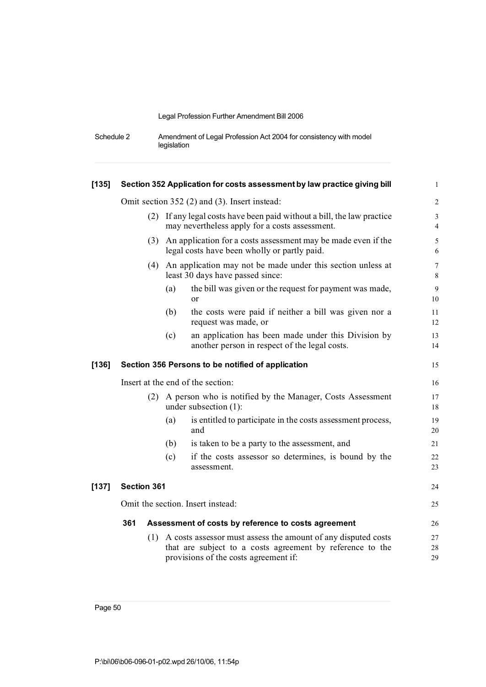| Schedule 2 | Amendment of Legal Profession Act 2004 for consistency with model |
|------------|-------------------------------------------------------------------|
|            | legislation                                                       |

| $[135]$ |                                                   |     | Section 352 Application for costs assessment by law practice giving bill                                             | $\mathbf{1}$        |  |
|---------|---------------------------------------------------|-----|----------------------------------------------------------------------------------------------------------------------|---------------------|--|
|         |                                                   |     | Omit section 352 (2) and (3). Insert instead:                                                                        | $\overline{c}$      |  |
|         | (2)                                               |     | If any legal costs have been paid without a bill, the law practice<br>may nevertheless apply for a costs assessment. | 3<br>$\overline{4}$ |  |
|         |                                                   |     | (3) An application for a costs assessment may be made even if the<br>legal costs have been wholly or partly paid.    | 5<br>6              |  |
|         |                                                   |     | (4) An application may not be made under this section unless at<br>least 30 days have passed since:                  | $\overline{7}$<br>8 |  |
|         |                                                   | (a) | the bill was given or the request for payment was made,<br>or                                                        | 9<br>10             |  |
|         |                                                   | (b) | the costs were paid if neither a bill was given nor a<br>request was made, or                                        | 11<br>12            |  |
|         |                                                   | (c) | an application has been made under this Division by<br>another person in respect of the legal costs.                 | 13<br>14            |  |
| $[136]$ | Section 356 Persons to be notified of application |     |                                                                                                                      | 15                  |  |
|         | Insert at the end of the section:                 |     |                                                                                                                      |                     |  |
|         | (2)                                               |     | A person who is notified by the Manager, Costs Assessment<br>under subsection $(1)$ :                                | 17<br>18            |  |
|         |                                                   | (a) | is entitled to participate in the costs assessment process,<br>and                                                   | 19<br>20            |  |
|         |                                                   | (b) | is taken to be a party to the assessment, and                                                                        | 21                  |  |
|         |                                                   | (c) | if the costs assessor so determines, is bound by the<br>assessment.                                                  | 22<br>23            |  |
| $[137]$ | Section 361                                       |     |                                                                                                                      | 24                  |  |
|         | Omit the section. Insert instead:                 |     |                                                                                                                      |                     |  |
|         |                                                   |     | Assessment of costs by reference to costs agreement                                                                  | 26                  |  |
|         | 361                                               |     |                                                                                                                      |                     |  |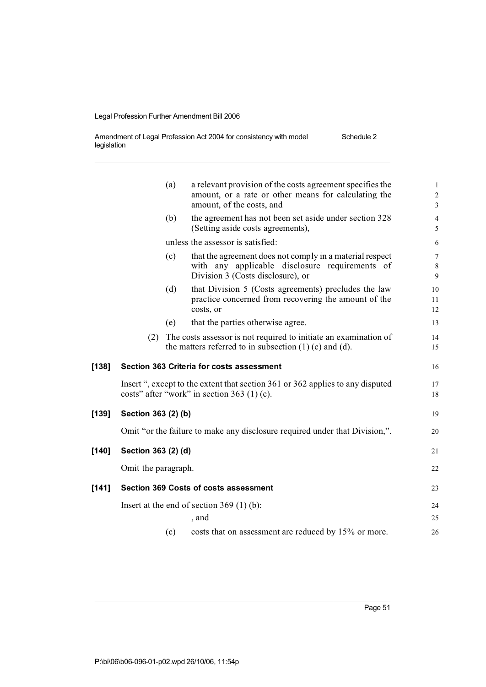Amendment of Legal Profession Act 2004 for consistency with model legislation Schedule 2

|         |                     | (a) | a relevant provision of the costs agreement specifies the<br>amount, or a rate or other means for calculating the<br>amount, of the costs, and  | 1<br>2<br>3    |
|---------|---------------------|-----|-------------------------------------------------------------------------------------------------------------------------------------------------|----------------|
|         |                     | (b) | the agreement has not been set aside under section 328<br>(Setting aside costs agreements),                                                     | 4<br>5         |
|         |                     |     | unless the assessor is satisfied:                                                                                                               | 6              |
|         |                     | (c) | that the agreement does not comply in a material respect<br>with any applicable disclosure requirements of<br>Division 3 (Costs disclosure), or | 7<br>8<br>9    |
|         |                     | (d) | that Division 5 (Costs agreements) precludes the law<br>practice concerned from recovering the amount of the<br>costs, or                       | 10<br>11<br>12 |
|         |                     | (e) | that the parties otherwise agree.                                                                                                               | 13             |
|         | (2)                 |     | The costs assessor is not required to initiate an examination of<br>the matters referred to in subsection $(1)$ (c) and (d).                    | 14<br>15       |
| $[138]$ |                     |     | Section 363 Criteria for costs assessment                                                                                                       | 16             |
|         |                     |     | Insert ", except to the extent that section 361 or 362 applies to any disputed<br>costs" after "work" in section 363 $(1)$ (c).                 | 17<br>18       |
| [139]   | Section 363 (2) (b) |     |                                                                                                                                                 | 19             |
|         |                     |     | Omit "or the failure to make any disclosure required under that Division,".                                                                     | 20             |
| $[140]$ | Section 363 (2) (d) |     |                                                                                                                                                 | 21             |
|         | Omit the paragraph. |     |                                                                                                                                                 | 22             |
| $[141]$ |                     |     | <b>Section 369 Costs of costs assessment</b>                                                                                                    | 23             |
|         |                     |     | Insert at the end of section $369(1)(b)$ :                                                                                                      | 24             |
|         |                     |     | , and                                                                                                                                           | 25             |
|         |                     | (c) | costs that on assessment are reduced by 15% or more.                                                                                            | 26             |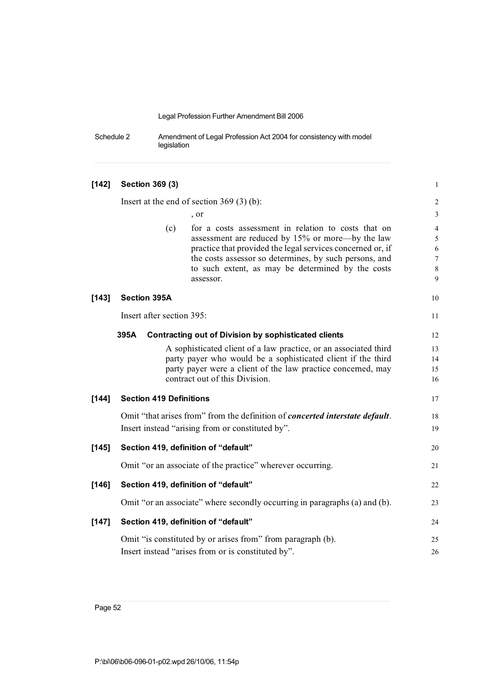Schedule 2 Amendment of Legal Profession Act 2004 for consistency with model legislation

| $[142]$ | Section 369 (3)                |                                                                                                                      | $\mathbf{1}$         |
|---------|--------------------------------|----------------------------------------------------------------------------------------------------------------------|----------------------|
|         |                                | Insert at the end of section $369(3)(b)$ :                                                                           | $\overline{c}$       |
|         |                                | , or                                                                                                                 | $\mathfrak{Z}$       |
|         | (c)                            | for a costs assessment in relation to costs that on<br>assessment are reduced by 15% or more—by the law              | $\overline{4}$<br>5  |
|         |                                | practice that provided the legal services concerned or, if<br>the costs assessor so determines, by such persons, and | $\sqrt{6}$<br>$\tau$ |
|         |                                | to such extent, as may be determined by the costs                                                                    | $\,8\,$              |
|         |                                | assessor.                                                                                                            | 9                    |
| $[143]$ | <b>Section 395A</b>            |                                                                                                                      | 10                   |
|         | Insert after section 395:      |                                                                                                                      | 11                   |
|         | 395A                           | Contracting out of Division by sophisticated clients                                                                 | 12                   |
|         |                                | A sophisticated client of a law practice, or an associated third                                                     | 13                   |
|         |                                | party payer who would be a sophisticated client if the third                                                         | 14                   |
|         |                                | party payer were a client of the law practice concerned, may                                                         | 15                   |
|         |                                | contract out of this Division.                                                                                       | 16                   |
| $[144]$ | <b>Section 419 Definitions</b> |                                                                                                                      | 17                   |
|         |                                | Omit "that arises from" from the definition of <i>concerted interstate default</i> .                                 | 18                   |
|         |                                | Insert instead "arising from or constituted by".                                                                     | 19                   |
| $[145]$ |                                | Section 419, definition of "default"                                                                                 | 20                   |
|         |                                | Omit "or an associate of the practice" wherever occurring.                                                           | 21                   |
| [146]   |                                | Section 419, definition of "default"                                                                                 | 22                   |
|         |                                | Omit "or an associate" where secondly occurring in paragraphs (a) and (b).                                           | 23                   |
| $[147]$ |                                | Section 419, definition of "default"                                                                                 | 24                   |
|         |                                | Omit "is constituted by or arises from" from paragraph (b).                                                          | 25                   |
|         |                                | Insert instead "arises from or is constituted by".                                                                   | 26                   |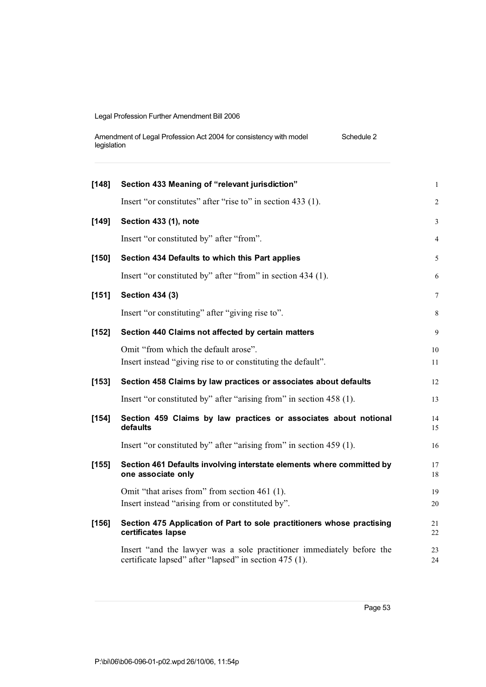| Amendment of Legal Profession Act 2004 for consistency with model | Schedule 2 |
|-------------------------------------------------------------------|------------|
| legislation                                                       |            |

| [148]   | Section 433 Meaning of "relevant jurisdiction"                                                       | $\mathbf{1}$   |
|---------|------------------------------------------------------------------------------------------------------|----------------|
|         | Insert "or constitutes" after "rise to" in section 433 (1).                                          | $\overline{2}$ |
| $[149]$ | Section 433 (1), note                                                                                | $\mathfrak{Z}$ |
|         | Insert "or constituted by" after "from".                                                             | $\overline{4}$ |
| $[150]$ | Section 434 Defaults to which this Part applies                                                      | 5              |
|         | Insert "or constituted by" after "from" in section 434 (1).                                          | 6              |
| [151]   | <b>Section 434 (3)</b>                                                                               | $\tau$         |
|         | Insert "or constituting" after "giving rise to".                                                     | $\,$ 8 $\,$    |
| $[152]$ | Section 440 Claims not affected by certain matters                                                   | 9              |
|         | Omit "from which the default arose".<br>Insert instead "giving rise to or constituting the default". | 10<br>11       |
|         |                                                                                                      |                |
| $[153]$ | Section 458 Claims by law practices or associates about defaults                                     | 12             |
|         | Insert "or constituted by" after "arising from" in section 458 (1).                                  | 13             |
| $[154]$ | Section 459 Claims by law practices or associates about notional<br>defaults                         | 14<br>15       |
|         | Insert "or constituted by" after "arising from" in section 459 (1).                                  | 16             |
| $[155]$ | Section 461 Defaults involving interstate elements where committed by<br>one associate only          | 17<br>18       |
|         | Omit "that arises from" from section 461 (1).                                                        | 19             |
|         | Insert instead "arising from or constituted by".                                                     | 20             |
| $[156]$ | Section 475 Application of Part to sole practitioners whose practising<br>certificates lapse         | 21<br>22       |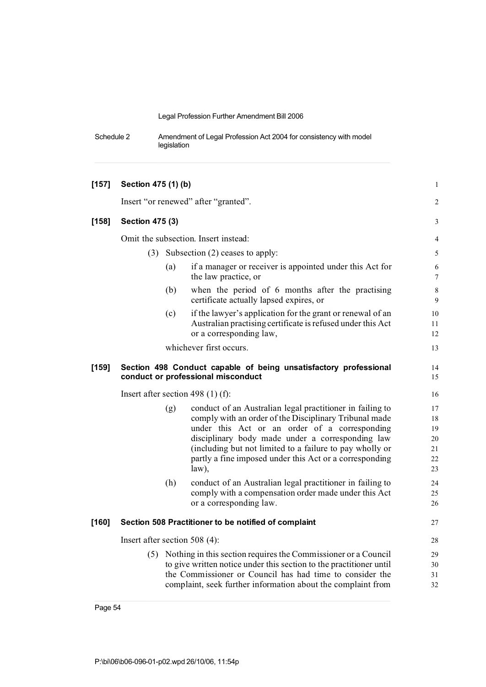Schedule 2 Amendment of Legal Profession Act 2004 for consistency with model legislation

| $[157]$ | Section 475 (1) (b)           |     |                                                                                                                                                                                                                                                                                                                                                             | $\mathbf{1}$                           |
|---------|-------------------------------|-----|-------------------------------------------------------------------------------------------------------------------------------------------------------------------------------------------------------------------------------------------------------------------------------------------------------------------------------------------------------------|----------------------------------------|
|         |                               |     | Insert "or renewed" after "granted".                                                                                                                                                                                                                                                                                                                        | $\overline{2}$                         |
| $[158]$ | <b>Section 475 (3)</b>        |     |                                                                                                                                                                                                                                                                                                                                                             | 3                                      |
|         |                               |     | Omit the subsection. Insert instead:                                                                                                                                                                                                                                                                                                                        | 4                                      |
|         | (3)                           |     | Subsection (2) ceases to apply:                                                                                                                                                                                                                                                                                                                             | 5                                      |
|         |                               | (a) | if a manager or receiver is appointed under this Act for<br>the law practice, or                                                                                                                                                                                                                                                                            | $\sqrt{6}$<br>7                        |
|         |                               | (b) | when the period of 6 months after the practising<br>certificate actually lapsed expires, or                                                                                                                                                                                                                                                                 | 8<br>9                                 |
|         |                               | (c) | if the lawyer's application for the grant or renewal of an<br>Australian practising certificate is refused under this Act<br>or a corresponding law,                                                                                                                                                                                                        | 10<br>11<br>12                         |
|         |                               |     | whichever first occurs.                                                                                                                                                                                                                                                                                                                                     | 13                                     |
| $[159]$ |                               |     | Section 498 Conduct capable of being unsatisfactory professional<br>conduct or professional misconduct                                                                                                                                                                                                                                                      | 14<br>15                               |
|         |                               |     | Insert after section 498 $(1)$ (f):                                                                                                                                                                                                                                                                                                                         | 16                                     |
|         |                               | (g) | conduct of an Australian legal practitioner in failing to<br>comply with an order of the Disciplinary Tribunal made<br>under this Act or an order of a corresponding<br>disciplinary body made under a corresponding law<br>(including but not limited to a failure to pay wholly or<br>partly a fine imposed under this Act or a corresponding<br>$law$ ), | 17<br>18<br>19<br>20<br>21<br>22<br>23 |
|         |                               | (h) | conduct of an Australian legal practitioner in failing to<br>comply with a compensation order made under this Act<br>or a corresponding law.                                                                                                                                                                                                                | 24<br>25<br>26                         |
| $[160]$ |                               |     | Section 508 Practitioner to be notified of complaint                                                                                                                                                                                                                                                                                                        | 27                                     |
|         | Insert after section 508 (4): |     |                                                                                                                                                                                                                                                                                                                                                             | 28                                     |
|         |                               |     | (5) Nothing in this section requires the Commissioner or a Council<br>to give written notice under this section to the practitioner until<br>the Commissioner or Council has had time to consider the<br>complaint, seek further information about the complaint from                                                                                       | 29<br>30<br>31<br>32                   |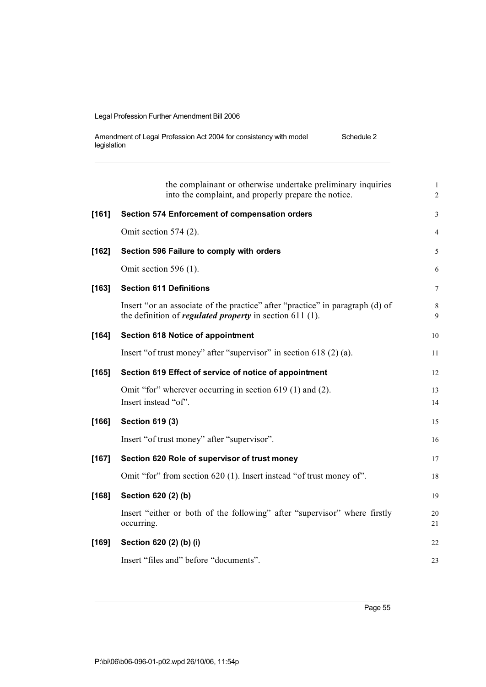| Amendment of Legal Profession Act 2004 for consistency with model | Schedule 2 |
|-------------------------------------------------------------------|------------|
| legislation                                                       |            |

|         | the complainant or otherwise undertake preliminary inquiries<br>into the complaint, and properly prepare the notice.                             | $\mathbf{1}$<br>$\overline{c}$ |
|---------|--------------------------------------------------------------------------------------------------------------------------------------------------|--------------------------------|
| $[161]$ | Section 574 Enforcement of compensation orders                                                                                                   | 3                              |
|         | Omit section $574$ (2).                                                                                                                          | 4                              |
| $[162]$ | Section 596 Failure to comply with orders                                                                                                        | 5                              |
|         | Omit section 596 $(1)$ .                                                                                                                         | 6                              |
| $[163]$ | <b>Section 611 Definitions</b>                                                                                                                   | 7                              |
|         | Insert "or an associate of the practice" after "practice" in paragraph (d) of<br>the definition of <i>regulated property</i> in section 611 (1). | 8<br>9                         |
| $[164]$ | <b>Section 618 Notice of appointment</b>                                                                                                         | 10                             |
|         | Insert "of trust money" after "supervisor" in section $618(2)(a)$ .                                                                              | 11                             |
| $[165]$ | Section 619 Effect of service of notice of appointment                                                                                           | 12                             |
|         | Omit "for" wherever occurring in section 619 (1) and (2).<br>Insert instead "of".                                                                | 13<br>14                       |
| $[166]$ | <b>Section 619 (3)</b>                                                                                                                           | 15                             |
|         | Insert "of trust money" after "supervisor".                                                                                                      | 16                             |
| $[167]$ | Section 620 Role of supervisor of trust money                                                                                                    | 17                             |
|         | Omit "for" from section 620 (1). Insert instead "of trust money of".                                                                             | 18                             |
| $[168]$ | Section 620 (2) (b)                                                                                                                              | 19                             |
|         | Insert "either or both of the following" after "supervisor" where firstly<br>occurring.                                                          | 20<br>21                       |
| $[169]$ | Section 620 (2) (b) (i)                                                                                                                          | 22                             |
|         | Insert "files and" before "documents".                                                                                                           | 23                             |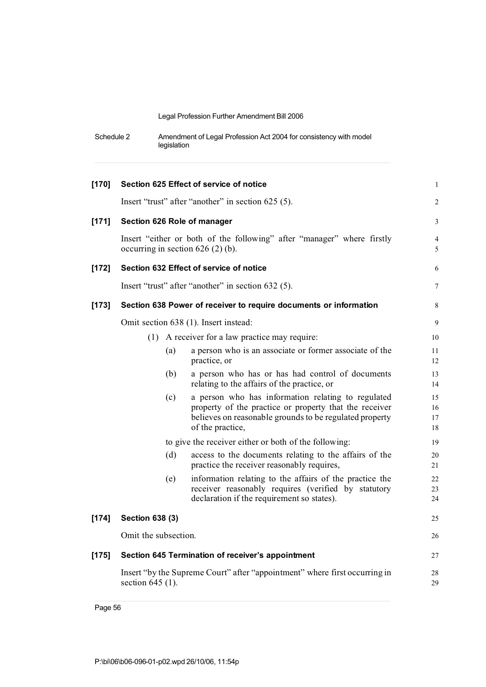| Schedule 2 | Amendment of Legal Profession Act 2004 for consistency with model |
|------------|-------------------------------------------------------------------|
|            | legislation                                                       |

| $[170]$ |                        |     | Section 625 Effect of service of notice                                                                                                                                                     | $\mathbf{1}$         |
|---------|------------------------|-----|---------------------------------------------------------------------------------------------------------------------------------------------------------------------------------------------|----------------------|
|         |                        |     | Insert "trust" after "another" in section 625 (5).                                                                                                                                          | $\overline{c}$       |
| $[171]$ |                        |     | Section 626 Role of manager                                                                                                                                                                 | 3                    |
|         |                        |     | Insert "either or both of the following" after "manager" where firstly<br>occurring in section $626$ (2) (b).                                                                               | 4<br>5               |
| $[172]$ |                        |     | Section 632 Effect of service of notice                                                                                                                                                     | 6                    |
|         |                        |     | Insert "trust" after "another" in section 632 (5).                                                                                                                                          | 7                    |
| $[173]$ |                        |     | Section 638 Power of receiver to require documents or information                                                                                                                           | 8                    |
|         |                        |     | Omit section 638 (1). Insert instead:                                                                                                                                                       | 9                    |
|         |                        |     | (1) A receiver for a law practice may require:                                                                                                                                              | 10                   |
|         |                        | (a) | a person who is an associate or former associate of the<br>practice, or                                                                                                                     | 11<br>12             |
|         |                        | (b) | a person who has or has had control of documents<br>relating to the affairs of the practice, or                                                                                             | 13<br>14             |
|         |                        | (c) | a person who has information relating to regulated<br>property of the practice or property that the receiver<br>believes on reasonable grounds to be regulated property<br>of the practice, | 15<br>16<br>17<br>18 |
|         |                        |     | to give the receiver either or both of the following:                                                                                                                                       | 19                   |
|         |                        | (d) | access to the documents relating to the affairs of the<br>practice the receiver reasonably requires,                                                                                        | 20<br>21             |
|         |                        | (e) | information relating to the affairs of the practice the<br>receiver reasonably requires (verified by statutory<br>declaration if the requirement so states).                                | 22<br>23<br>24       |
| $[174]$ | <b>Section 638 (3)</b> |     |                                                                                                                                                                                             | 25                   |
|         | Omit the subsection.   |     |                                                                                                                                                                                             | 26                   |
| $[175]$ |                        |     | Section 645 Termination of receiver's appointment                                                                                                                                           | 27                   |
|         | section 645 (1).       |     | Insert "by the Supreme Court" after "appointment" where first occurring in                                                                                                                  | 28<br>29             |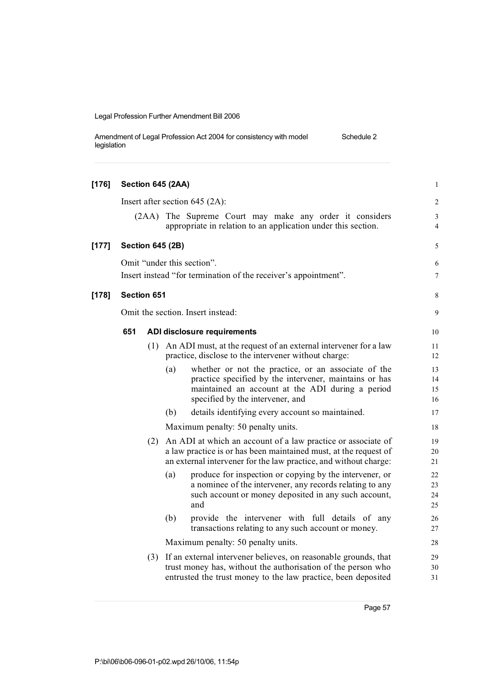| Amendment of Legal Profession Act 2004 for consistency with model | Schedule 2 |
|-------------------------------------------------------------------|------------|
| legislation                                                       |            |

| $[176]$ |                                   |       | Section 645 (2AA)                                                                                                                                                                                            | $\mathbf{1}$         |
|---------|-----------------------------------|-------|--------------------------------------------------------------------------------------------------------------------------------------------------------------------------------------------------------------|----------------------|
|         |                                   |       | Insert after section $645$ (2A):                                                                                                                                                                             | $\sqrt{2}$           |
|         |                                   | (2AA) | The Supreme Court may make any order it considers<br>appropriate in relation to an application under this section.                                                                                           | 3<br>$\overline{4}$  |
| $[177]$ |                                   |       | <b>Section 645 (2B)</b>                                                                                                                                                                                      | 5                    |
|         |                                   |       | Omit "under this section".<br>Insert instead "for termination of the receiver's appointment".                                                                                                                | 6<br>7               |
| [178]   | Section 651                       |       |                                                                                                                                                                                                              | 8                    |
|         | Omit the section. Insert instead: |       |                                                                                                                                                                                                              |                      |
|         | 651                               |       | ADI disclosure requirements                                                                                                                                                                                  | 10                   |
|         |                                   | (1)   | An ADI must, at the request of an external intervener for a law<br>practice, disclose to the intervener without charge:                                                                                      | 11<br>12             |
|         |                                   |       | (a)<br>whether or not the practice, or an associate of the<br>practice specified by the intervener, maintains or has<br>maintained an account at the ADI during a period<br>specified by the intervener, and | 13<br>14<br>15<br>16 |
|         |                                   |       | (b)<br>details identifying every account so maintained.                                                                                                                                                      | 17                   |
|         |                                   |       | Maximum penalty: 50 penalty units.                                                                                                                                                                           | 18                   |
|         |                                   | (2)   | An ADI at which an account of a law practice or associate of<br>a law practice is or has been maintained must, at the request of<br>an external intervener for the law practice, and without charge:         | 19<br>20<br>21       |
|         |                                   |       | (a)<br>produce for inspection or copying by the intervener, or<br>a nominee of the intervener, any records relating to any<br>such account or money deposited in any such account,<br>and                    | 22<br>23<br>24<br>25 |
|         |                                   |       | (b)<br>provide the intervener with full details of any<br>transactions relating to any such account or money.                                                                                                | 26<br>27             |
|         |                                   |       | Maximum penalty: 50 penalty units.                                                                                                                                                                           | 28                   |
|         |                                   | (3)   | If an external intervener believes, on reasonable grounds, that<br>trust money has, without the authorisation of the person who<br>entrusted the trust money to the law practice, been deposited             | 29<br>30<br>31       |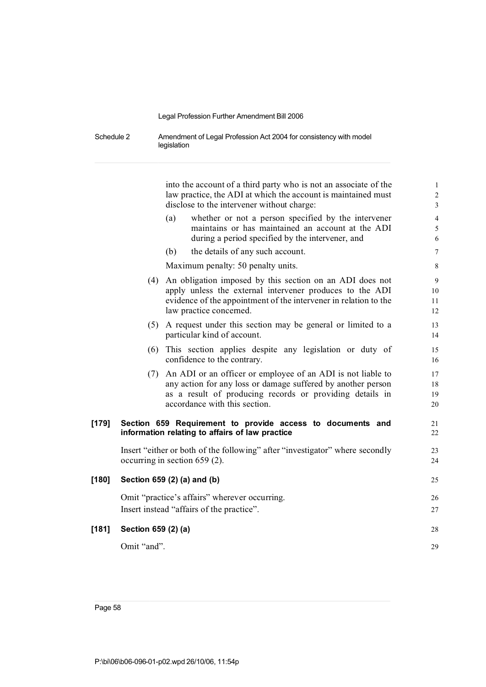Schedule 2 Amendment of Legal Profession Act 2004 for consistency with model legislation

into the account of a third party who is not an associate of the 1 law practice, the ADI at which the account is maintained must 2 disclose to the intervener without charge: 3 (a) whether or not a person specified by the intervener 4 maintains or has maintained an account at the ADI 5 during a period specified by the intervener, and 6 (b) the details of any such account. 7 Maximum penalty: 50 penalty units. (4) An obligation imposed by this section on an ADI does not 9 apply unless the external intervener produces to the ADI 10 evidence of the appointment of the intervener in relation to the 11 law practice concerned. 12 (5) A request under this section may be general or limited to a 13 particular kind of account. (6) This section applies despite any legislation or duty of 15 confidence to the contrary. 16 (7) An ADI or an officer or employee of an ADI is not liable to 17 any action for any loss or damage suffered by another person 18 as a result of producing records or providing details in 19 accordance with this section. 20 **[179] Section 659 Requirement to provide access to documents and** 21 **information relating to affairs of law practice** 22 Insert "either or both of the following" after "investigator" where secondly 23 occurring in section 659 (2).  $24$ **[180] Section 659 (2) (a) and (b)** 25 Omit "practice's affairs" wherever occurring. 26 Insert instead "affairs of the practice". 27 **[181] Section 659 (2) (a)** 28 Omit "and". 29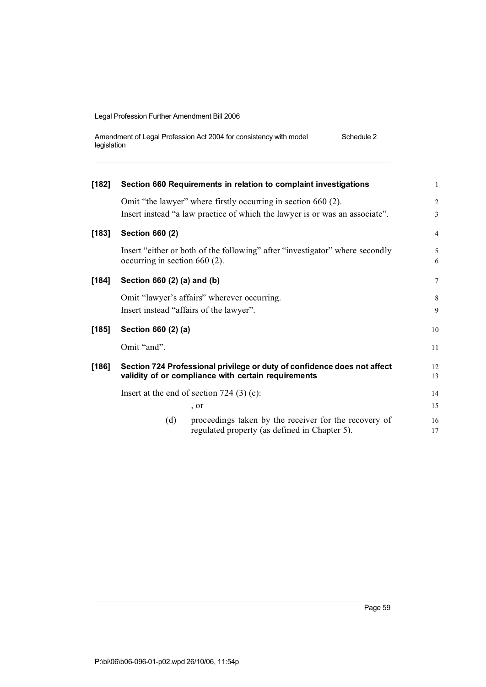| Amendment of Legal Profession Act 2004 for consistency with model | Schedule 2 |
|-------------------------------------------------------------------|------------|
| legislation                                                       |            |

| $[182]$ |                                             | Section 660 Requirements in relation to complaint investigations                                                                | $\mathbf{1}$    |  |
|---------|---------------------------------------------|---------------------------------------------------------------------------------------------------------------------------------|-----------------|--|
|         |                                             | Omit "the lawyer" where firstly occurring in section 660 (2).                                                                   | 2               |  |
|         |                                             | Insert instead "a law practice of which the lawyer is or was an associate".                                                     | 3               |  |
| $[183]$ | <b>Section 660 (2)</b>                      |                                                                                                                                 | $\overline{4}$  |  |
|         | occurring in section $660(2)$ .             | Insert "either or both of the following" after "investigator" where secondly                                                    | 5<br>6          |  |
| $[184]$ | Section 660 (2) (a) and (b)                 |                                                                                                                                 | $7\phantom{.0}$ |  |
|         | Omit "lawyer's affairs" wherever occurring. |                                                                                                                                 |                 |  |
|         | Insert instead "affairs of the lawyer".     |                                                                                                                                 |                 |  |
| $[185]$ | Section 660 (2) (a)                         |                                                                                                                                 | 10              |  |
|         | Omit "and".                                 |                                                                                                                                 |                 |  |
| $[186]$ |                                             | Section 724 Professional privilege or duty of confidence does not affect<br>validity of or compliance with certain requirements | 12<br>13        |  |
|         |                                             |                                                                                                                                 |                 |  |
|         | Insert at the end of section $724$ (3) (c): |                                                                                                                                 |                 |  |
|         |                                             | , or                                                                                                                            | 15              |  |
|         | (d)                                         | proceedings taken by the receiver for the recovery of<br>regulated property (as defined in Chapter 5).                          | 16<br>17        |  |